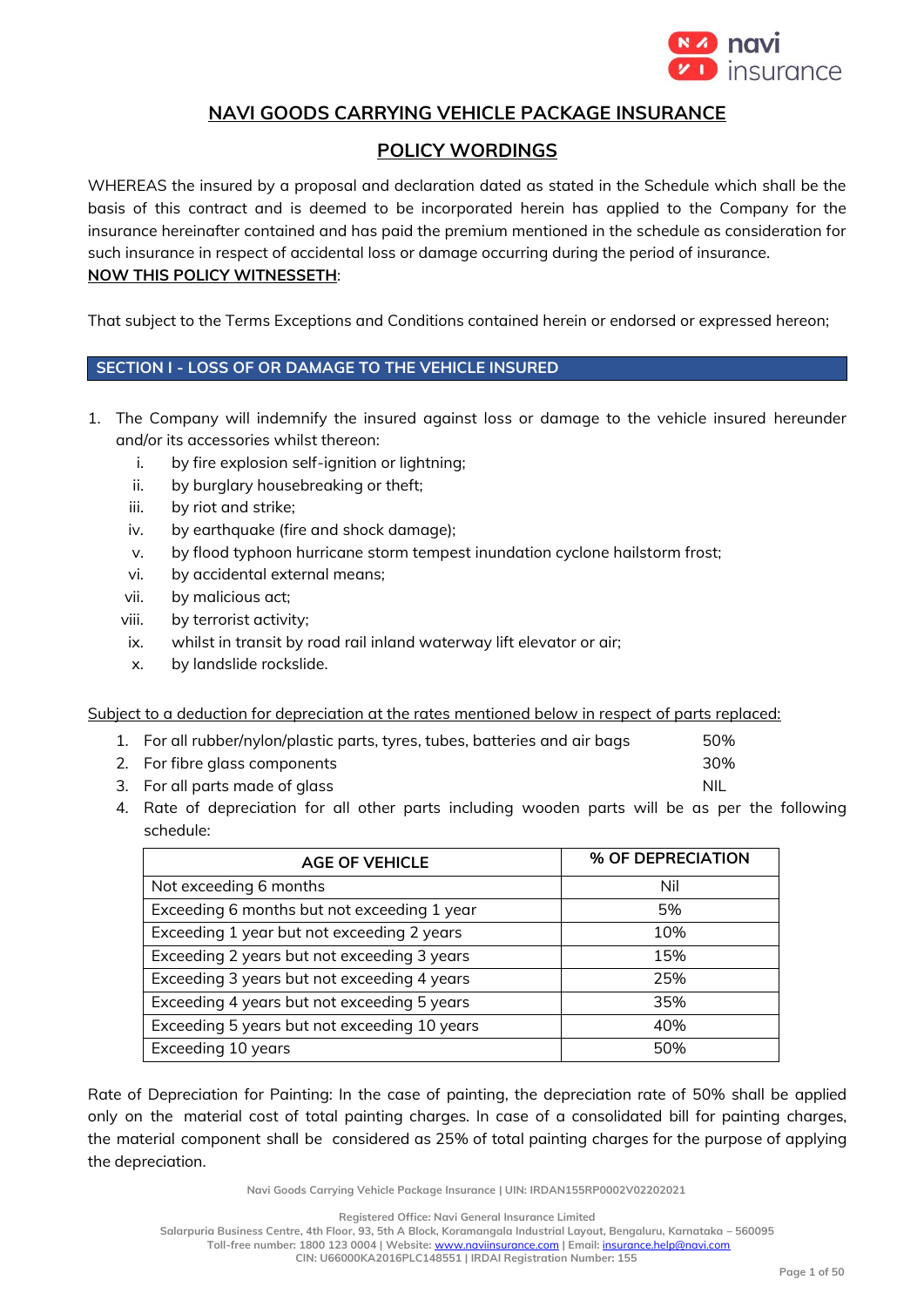

# **NAVI GOODS CARRYING VEHICLE PACKAGE INSURANCE**

# **POLICY WORDINGS**

WHEREAS the insured by a proposal and declaration dated as stated in the Schedule which shall be the basis of this contract and is deemed to be incorporated herein has applied to the Company for the insurance hereinafter contained and has paid the premium mentioned in the schedule as consideration for such insurance in respect of accidental loss or damage occurring during the period of insurance. **NOW THIS POLICY WITNESSETH**:

That subject to the Terms Exceptions and Conditions contained herein or endorsed or expressed hereon;

# **SECTION I - LOSS OF OR DAMAGE TO THE VEHICLE INSURED**

- 1. The Company will indemnify the insured against loss or damage to the vehicle insured hereunder and/or its accessories whilst thereon:
	- i. by fire explosion self-ignition or lightning;
	- ii. by burglary housebreaking or theft;
	- iii. by riot and strike;
	- iv. by earthquake (fire and shock damage);
	- v. by flood typhoon hurricane storm tempest inundation cyclone hailstorm frost;
	- vi. by accidental external means;
	- vii. by malicious act;
	- viii. by terrorist activity;
	- ix. whilst in transit by road rail inland waterway lift elevator or air;
	- x. by landslide rockslide.

Subject to a deduction for depreciation at the rates mentioned below in respect of parts replaced:

| 1. For all rubber/nylon/plastic parts, tyres, tubes, batteries and air bags | 50% |
|-----------------------------------------------------------------------------|-----|
|                                                                             |     |

- 2. For fibre glass components 30%
- 3. For all parts made of glass NIL and the state of glass NIL and the state of glass NIL and the state of glass NIL
- 4. Rate of depreciation for all other parts including wooden parts will be as per the following schedule:

| <b>AGE OF VEHICLE</b>                        | % OF DEPRECIATION |
|----------------------------------------------|-------------------|
| Not exceeding 6 months                       | Nil               |
| Exceeding 6 months but not exceeding 1 year  | 5%                |
| Exceeding 1 year but not exceeding 2 years   | 10%               |
| Exceeding 2 years but not exceeding 3 years  | 15%               |
| Exceeding 3 years but not exceeding 4 years  | 25%               |
| Exceeding 4 years but not exceeding 5 years  | 35%               |
| Exceeding 5 years but not exceeding 10 years | 40%               |
| Exceeding 10 years                           | 50%               |

Rate of Depreciation for Painting: In the case of painting, the depreciation rate of 50% shall be applied only on the material cost of total painting charges. In case of a consolidated bill for painting charges, the material component shall be considered as 25% of total painting charges for the purpose of applying the depreciation.

**Navi Goods Carrying Vehicle Package Insurance | UIN: IRDAN155RP0002V02202021**

**Registered Office: Navi General Insurance Limited**

**Salarpuria Business Centre, 4th Floor, 93, 5th A Block, Koramangala Industrial Layout, Bengaluru, Karnataka – 560095 Toll-free number: 1800 123 0004 | Website:** [www.naviinsurance.com](http://www.naviinsurance.com/) **| Email:** [insurance.help@navi.com](mailto:insurance.help@navi.com)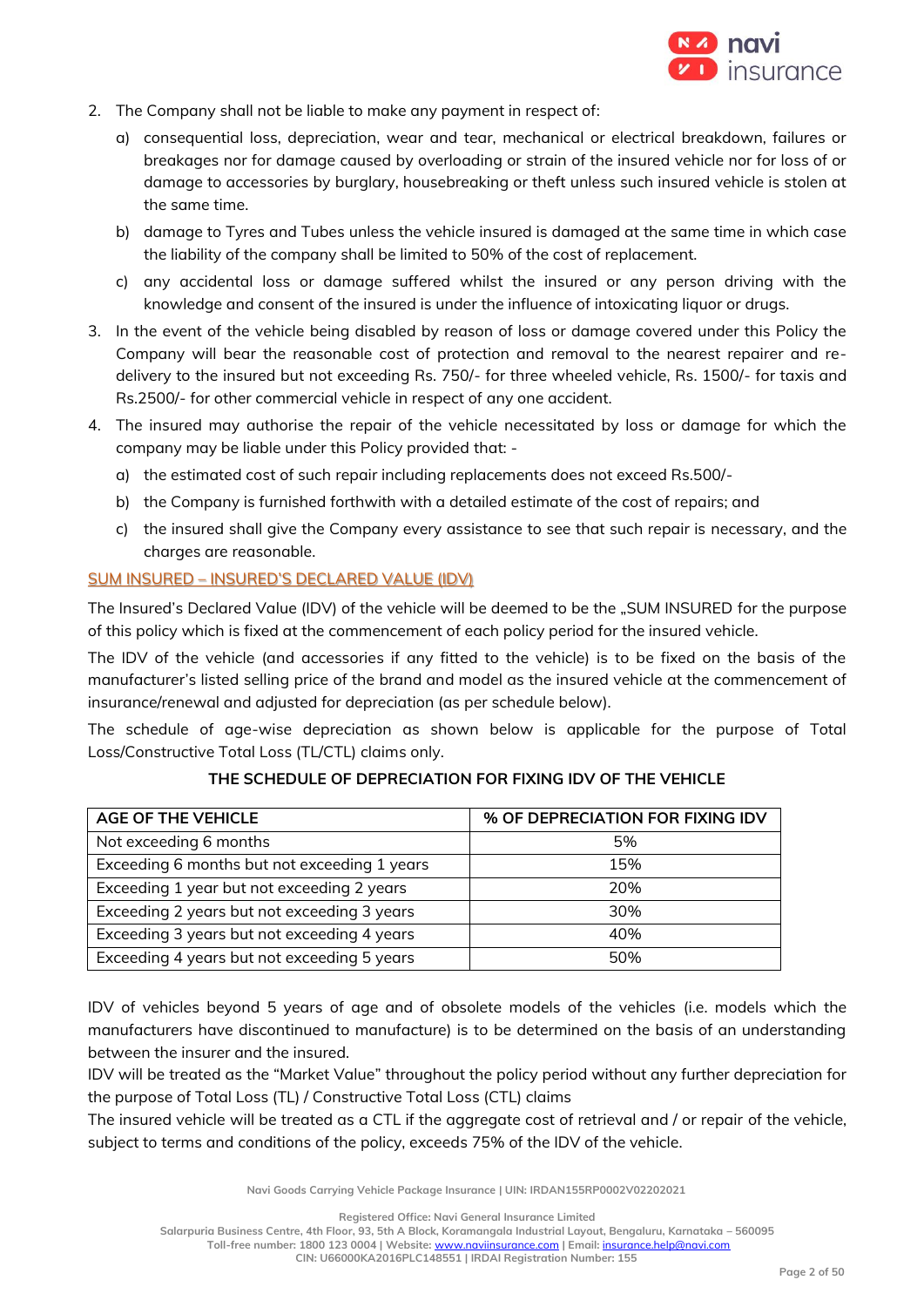

- 2. The Company shall not be liable to make any payment in respect of:
	- a) consequential loss, depreciation, wear and tear, mechanical or electrical breakdown, failures or breakages nor for damage caused by overloading or strain of the insured vehicle nor for loss of or damage to accessories by burglary, housebreaking or theft unless such insured vehicle is stolen at the same time.
	- b) damage to Tyres and Tubes unless the vehicle insured is damaged at the same time in which case the liability of the company shall be limited to 50% of the cost of replacement.
	- c) any accidental loss or damage suffered whilst the insured or any person driving with the knowledge and consent of the insured is under the influence of intoxicating liquor or drugs.
- 3. In the event of the vehicle being disabled by reason of loss or damage covered under this Policy the Company will bear the reasonable cost of protection and removal to the nearest repairer and redelivery to the insured but not exceeding Rs. 750/- for three wheeled vehicle, Rs. 1500/- for taxis and Rs.2500/- for other commercial vehicle in respect of any one accident.
- 4. The insured may authorise the repair of the vehicle necessitated by loss or damage for which the company may be liable under this Policy provided that:
	- a) the estimated cost of such repair including replacements does not exceed Rs.500/-
	- b) the Company is furnished forthwith with a detailed estimate of the cost of repairs; and
	- c) the insured shall give the Company every assistance to see that such repair is necessary, and the charges are reasonable.

# SUM INSURED – INSURED'S DECLARED VALUE (IDV)

The Insured's Declared Value (IDV) of the vehicle will be deemed to be the "SUM INSURED for the purpose of this policy which is fixed at the commencement of each policy period for the insured vehicle.

The IDV of the vehicle (and accessories if any fitted to the vehicle) is to be fixed on the basis of the manufacturer's listed selling price of the brand and model as the insured vehicle at the commencement of insurance/renewal and adjusted for depreciation (as per schedule below).

The schedule of age-wise depreciation as shown below is applicable for the purpose of Total Loss/Constructive Total Loss (TL/CTL) claims only.

| AGE OF THE VEHICLE                           | % OF DEPRECIATION FOR FIXING IDV |
|----------------------------------------------|----------------------------------|
| Not exceeding 6 months                       | 5%                               |
| Exceeding 6 months but not exceeding 1 years | 15%                              |
| Exceeding 1 year but not exceeding 2 years   | 20%                              |
| Exceeding 2 years but not exceeding 3 years  | 30%                              |
| Exceeding 3 years but not exceeding 4 years  | 40%                              |
| Exceeding 4 years but not exceeding 5 years  | 50%                              |

# **THE SCHEDULE OF DEPRECIATION FOR FIXING IDV OF THE VEHICLE**

IDV of vehicles beyond 5 years of age and of obsolete models of the vehicles (i.e. models which the manufacturers have discontinued to manufacture) is to be determined on the basis of an understanding between the insurer and the insured.

IDV will be treated as the "Market Value" throughout the policy period without any further depreciation for the purpose of Total Loss (TL) / Constructive Total Loss (CTL) claims

The insured vehicle will be treated as a CTL if the aggregate cost of retrieval and / or repair of the vehicle, subject to terms and conditions of the policy, exceeds 75% of the IDV of the vehicle.

**Navi Goods Carrying Vehicle Package Insurance | UIN: IRDAN155RP0002V02202021**

**Registered Office: Navi General Insurance Limited**

**Salarpuria Business Centre, 4th Floor, 93, 5th A Block, Koramangala Industrial Layout, Bengaluru, Karnataka – 560095 Toll-free number: 1800 123 0004 | Website:** [www.naviinsurance.com](http://www.naviinsurance.com/) **| Email:** [insurance.help@navi.com](mailto:insurance.help@navi.com)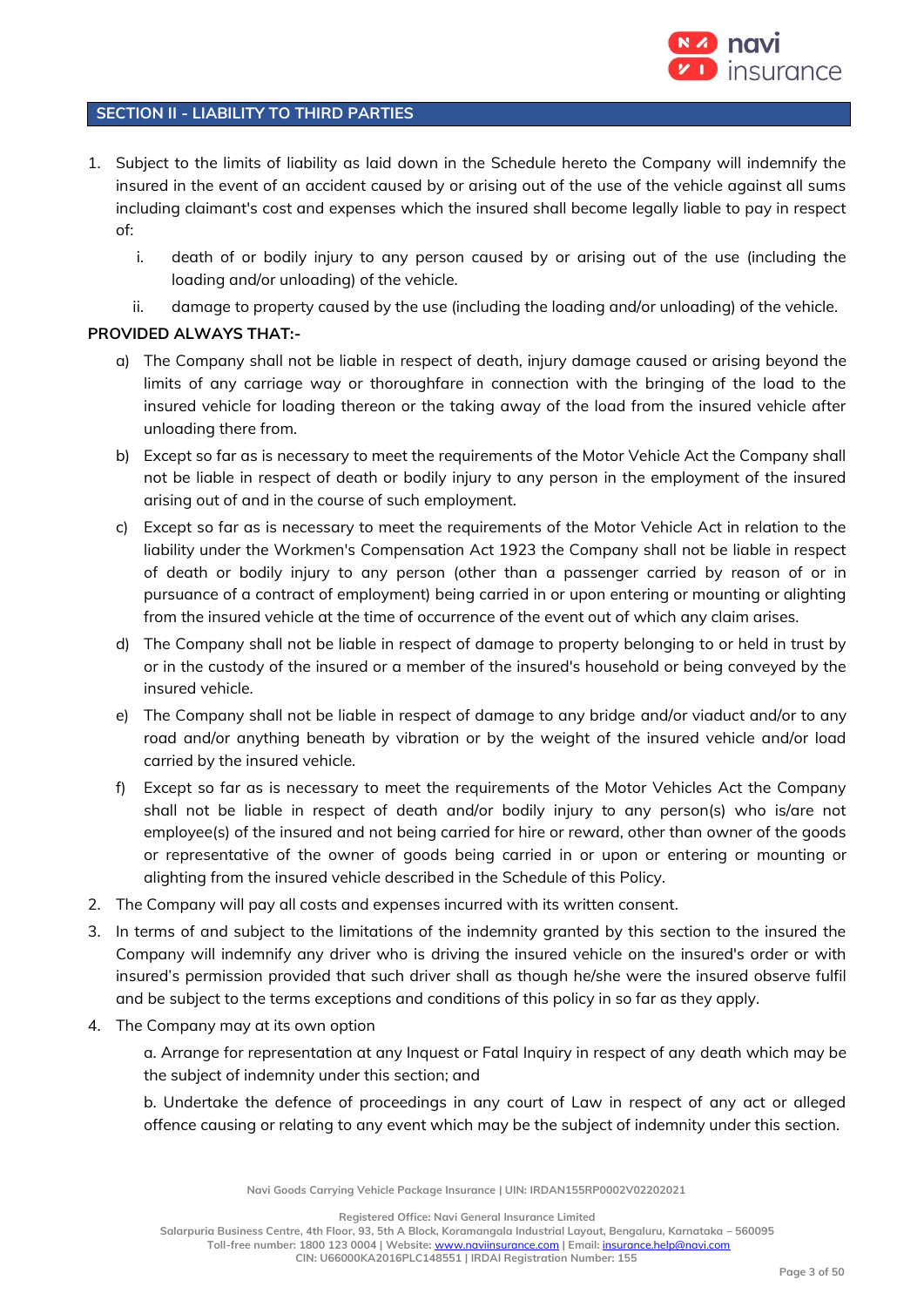

# **SECTION II - LIABILITY TO THIRD PARTIES**

- 1. Subject to the limits of liability as laid down in the Schedule hereto the Company will indemnify the insured in the event of an accident caused by or arising out of the use of the vehicle against all sums including claimant's cost and expenses which the insured shall become legally liable to pay in respect of:
	- i. death of or bodily injury to any person caused by or arising out of the use (including the loading and/or unloading) of the vehicle.
	- ii. damage to property caused by the use (including the loading and/or unloading) of the vehicle.

# **PROVIDED ALWAYS THAT:-**

- a) The Company shall not be liable in respect of death, injury damage caused or arising beyond the limits of any carriage way or thoroughfare in connection with the bringing of the load to the insured vehicle for loading thereon or the taking away of the load from the insured vehicle after unloading there from.
- b) Except so far as is necessary to meet the requirements of the Motor Vehicle Act the Company shall not be liable in respect of death or bodily injury to any person in the employment of the insured arising out of and in the course of such employment.
- c) Except so far as is necessary to meet the requirements of the Motor Vehicle Act in relation to the liability under the Workmen's Compensation Act 1923 the Company shall not be liable in respect of death or bodily injury to any person (other than a passenger carried by reason of or in pursuance of a contract of employment) being carried in or upon entering or mounting or alighting from the insured vehicle at the time of occurrence of the event out of which any claim arises.
- d) The Company shall not be liable in respect of damage to property belonging to or held in trust by or in the custody of the insured or a member of the insured's household or being conveyed by the insured vehicle.
- e) The Company shall not be liable in respect of damage to any bridge and/or viaduct and/or to any road and/or anything beneath by vibration or by the weight of the insured vehicle and/or load carried by the insured vehicle.
- f) Except so far as is necessary to meet the requirements of the Motor Vehicles Act the Company shall not be liable in respect of death and/or bodily injury to any person(s) who is/are not employee(s) of the insured and not being carried for hire or reward, other than owner of the goods or representative of the owner of goods being carried in or upon or entering or mounting or alighting from the insured vehicle described in the Schedule of this Policy.
- 2. The Company will pay all costs and expenses incurred with its written consent.
- 3. In terms of and subject to the limitations of the indemnity granted by this section to the insured the Company will indemnify any driver who is driving the insured vehicle on the insured's order or with insured's permission provided that such driver shall as though he/she were the insured observe fulfil and be subject to the terms exceptions and conditions of this policy in so far as they apply.
- 4. The Company may at its own option

a. Arrange for representation at any Inquest or Fatal Inquiry in respect of any death which may be the subject of indemnity under this section; and

b. Undertake the defence of proceedings in any court of Law in respect of any act or alleged offence causing or relating to any event which may be the subject of indemnity under this section.

**Navi Goods Carrying Vehicle Package Insurance | UIN: IRDAN155RP0002V02202021**

**Registered Office: Navi General Insurance Limited**

**Salarpuria Business Centre, 4th Floor, 93, 5th A Block, Koramangala Industrial Layout, Bengaluru, Karnataka – 560095 Toll-free number: 1800 123 0004 | Website:** [www.naviinsurance.com](http://www.naviinsurance.com/) **| Email:** [insurance.help@navi.com](mailto:insurance.help@navi.com)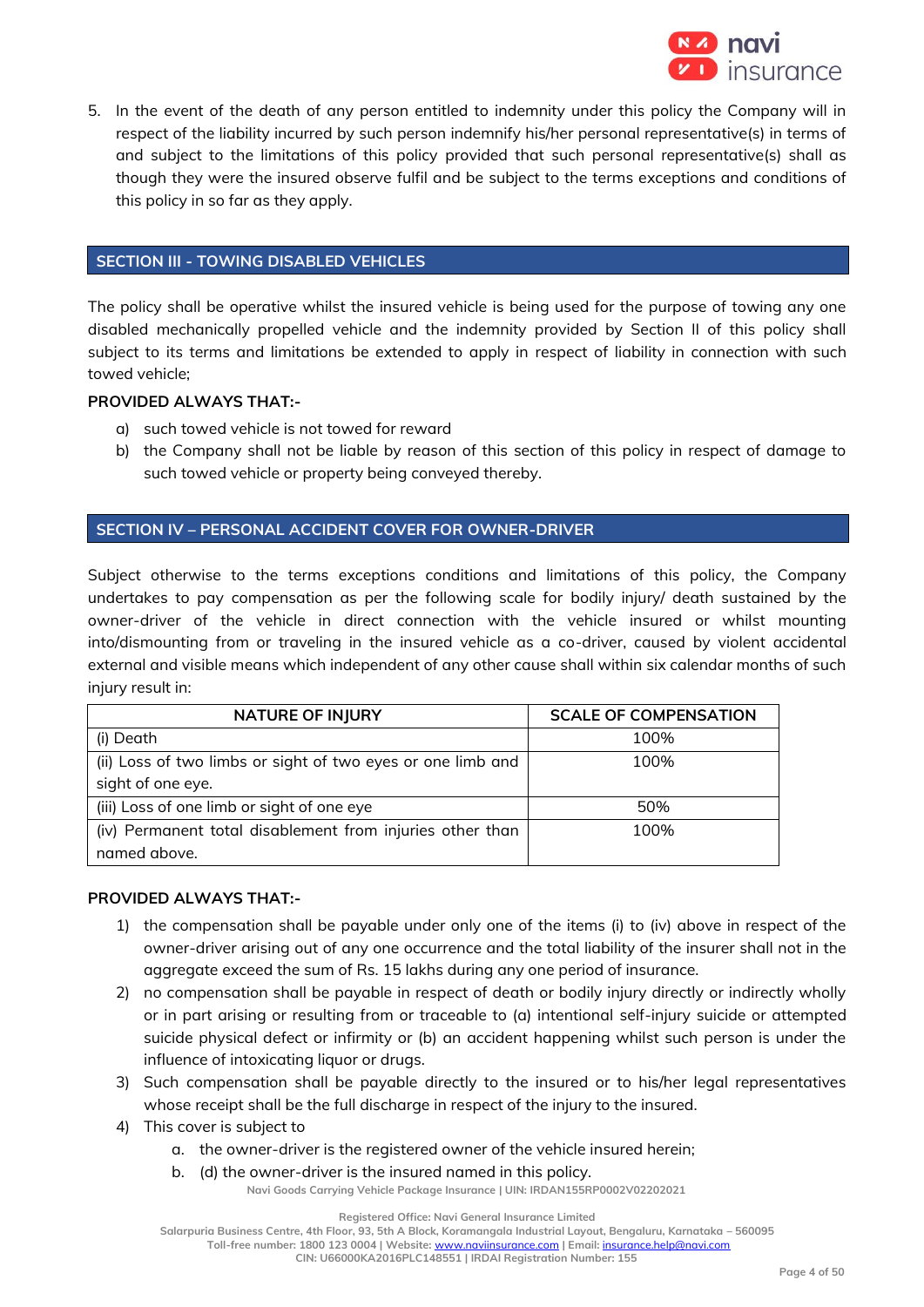

5. In the event of the death of any person entitled to indemnity under this policy the Company will in respect of the liability incurred by such person indemnify his/her personal representative(s) in terms of and subject to the limitations of this policy provided that such personal representative(s) shall as though they were the insured observe fulfil and be subject to the terms exceptions and conditions of this policy in so far as they apply.

# **SECTION III - TOWING DISABLED VEHICLES**

The policy shall be operative whilst the insured vehicle is being used for the purpose of towing any one disabled mechanically propelled vehicle and the indemnity provided by Section II of this policy shall subject to its terms and limitations be extended to apply in respect of liability in connection with such towed vehicle;

# **PROVIDED ALWAYS THAT:-**

- a) such towed vehicle is not towed for reward
- b) the Company shall not be liable by reason of this section of this policy in respect of damage to such towed vehicle or property being conveyed thereby.

# **SECTION IV – PERSONAL ACCIDENT COVER FOR OWNER-DRIVER**

Subject otherwise to the terms exceptions conditions and limitations of this policy, the Company undertakes to pay compensation as per the following scale for bodily injury/ death sustained by the owner-driver of the vehicle in direct connection with the vehicle insured or whilst mounting into/dismounting from or traveling in the insured vehicle as a co-driver, caused by violent accidental external and visible means which independent of any other cause shall within six calendar months of such injury result in:

| <b>NATURE OF INJURY</b>                                     | <b>SCALE OF COMPENSATION</b> |
|-------------------------------------------------------------|------------------------------|
| (i) Death                                                   | 100%                         |
| (ii) Loss of two limbs or sight of two eyes or one limb and | 100%                         |
| sight of one eye.                                           |                              |
| (iii) Loss of one limb or sight of one eye                  | 50%                          |
| (iv) Permanent total disablement from injuries other than   | 100%                         |
| named above.                                                |                              |

# **PROVIDED ALWAYS THAT:-**

- 1) the compensation shall be payable under only one of the items (i) to (iv) above in respect of the owner-driver arising out of any one occurrence and the total liability of the insurer shall not in the aggregate exceed the sum of Rs. 15 lakhs during any one period of insurance.
- 2) no compensation shall be payable in respect of death or bodily injury directly or indirectly wholly or in part arising or resulting from or traceable to (a) intentional self-injury suicide or attempted suicide physical defect or infirmity or (b) an accident happening whilst such person is under the influence of intoxicating liquor or drugs.
- 3) Such compensation shall be payable directly to the insured or to his/her legal representatives whose receipt shall be the full discharge in respect of the injury to the insured.
- 4) This cover is subject to
	- a. the owner-driver is the registered owner of the vehicle insured herein;
	- b. (d) the owner-driver is the insured named in this policy.

**Navi Goods Carrying Vehicle Package Insurance | UIN: IRDAN155RP0002V02202021**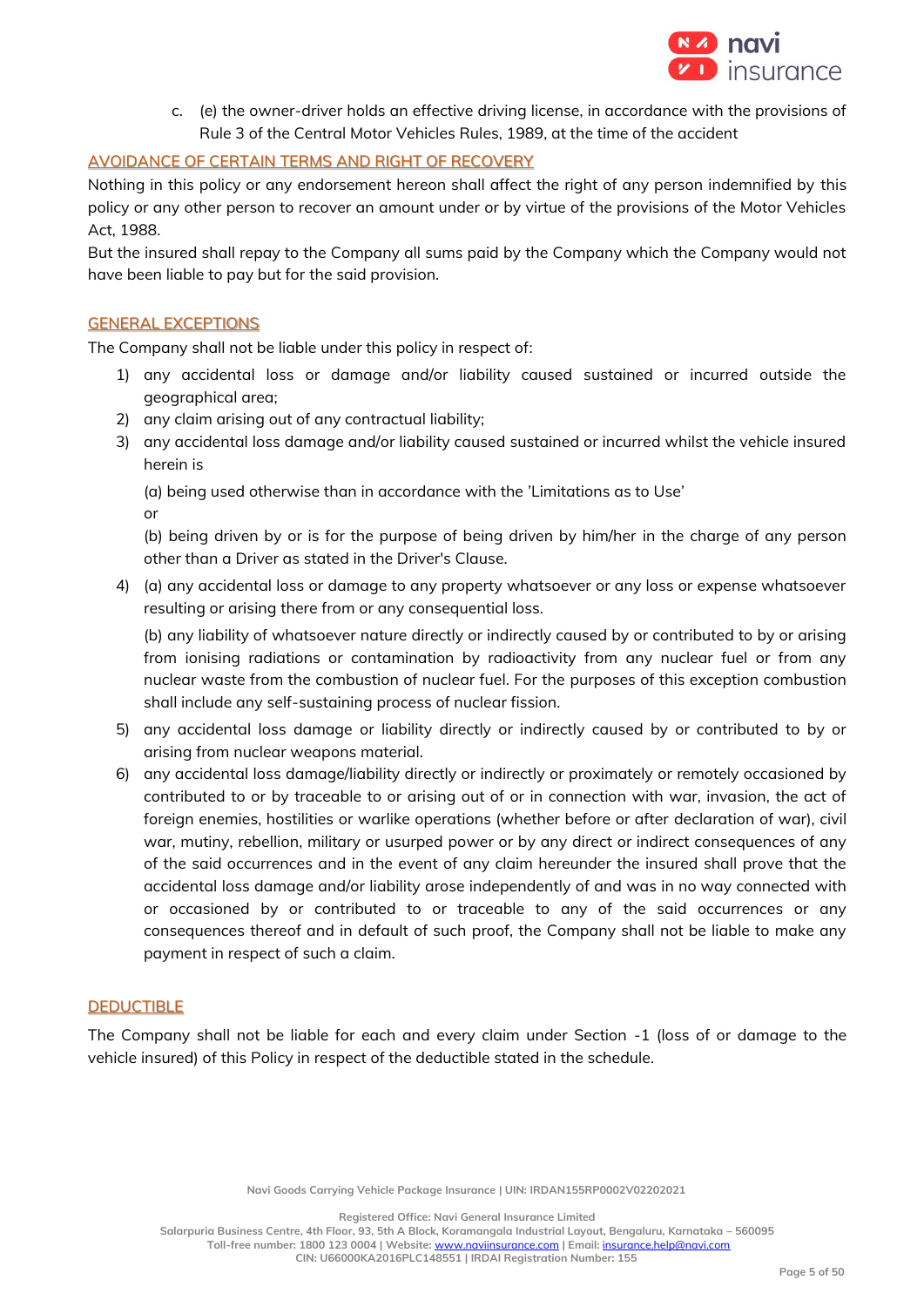

c. (e) the owner-driver holds an effective driving license, in accordance with the provisions of Rule 3 of the Central Motor Vehicles Rules, 1989, at the time of the accident

# AVOIDANCE OF CERTAIN TERMS AND RIGHT OF RECOVERY

Nothing in this policy or any endorsement hereon shall affect the right of any person indemnified by this policy or any other person to recover an amount under or by virtue of the provisions of the Motor Vehicles Act, 1988.

But the insured shall repay to the Company all sums paid by the Company which the Company would not have been liable to pay but for the said provision.

# GENERAL EXCEPTIONS

The Company shall not be liable under this policy in respect of:

- 1) any accidental loss or damage and/or liability caused sustained or incurred outside the geographical area;
- 2) any claim arising out of any contractual liability;
- 3) any accidental loss damage and/or liability caused sustained or incurred whilst the vehicle insured herein is

(a) being used otherwise than in accordance with the 'Limitations as to Use'

or

(b) being driven by or is for the purpose of being driven by him/her in the charge of any person other than a Driver as stated in the Driver's Clause.

4) (a) any accidental loss or damage to any property whatsoever or any loss or expense whatsoever resulting or arising there from or any consequential loss.

(b) any liability of whatsoever nature directly or indirectly caused by or contributed to by or arising from ionising radiations or contamination by radioactivity from any nuclear fuel or from any nuclear waste from the combustion of nuclear fuel. For the purposes of this exception combustion shall include any self-sustaining process of nuclear fission.

- 5) any accidental loss damage or liability directly or indirectly caused by or contributed to by or arising from nuclear weapons material.
- 6) any accidental loss damage/liability directly or indirectly or proximately or remotely occasioned by contributed to or by traceable to or arising out of or in connection with war, invasion, the act of foreign enemies, hostilities or warlike operations (whether before or after declaration of war), civil war, mutiny, rebellion, military or usurped power or by any direct or indirect consequences of any of the said occurrences and in the event of any claim hereunder the insured shall prove that the accidental loss damage and/or liability arose independently of and was in no way connected with or occasioned by or contributed to or traceable to any of the said occurrences or any consequences thereof and in default of such proof, the Company shall not be liable to make any payment in respect of such a claim.

# DEDUCTIBLE

The Company shall not be liable for each and every claim under Section -1 (loss of or damage to the vehicle insured) of this Policy in respect of the deductible stated in the schedule.

**Navi Goods Carrying Vehicle Package Insurance | UIN: IRDAN155RP0002V02202021**

**Registered Office: Navi General Insurance Limited**

**Salarpuria Business Centre, 4th Floor, 93, 5th A Block, Koramangala Industrial Layout, Bengaluru, Karnataka – 560095 Toll-free number: 1800 123 0004 | Website:** [www.naviinsurance.com](http://www.naviinsurance.com/) **| Email:** [insurance.help@navi.com](mailto:insurance.help@navi.com)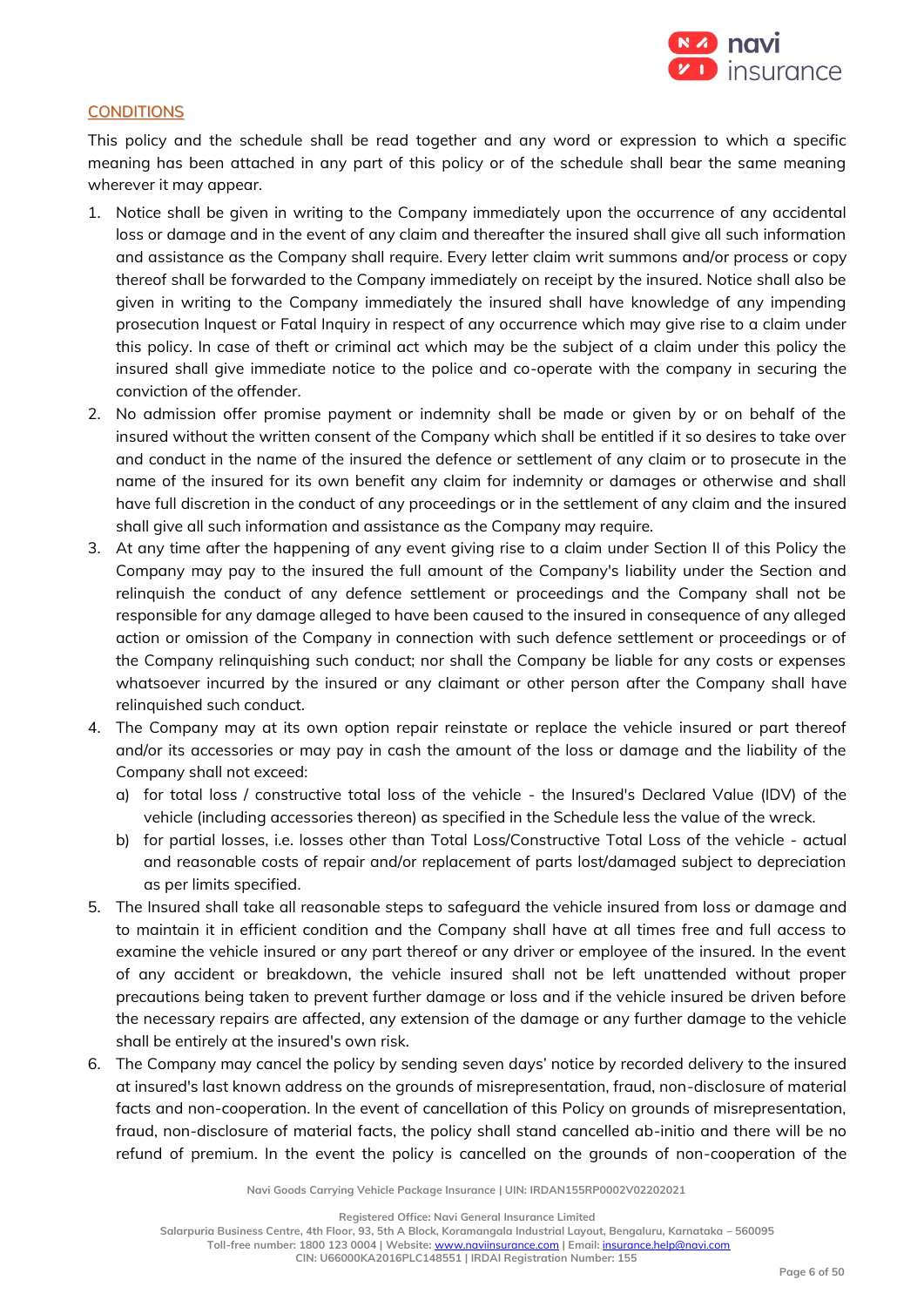

### **CONDITIONS**

This policy and the schedule shall be read together and any word or expression to which a specific meaning has been attached in any part of this policy or of the schedule shall bear the same meaning wherever it may appear.

- 1. Notice shall be given in writing to the Company immediately upon the occurrence of any accidental loss or damage and in the event of any claim and thereafter the insured shall give all such information and assistance as the Company shall require. Every letter claim writ summons and/or process or copy thereof shall be forwarded to the Company immediately on receipt by the insured. Notice shall also be given in writing to the Company immediately the insured shall have knowledge of any impending prosecution Inquest or Fatal Inquiry in respect of any occurrence which may give rise to a claim under this policy. In case of theft or criminal act which may be the subject of a claim under this policy the insured shall give immediate notice to the police and co-operate with the company in securing the conviction of the offender.
- 2. No admission offer promise payment or indemnity shall be made or given by or on behalf of the insured without the written consent of the Company which shall be entitled if it so desires to take over and conduct in the name of the insured the defence or settlement of any claim or to prosecute in the name of the insured for its own benefit any claim for indemnity or damages or otherwise and shall have full discretion in the conduct of any proceedings or in the settlement of any claim and the insured shall give all such information and assistance as the Company may require.
- 3. At any time after the happening of any event giving rise to a claim under Section II of this Policy the Company may pay to the insured the full amount of the Company's liability under the Section and relinquish the conduct of any defence settlement or proceedings and the Company shall not be responsible for any damage alleged to have been caused to the insured in consequence of any alleged action or omission of the Company in connection with such defence settlement or proceedings or of the Company relinquishing such conduct; nor shall the Company be liable for any costs or expenses whatsoever incurred by the insured or any claimant or other person after the Company shall have relinquished such conduct.
- 4. The Company may at its own option repair reinstate or replace the vehicle insured or part thereof and/or its accessories or may pay in cash the amount of the loss or damage and the liability of the Company shall not exceed:
	- a) for total loss / constructive total loss of the vehicle the Insured's Declared Value (IDV) of the vehicle (including accessories thereon) as specified in the Schedule less the value of the wreck.
	- b) for partial losses, i.e. losses other than Total Loss/Constructive Total Loss of the vehicle actual and reasonable costs of repair and/or replacement of parts lost/damaged subject to depreciation as per limits specified.
- 5. The Insured shall take all reasonable steps to safeguard the vehicle insured from loss or damage and to maintain it in efficient condition and the Company shall have at all times free and full access to examine the vehicle insured or any part thereof or any driver or employee of the insured. In the event of any accident or breakdown, the vehicle insured shall not be left unattended without proper precautions being taken to prevent further damage or loss and if the vehicle insured be driven before the necessary repairs are affected, any extension of the damage or any further damage to the vehicle shall be entirely at the insured's own risk.
- 6. The Company may cancel the policy by sending seven days' notice by recorded delivery to the insured at insured's last known address on the grounds of misrepresentation, fraud, non-disclosure of material facts and non-cooperation. In the event of cancellation of this Policy on grounds of misrepresentation, fraud, non-disclosure of material facts, the policy shall stand cancelled ab-initio and there will be no refund of premium. In the event the policy is cancelled on the grounds of non-cooperation of the

**Navi Goods Carrying Vehicle Package Insurance | UIN: IRDAN155RP0002V02202021**

**Registered Office: Navi General Insurance Limited**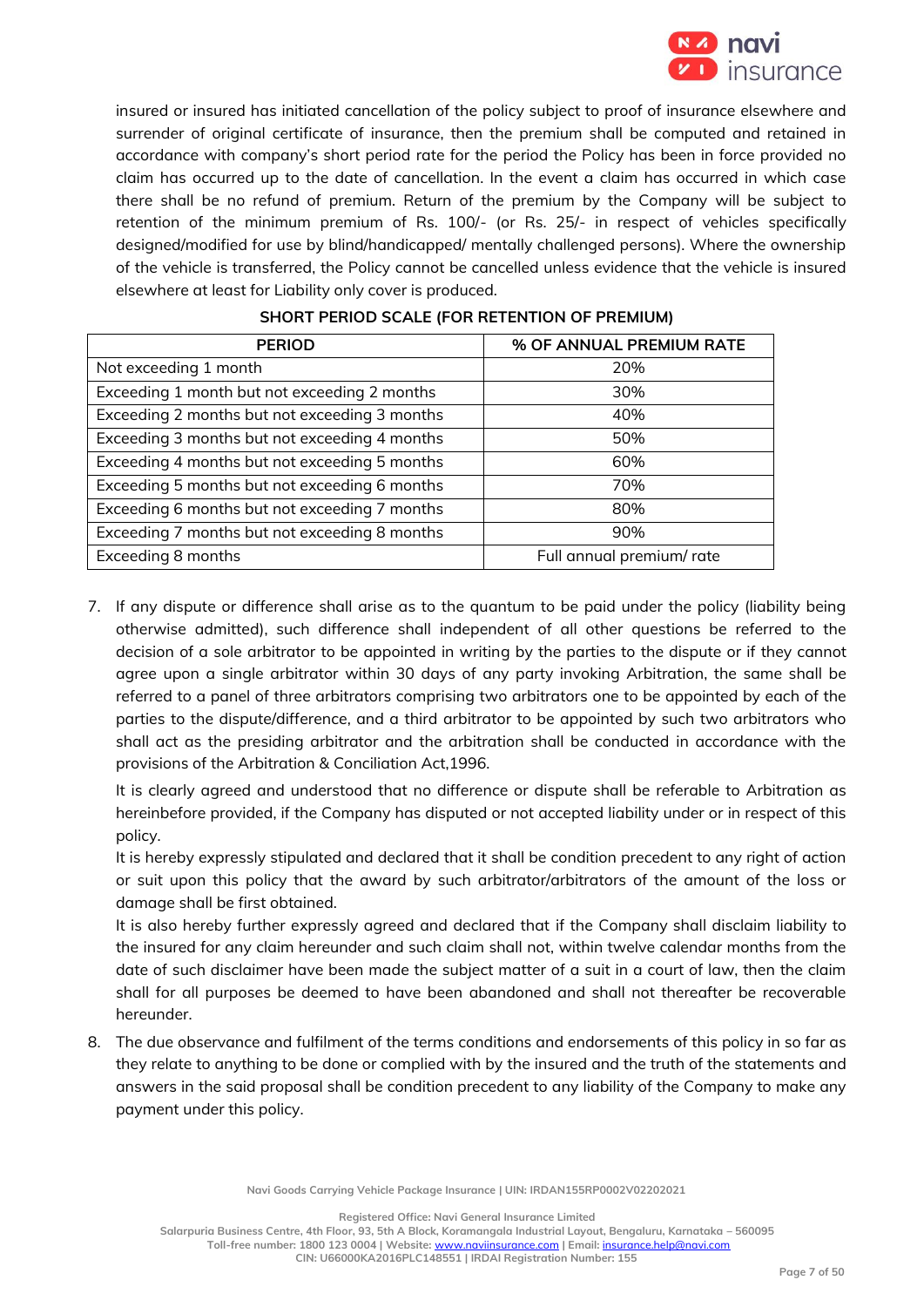

insured or insured has initiated cancellation of the policy subject to proof of insurance elsewhere and surrender of original certificate of insurance, then the premium shall be computed and retained in accordance with company's short period rate for the period the Policy has been in force provided no claim has occurred up to the date of cancellation. In the event a claim has occurred in which case there shall be no refund of premium. Return of the premium by the Company will be subject to retention of the minimum premium of Rs. 100/- (or Rs. 25/- in respect of vehicles specifically designed/modified for use by blind/handicapped/ mentally challenged persons). Where the ownership of the vehicle is transferred, the Policy cannot be cancelled unless evidence that the vehicle is insured elsewhere at least for Liability only cover is produced.

| <b>PERIOD</b>                                 | % OF ANNUAL PREMIUM RATE |
|-----------------------------------------------|--------------------------|
| Not exceeding 1 month                         | 20%                      |
| Exceeding 1 month but not exceeding 2 months  | 30%                      |
| Exceeding 2 months but not exceeding 3 months | 40%                      |
| Exceeding 3 months but not exceeding 4 months | 50%                      |
| Exceeding 4 months but not exceeding 5 months | 60%                      |
| Exceeding 5 months but not exceeding 6 months | 70%                      |
| Exceeding 6 months but not exceeding 7 months | 80%                      |
| Exceeding 7 months but not exceeding 8 months | 90%                      |
| Exceeding 8 months                            | Full annual premium/rate |

# **SHORT PERIOD SCALE (FOR RETENTION OF PREMIUM)**

7. If any dispute or difference shall arise as to the quantum to be paid under the policy (liability being otherwise admitted), such difference shall independent of all other questions be referred to the decision of a sole arbitrator to be appointed in writing by the parties to the dispute or if they cannot agree upon a single arbitrator within 30 days of any party invoking Arbitration, the same shall be referred to a panel of three arbitrators comprising two arbitrators one to be appointed by each of the parties to the dispute/difference, and a third arbitrator to be appointed by such two arbitrators who shall act as the presiding arbitrator and the arbitration shall be conducted in accordance with the provisions of the Arbitration & Conciliation Act,1996.

It is clearly agreed and understood that no difference or dispute shall be referable to Arbitration as hereinbefore provided, if the Company has disputed or not accepted liability under or in respect of this policy.

It is hereby expressly stipulated and declared that it shall be condition precedent to any right of action or suit upon this policy that the award by such arbitrator/arbitrators of the amount of the loss or damage shall be first obtained.

It is also hereby further expressly agreed and declared that if the Company shall disclaim liability to the insured for any claim hereunder and such claim shall not, within twelve calendar months from the date of such disclaimer have been made the subject matter of a suit in a court of law, then the claim shall for all purposes be deemed to have been abandoned and shall not thereafter be recoverable hereunder.

8. The due observance and fulfilment of the terms conditions and endorsements of this policy in so far as they relate to anything to be done or complied with by the insured and the truth of the statements and answers in the said proposal shall be condition precedent to any liability of the Company to make any payment under this policy.

**Navi Goods Carrying Vehicle Package Insurance | UIN: IRDAN155RP0002V02202021**

**Registered Office: Navi General Insurance Limited**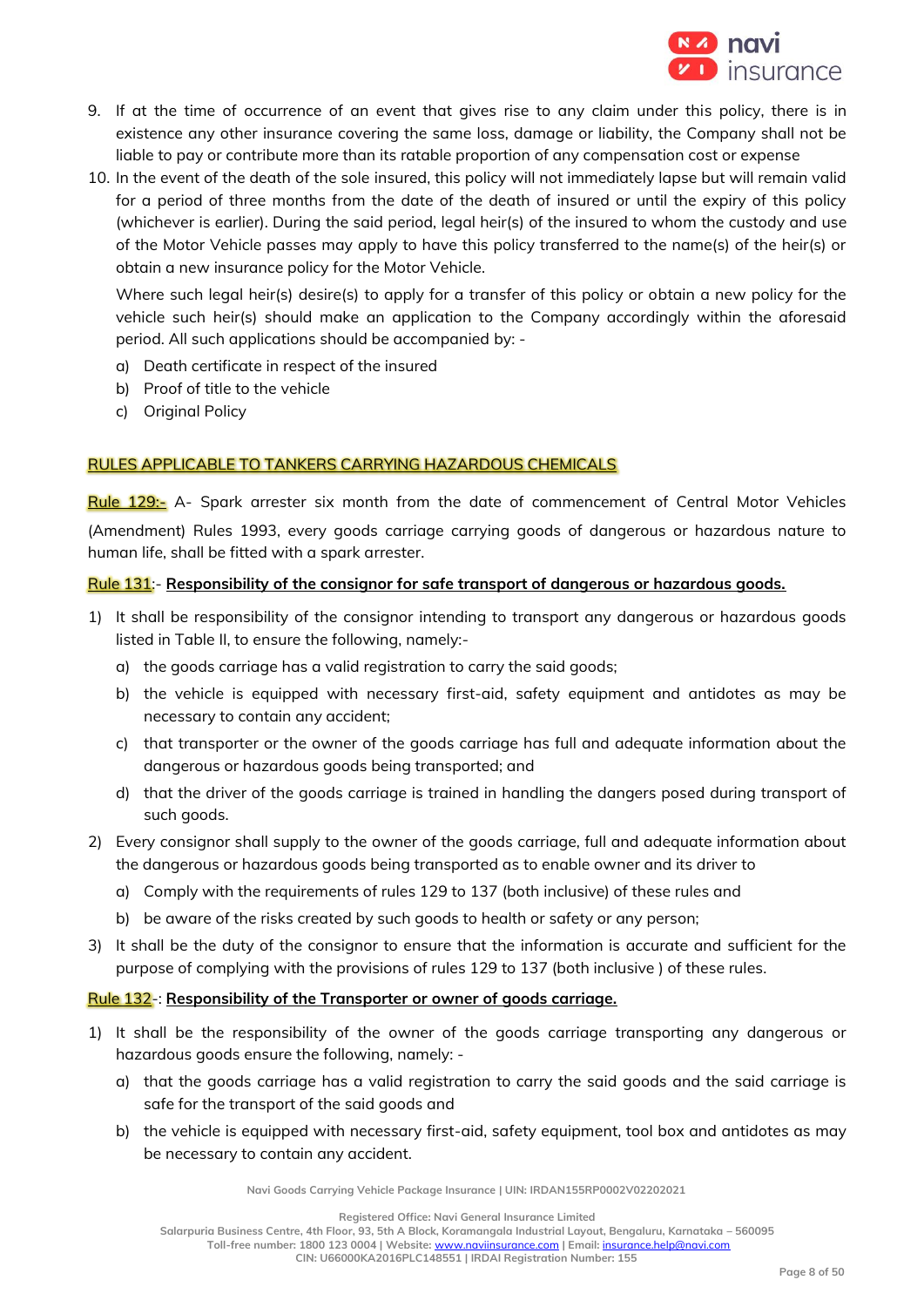

- 9. If at the time of occurrence of an event that gives rise to any claim under this policy, there is in existence any other insurance covering the same loss, damage or liability, the Company shall not be liable to pay or contribute more than its ratable proportion of any compensation cost or expense
- 10. In the event of the death of the sole insured, this policy will not immediately lapse but will remain valid for a period of three months from the date of the death of insured or until the expiry of this policy (whichever is earlier). During the said period, legal heir(s) of the insured to whom the custody and use of the Motor Vehicle passes may apply to have this policy transferred to the name(s) of the heir(s) or obtain a new insurance policy for the Motor Vehicle.

Where such legal heir(s) desire(s) to apply for a transfer of this policy or obtain a new policy for the vehicle such heir(s) should make an application to the Company accordingly within the aforesaid period. All such applications should be accompanied by: -

- a) Death certificate in respect of the insured
- b) Proof of title to the vehicle
- c) Original Policy

# RULES APPLICABLE TO TANKERS CARRYING HAZARDOUS CHEMICALS

Rule 129:- A- Spark arrester six month from the date of commencement of Central Motor Vehicles (Amendment) Rules 1993, every goods carriage carrying goods of dangerous or hazardous nature to human life, shall be fitted with a spark arrester.

# Rule 131:- **Responsibility of the consignor for safe transport of dangerous or hazardous goods.**

- 1) It shall be responsibility of the consignor intending to transport any dangerous or hazardous goods listed in Table II, to ensure the following, namely:
	- a) the goods carriage has a valid registration to carry the said goods;
	- b) the vehicle is equipped with necessary first-aid, safety equipment and antidotes as may be necessary to contain any accident;
	- c) that transporter or the owner of the goods carriage has full and adequate information about the dangerous or hazardous goods being transported; and
	- d) that the driver of the goods carriage is trained in handling the dangers posed during transport of such goods.
- 2) Every consignor shall supply to the owner of the goods carriage, full and adequate information about the dangerous or hazardous goods being transported as to enable owner and its driver to
	- a) Comply with the requirements of rules 129 to 137 (both inclusive) of these rules and
	- b) be aware of the risks created by such goods to health or safety or any person;
- 3) It shall be the duty of the consignor to ensure that the information is accurate and sufficient for the purpose of complying with the provisions of rules 129 to 137 (both inclusive ) of these rules.

# Rule 132-: **Responsibility of the Transporter or owner of goods carriage.**

- 1) It shall be the responsibility of the owner of the goods carriage transporting any dangerous or hazardous goods ensure the following, namely:
	- a) that the goods carriage has a valid registration to carry the said goods and the said carriage is safe for the transport of the said goods and
	- b) the vehicle is equipped with necessary first-aid, safety equipment, tool box and antidotes as may be necessary to contain any accident.

**Navi Goods Carrying Vehicle Package Insurance | UIN: IRDAN155RP0002V02202021**

**Registered Office: Navi General Insurance Limited**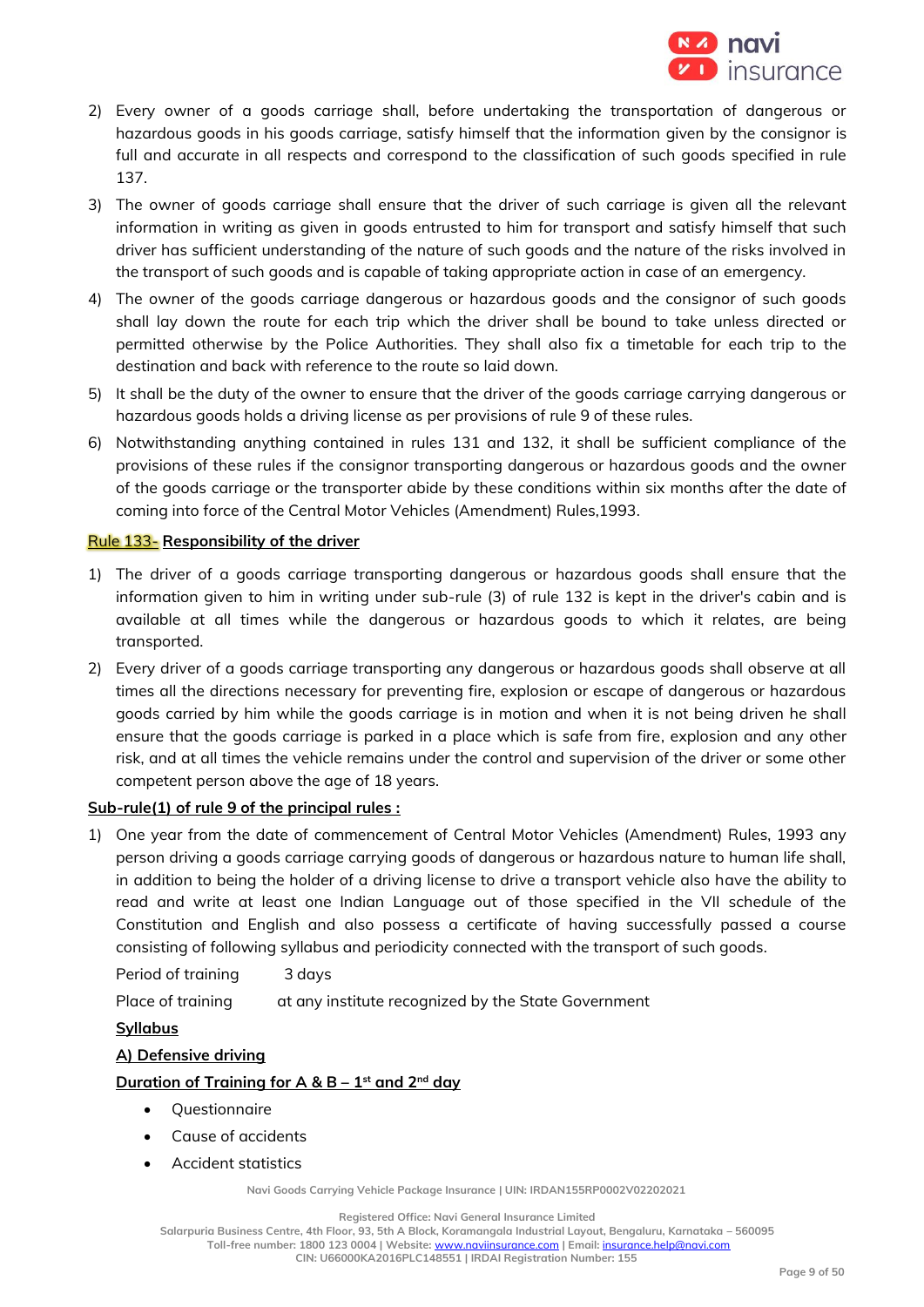

- 2) Every owner of a goods carriage shall, before undertaking the transportation of dangerous or hazardous goods in his goods carriage, satisfy himself that the information given by the consignor is full and accurate in all respects and correspond to the classification of such goods specified in rule 137.
- 3) The owner of goods carriage shall ensure that the driver of such carriage is given all the relevant information in writing as given in goods entrusted to him for transport and satisfy himself that such driver has sufficient understanding of the nature of such goods and the nature of the risks involved in the transport of such goods and is capable of taking appropriate action in case of an emergency.
- 4) The owner of the goods carriage dangerous or hazardous goods and the consignor of such goods shall lay down the route for each trip which the driver shall be bound to take unless directed or permitted otherwise by the Police Authorities. They shall also fix a timetable for each trip to the destination and back with reference to the route so laid down.
- 5) It shall be the duty of the owner to ensure that the driver of the goods carriage carrying dangerous or hazardous goods holds a driving license as per provisions of rule 9 of these rules.
- 6) Notwithstanding anything contained in rules 131 and 132, it shall be sufficient compliance of the provisions of these rules if the consignor transporting dangerous or hazardous goods and the owner of the goods carriage or the transporter abide by these conditions within six months after the date of coming into force of the Central Motor Vehicles (Amendment) Rules,1993.

# Rule 133- **Responsibility of the driver**

- 1) The driver of a goods carriage transporting dangerous or hazardous goods shall ensure that the information given to him in writing under sub-rule (3) of rule 132 is kept in the driver's cabin and is available at all times while the dangerous or hazardous goods to which it relates, are being transported.
- 2) Every driver of a goods carriage transporting any dangerous or hazardous goods shall observe at all times all the directions necessary for preventing fire, explosion or escape of dangerous or hazardous goods carried by him while the goods carriage is in motion and when it is not being driven he shall ensure that the goods carriage is parked in a place which is safe from fire, explosion and any other risk, and at all times the vehicle remains under the control and supervision of the driver or some other competent person above the age of 18 years.

# **Sub-rule(1) of rule 9 of the principal rules :**

1) One year from the date of commencement of Central Motor Vehicles (Amendment) Rules, 1993 any person driving a goods carriage carrying goods of dangerous or hazardous nature to human life shall, in addition to being the holder of a driving license to drive a transport vehicle also have the ability to read and write at least one Indian Language out of those specified in the VII schedule of the Constitution and English and also possess a certificate of having successfully passed a course consisting of following syllabus and periodicity connected with the transport of such goods.

Period of training 3 days

Place of training at any institute recognized by the State Government

# **Syllabus**

# **A) Defensive driving**

# **Duration of Training for A & B – 1 st and 2nd day**

- Questionnaire
- Cause of accidents
- Accident statistics

**Navi Goods Carrying Vehicle Package Insurance | UIN: IRDAN155RP0002V02202021**

**Registered Office: Navi General Insurance Limited**

**Salarpuria Business Centre, 4th Floor, 93, 5th A Block, Koramangala Industrial Layout, Bengaluru, Karnataka – 560095 Toll-free number: 1800 123 0004 | Website:** [www.naviinsurance.com](http://www.naviinsurance.com/) **| Email:** [insurance.help@navi.com](mailto:insurance.help@navi.com)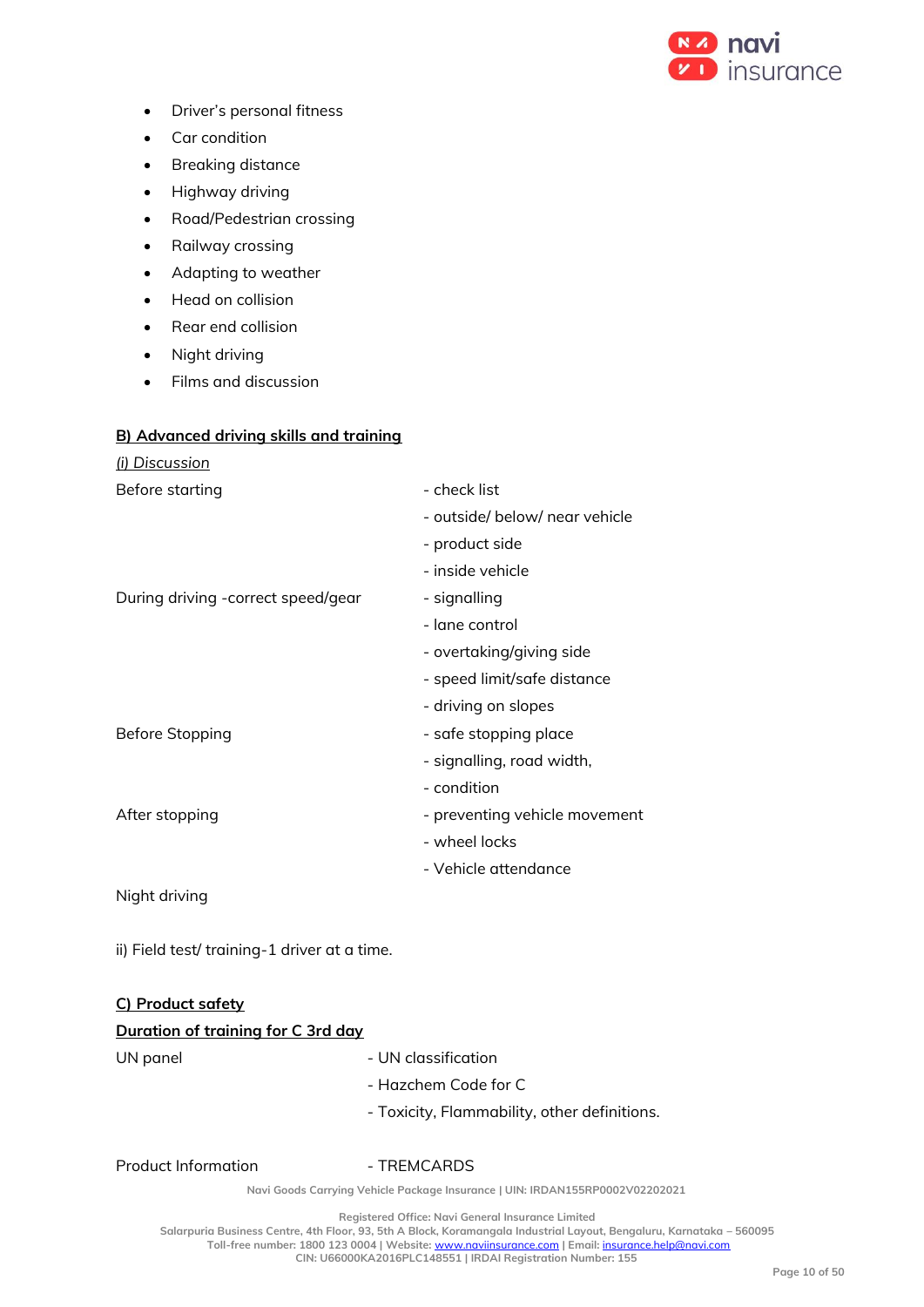

- Driver's personal fitness
- Car condition
- Breaking distance
- Highway driving
- Road/Pedestrian crossing
- Railway crossing
- Adapting to weather
- Head on collision
- Rear end collision
- Night driving
- Films and discussion

#### **B) Advanced driving skills and training**

| <u>(i) Discussion</u>               |                                |
|-------------------------------------|--------------------------------|
| Before starting                     | - check list                   |
|                                     | - outside/ below/ near vehicle |
|                                     | - product side                 |
|                                     | - inside vehicle               |
| During driving - correct speed/gear | - signalling                   |
|                                     | - lane control                 |
|                                     | - overtaking/giving side       |
|                                     | - speed limit/safe distance    |
|                                     | - driving on slopes            |
| Before Stopping                     | - safe stopping place          |
|                                     | - signalling, road width,      |
|                                     | - condition                    |
| After stopping                      | - preventing vehicle movement  |
|                                     | - wheel locks                  |
|                                     | - Vehicle attendance           |
|                                     |                                |

Night driving

ii) Field test/ training-1 driver at a time.

# **C) Product safety Duration of training for C 3rd day** UN panel and the UN classification - Hazchem Code for C - Toxicity, Flammability, other definitions.

Product Information **- TREMCARDS** 

**Navi Goods Carrying Vehicle Package Insurance | UIN: IRDAN155RP0002V02202021**

**Registered Office: Navi General Insurance Limited**

**Salarpuria Business Centre, 4th Floor, 93, 5th A Block, Koramangala Industrial Layout, Bengaluru, Karnataka – 560095 Toll-free number: 1800 123 0004 | Website:** [www.naviinsurance.com](http://www.naviinsurance.com/) **| Email:** [insurance.help@navi.com](mailto:insurance.help@navi.com)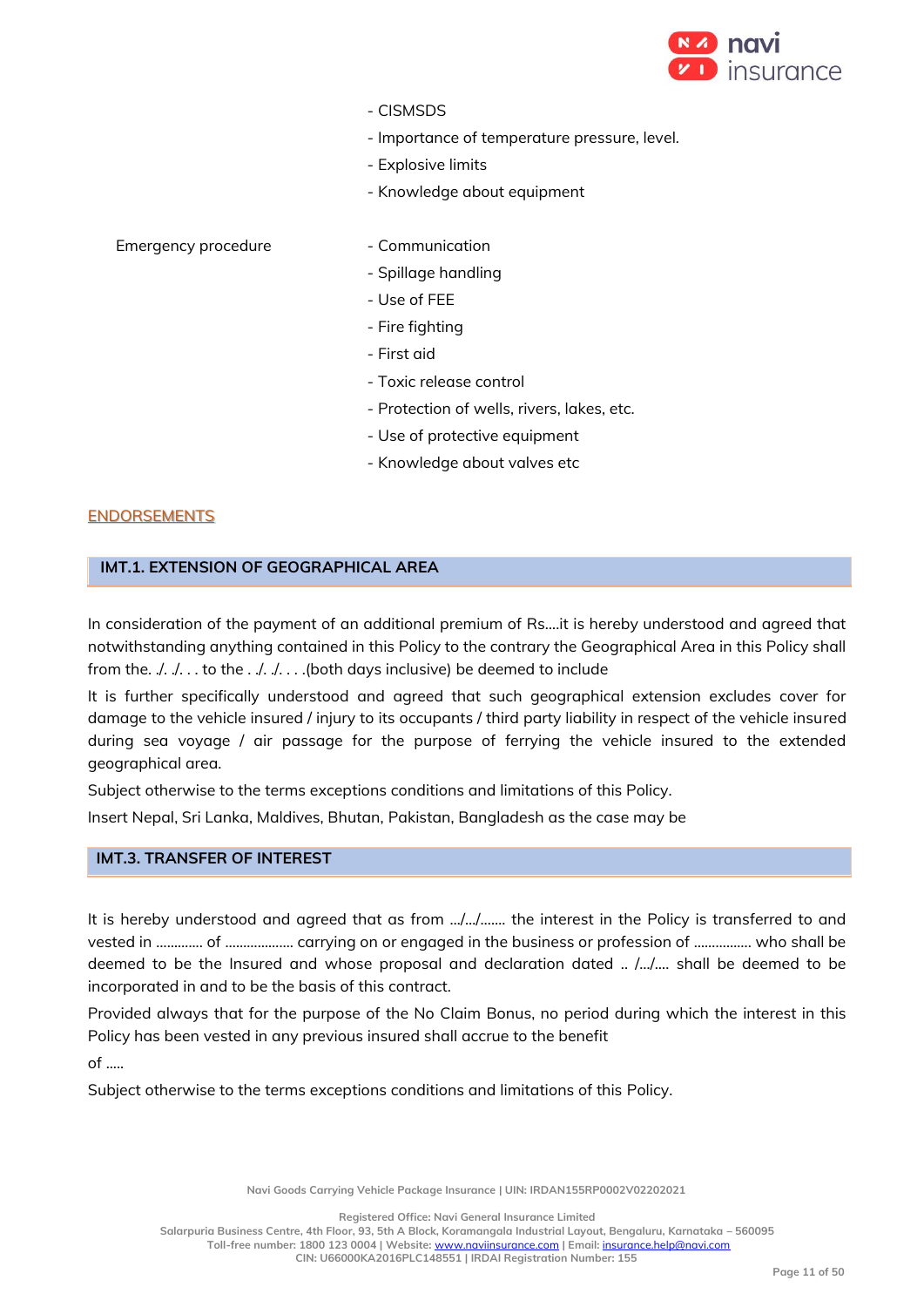

- CISMSDS
- Importance of temperature pressure, level.
- Explosive limits
- Knowledge about equipment

# Emergency procedure - Communication

- 
- Spillage handling
- Use of FEE
- Fire fighting
- First aid
- Toxic release control
- Protection of wells, rivers, lakes, etc.
- Use of protective equipment
- Knowledge about valves etc

#### ENDORSEMENTS

# **IMT.1. EXTENSION OF GEOGRAPHICAL AREA**

In consideration of the payment of an additional premium of Rs….it is hereby understood and agreed that notwithstanding anything contained in this Policy to the contrary the Geographical Area in this Policy shall from the.  $\sqrt{2}$ .  $\sqrt{2}$ . .. to the  $\sqrt{2}$ . ...(both days inclusive) be deemed to include

It is further specifically understood and agreed that such geographical extension excludes cover for damage to the vehicle insured / injury to its occupants / third party liability in respect of the vehicle insured during sea voyage / air passage for the purpose of ferrying the vehicle insured to the extended geographical area.

Subject otherwise to the terms exceptions conditions and limitations of this Policy.

Insert Nepal, Sri Lanka, Maldives, Bhutan, Pakistan, Bangladesh as the case may be

# **IMT.3. TRANSFER OF INTEREST**

It is hereby understood and agreed that as from …/…/……. the interest in the Policy is transferred to and vested in ……….... of ………………. carrying on or engaged in the business or profession of ……………. who shall be deemed to be the Insured and whose proposal and declaration dated .. /…/…. shall be deemed to be incorporated in and to be the basis of this contract.

Provided always that for the purpose of the No Claim Bonus, no period during which the interest in this Policy has been vested in any previous insured shall accrue to the benefit

 $of$  .....

Subject otherwise to the terms exceptions conditions and limitations of this Policy.

**Navi Goods Carrying Vehicle Package Insurance | UIN: IRDAN155RP0002V02202021**

**Registered Office: Navi General Insurance Limited**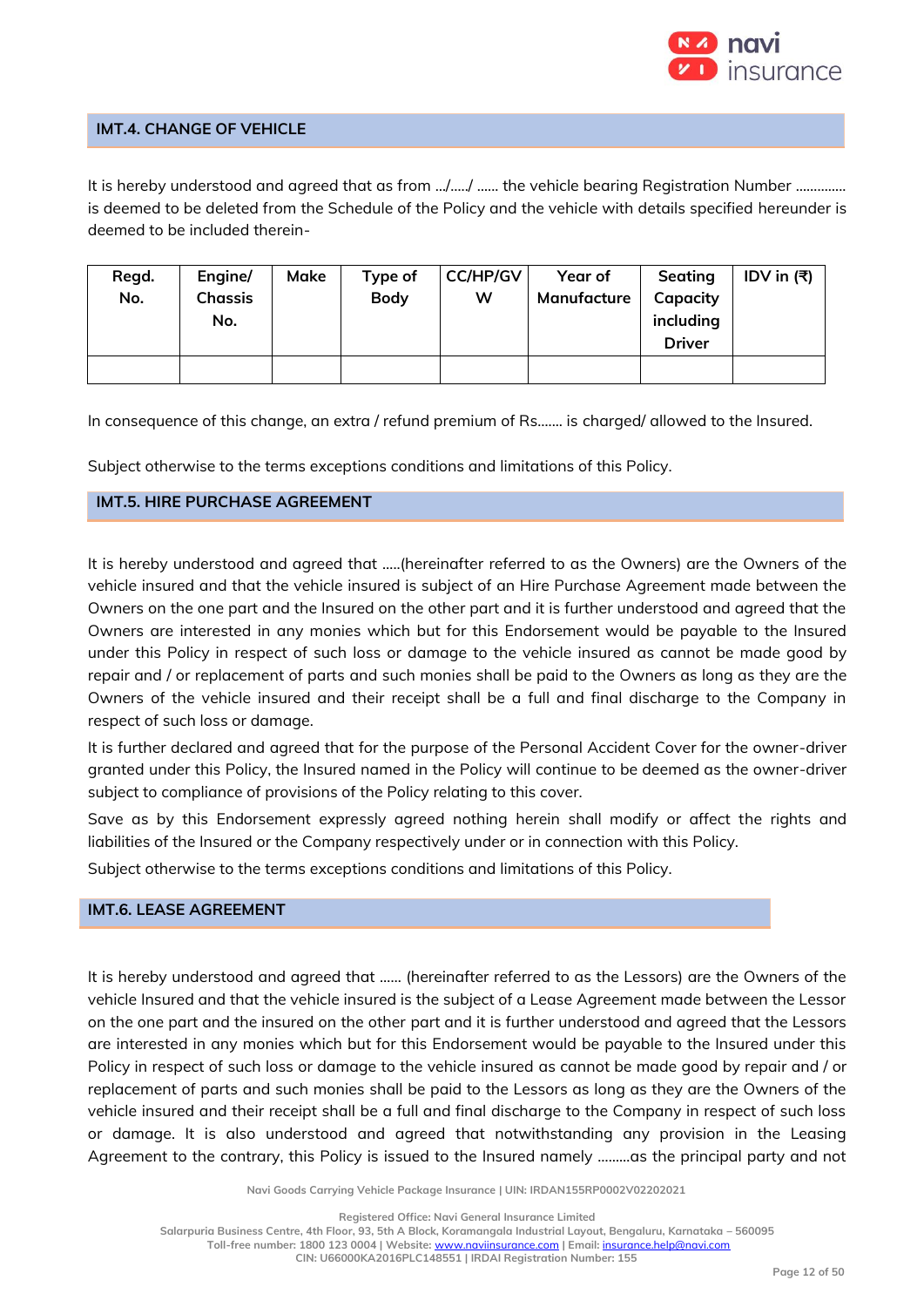

# **IMT.4. CHANGE OF VEHICLE**

It is hereby understood and agreed that as from .../...../ ...... the vehicle bearing Registration Number .............. is deemed to be deleted from the Schedule of the Policy and the vehicle with details specified hereunder is deemed to be included therein-

| Regd. | Engine/        | Make | Type of     | <b>CC/HP/GV</b> | Year of     | Seating       | IDV in $(3)$ |
|-------|----------------|------|-------------|-----------------|-------------|---------------|--------------|
| No.   | <b>Chassis</b> |      | <b>Body</b> | w               | Manufacture | Capacity      |              |
|       | No.            |      |             |                 |             | including     |              |
|       |                |      |             |                 |             | <b>Driver</b> |              |
|       |                |      |             |                 |             |               |              |

In consequence of this change, an extra / refund premium of Rs....... is charged/ allowed to the Insured.

Subject otherwise to the terms exceptions conditions and limitations of this Policy.

# **IMT.5. HIRE PURCHASE AGREEMENT**

It is hereby understood and agreed that …..(hereinafter referred to as the Owners) are the Owners of the vehicle insured and that the vehicle insured is subject of an Hire Purchase Agreement made between the Owners on the one part and the Insured on the other part and it is further understood and agreed that the Owners are interested in any monies which but for this Endorsement would be payable to the Insured under this Policy in respect of such loss or damage to the vehicle insured as cannot be made good by repair and / or replacement of parts and such monies shall be paid to the Owners as long as they are the Owners of the vehicle insured and their receipt shall be a full and final discharge to the Company in respect of such loss or damage.

It is further declared and agreed that for the purpose of the Personal Accident Cover for the owner-driver granted under this Policy, the Insured named in the Policy will continue to be deemed as the owner-driver subject to compliance of provisions of the Policy relating to this cover.

Save as by this Endorsement expressly agreed nothing herein shall modify or affect the rights and liabilities of the Insured or the Company respectively under or in connection with this Policy.

Subject otherwise to the terms exceptions conditions and limitations of this Policy.

# **IMT.6. LEASE AGREEMENT**

It is hereby understood and agreed that …… (hereinafter referred to as the Lessors) are the Owners of the vehicle Insured and that the vehicle insured is the subject of a Lease Agreement made between the Lessor on the one part and the insured on the other part and it is further understood and agreed that the Lessors are interested in any monies which but for this Endorsement would be payable to the Insured under this Policy in respect of such loss or damage to the vehicle insured as cannot be made good by repair and / or replacement of parts and such monies shall be paid to the Lessors as long as they are the Owners of the vehicle insured and their receipt shall be a full and final discharge to the Company in respect of such loss or damage. It is also understood and agreed that notwithstanding any provision in the Leasing Agreement to the contrary, this Policy is issued to the Insured namely ………as the principal party and not

**Navi Goods Carrying Vehicle Package Insurance | UIN: IRDAN155RP0002V02202021**

**Registered Office: Navi General Insurance Limited**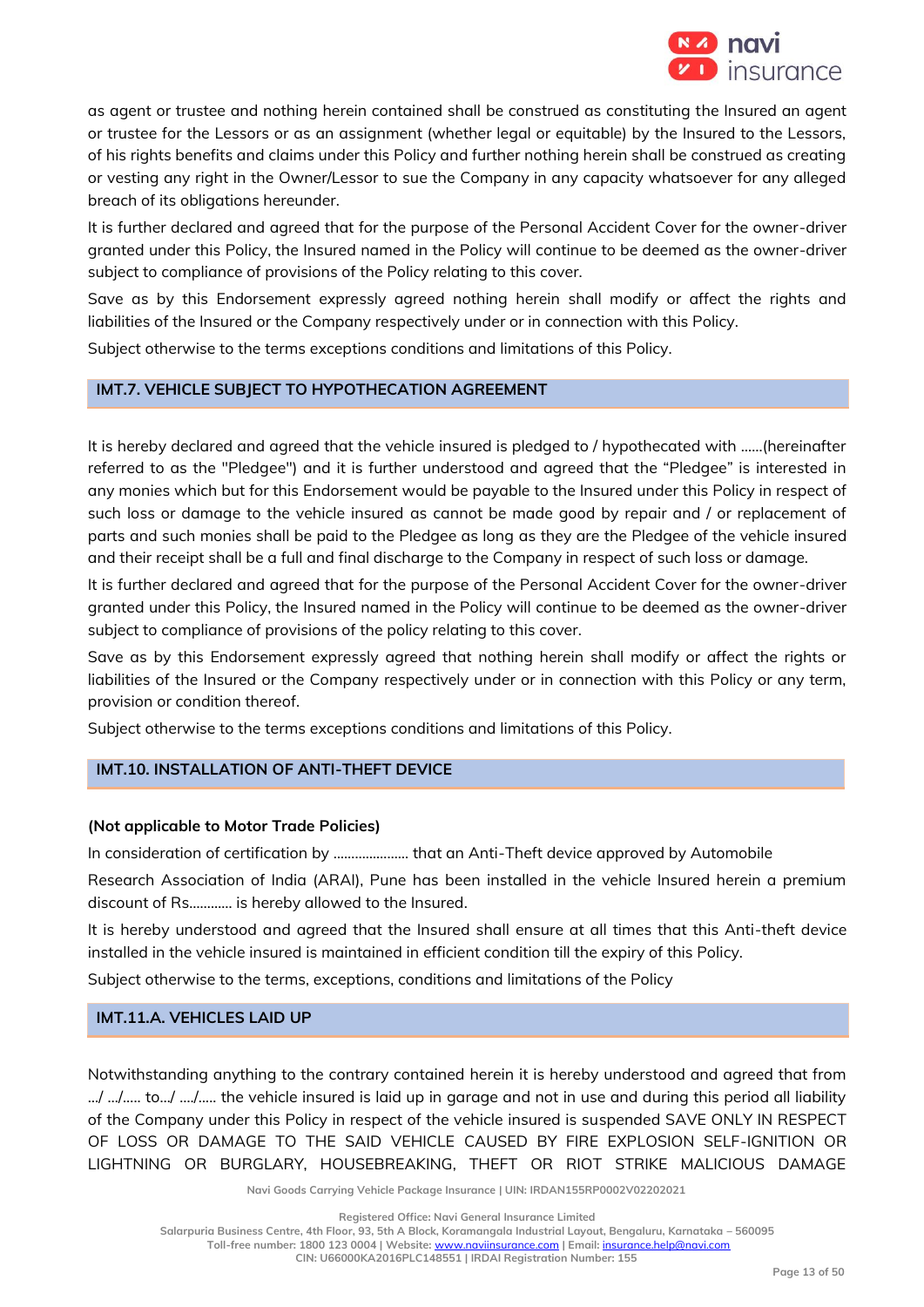

as agent or trustee and nothing herein contained shall be construed as constituting the Insured an agent or trustee for the Lessors or as an assignment (whether legal or equitable) by the Insured to the Lessors, of his rights benefits and claims under this Policy and further nothing herein shall be construed as creating or vesting any right in the Owner/Lessor to sue the Company in any capacity whatsoever for any alleged breach of its obligations hereunder.

It is further declared and agreed that for the purpose of the Personal Accident Cover for the owner-driver granted under this Policy, the Insured named in the Policy will continue to be deemed as the owner-driver subject to compliance of provisions of the Policy relating to this cover.

Save as by this Endorsement expressly agreed nothing herein shall modify or affect the rights and liabilities of the Insured or the Company respectively under or in connection with this Policy.

Subject otherwise to the terms exceptions conditions and limitations of this Policy.

# **IMT.7. VEHICLE SUBJECT TO HYPOTHECATION AGREEMENT**

It is hereby declared and agreed that the vehicle insured is pledged to / hypothecated with ……(hereinafter referred to as the "Pledgee") and it is further understood and agreed that the "Pledgee" is interested in any monies which but for this Endorsement would be payable to the Insured under this Policy in respect of such loss or damage to the vehicle insured as cannot be made good by repair and / or replacement of parts and such monies shall be paid to the Pledgee as long as they are the Pledgee of the vehicle insured and their receipt shall be a full and final discharge to the Company in respect of such loss or damage.

It is further declared and agreed that for the purpose of the Personal Accident Cover for the owner-driver granted under this Policy, the Insured named in the Policy will continue to be deemed as the owner-driver subject to compliance of provisions of the policy relating to this cover.

Save as by this Endorsement expressly agreed that nothing herein shall modify or affect the rights or liabilities of the Insured or the Company respectively under or in connection with this Policy or any term, provision or condition thereof.

Subject otherwise to the terms exceptions conditions and limitations of this Policy.

# **IMT.10. INSTALLATION OF ANTI-THEFT DEVICE**

#### **(Not applicable to Motor Trade Policies)**

In consideration of certification by ………………… that an Anti-Theft device approved by Automobile

Research Association of India (ARAI), Pune has been installed in the vehicle Insured herein a premium discount of Rs………… is hereby allowed to the Insured.

It is hereby understood and agreed that the Insured shall ensure at all times that this Anti-theft device installed in the vehicle insured is maintained in efficient condition till the expiry of this Policy.

Subject otherwise to the terms, exceptions, conditions and limitations of the Policy

# **IMT.11.A. VEHICLES LAID UP**

Notwithstanding anything to the contrary contained herein it is hereby understood and agreed that from …/ …/….. to…/ …./….. the vehicle insured is laid up in garage and not in use and during this period all liability of the Company under this Policy in respect of the vehicle insured is suspended SAVE ONLY IN RESPECT OF LOSS OR DAMAGE TO THE SAID VEHICLE CAUSED BY FIRE EXPLOSION SELF-IGNITION OR LIGHTNING OR BURGLARY, HOUSEBREAKING, THEFT OR RIOT STRIKE MALICIOUS DAMAGE

**Navi Goods Carrying Vehicle Package Insurance | UIN: IRDAN155RP0002V02202021**

**Registered Office: Navi General Insurance Limited**

**Salarpuria Business Centre, 4th Floor, 93, 5th A Block, Koramangala Industrial Layout, Bengaluru, Karnataka – 560095**

**Toll-free number: 1800 123 0004 | Website:** [www.naviinsurance.com](http://www.naviinsurance.com/) **| Email:** [insurance.help@navi.com](mailto:insurance.help@navi.com)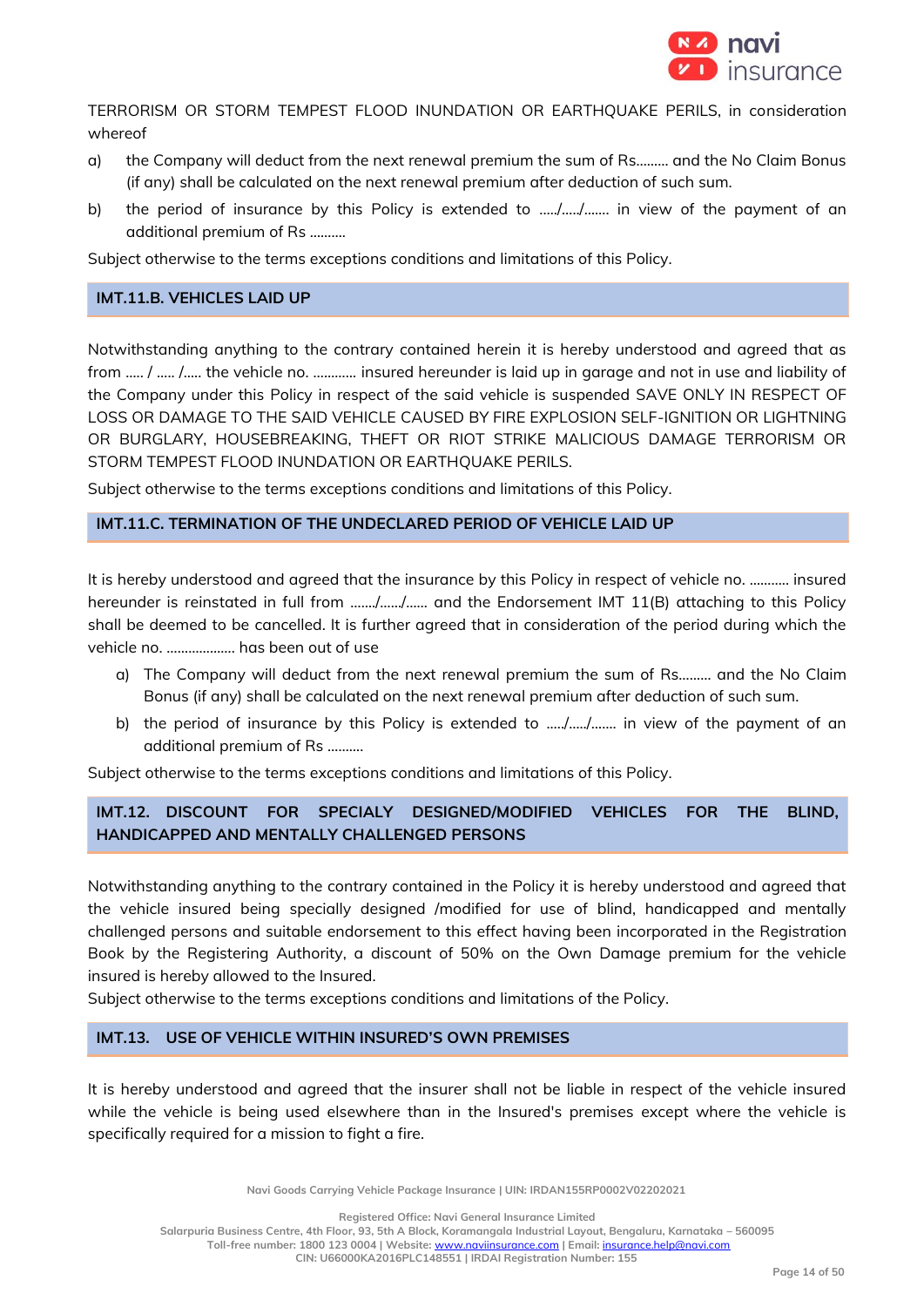

TERRORISM OR STORM TEMPEST FLOOD INUNDATION OR EARTHQUAKE PERILS, in consideration whereof

- a) the Company will deduct from the next renewal premium the sum of Rs……… and the No Claim Bonus (if any) shall be calculated on the next renewal premium after deduction of such sum.
- b) the period of insurance by this Policy is extended to ...../............. in view of the payment of an additional premium of Rs ……….

Subject otherwise to the terms exceptions conditions and limitations of this Policy.

# **IMT.11.B. VEHICLES LAID UP**

Notwithstanding anything to the contrary contained herein it is hereby understood and agreed that as from ….. / ….. /….. the vehicle no. ………… insured hereunder is laid up in garage and not in use and liability of the Company under this Policy in respect of the said vehicle is suspended SAVE ONLY IN RESPECT OF LOSS OR DAMAGE TO THE SAID VEHICLE CAUSED BY FIRE EXPLOSION SELF-IGNITION OR LIGHTNING OR BURGLARY, HOUSEBREAKING, THEFT OR RIOT STRIKE MALICIOUS DAMAGE TERRORISM OR STORM TEMPEST FLOOD INUNDATION OR EARTHQUAKE PERILS.

Subject otherwise to the terms exceptions conditions and limitations of this Policy.

# **IMT.11.C. TERMINATION OF THE UNDECLARED PERIOD OF VEHICLE LAID UP**

It is hereby understood and agreed that the insurance by this Policy in respect of vehicle no. ……….. insured hereunder is reinstated in full from ……./……/…… and the Endorsement IMT 11(B) attaching to this Policy shall be deemed to be cancelled. It is further agreed that in consideration of the period during which the vehicle no. ………………. has been out of use

- a) The Company will deduct from the next renewal premium the sum of Rs……… and the No Claim Bonus (if any) shall be calculated on the next renewal premium after deduction of such sum.
- b) the period of insurance by this Policy is extended to ...../............. in view of the payment of an additional premium of Rs ……….

Subject otherwise to the terms exceptions conditions and limitations of this Policy.

# **IMT.12. DISCOUNT FOR SPECIALY DESIGNED/MODIFIED VEHICLES FOR THE BLIND, HANDICAPPED AND MENTALLY CHALLENGED PERSONS**

Notwithstanding anything to the contrary contained in the Policy it is hereby understood and agreed that the vehicle insured being specially designed /modified for use of blind, handicapped and mentally challenged persons and suitable endorsement to this effect having been incorporated in the Registration Book by the Registering Authority, a discount of 50% on the Own Damage premium for the vehicle insured is hereby allowed to the Insured.

Subject otherwise to the terms exceptions conditions and limitations of the Policy.

# **IMT.13. USE OF VEHICLE WITHIN INSURED'S OWN PREMISES**

It is hereby understood and agreed that the insurer shall not be liable in respect of the vehicle insured while the vehicle is being used elsewhere than in the Insured's premises except where the vehicle is specifically required for a mission to fight a fire.

**Navi Goods Carrying Vehicle Package Insurance | UIN: IRDAN155RP0002V02202021**

**Registered Office: Navi General Insurance Limited**

**Salarpuria Business Centre, 4th Floor, 93, 5th A Block, Koramangala Industrial Layout, Bengaluru, Karnataka – 560095**

**Toll-free number: 1800 123 0004 | Website:** [www.naviinsurance.com](http://www.naviinsurance.com/) **| Email:** [insurance.help@navi.com](mailto:insurance.help@navi.com)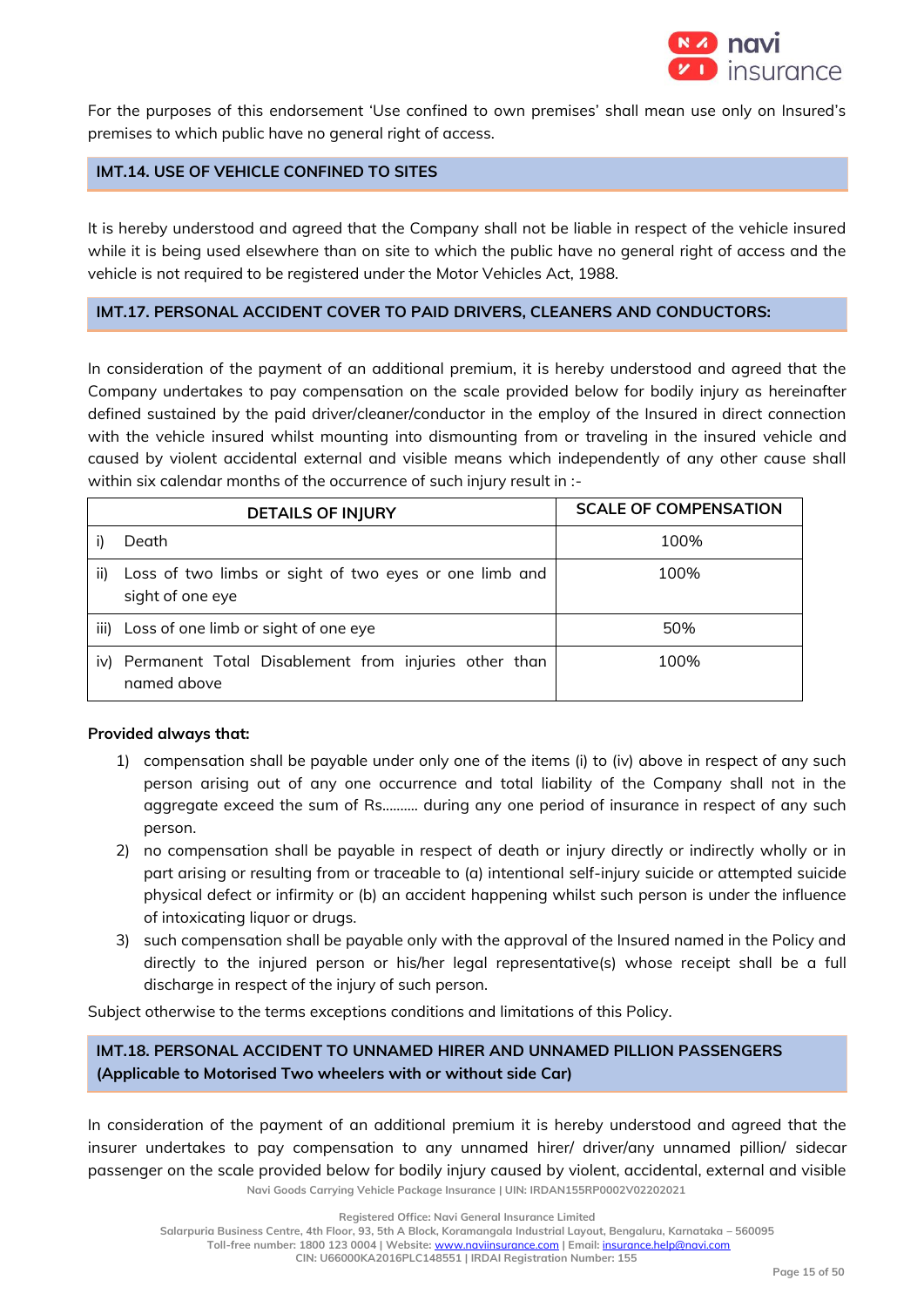

For the purposes of this endorsement 'Use confined to own premises' shall mean use only on Insured's premises to which public have no general right of access.

# **IMT.14. USE OF VEHICLE CONFINED TO SITES**

It is hereby understood and agreed that the Company shall not be liable in respect of the vehicle insured while it is being used elsewhere than on site to which the public have no general right of access and the vehicle is not required to be registered under the Motor Vehicles Act, 1988.

#### **IMT.17. PERSONAL ACCIDENT COVER TO PAID DRIVERS, CLEANERS AND CONDUCTORS:**

In consideration of the payment of an additional premium, it is hereby understood and agreed that the Company undertakes to pay compensation on the scale provided below for bodily injury as hereinafter defined sustained by the paid driver/cleaner/conductor in the employ of the Insured in direct connection with the vehicle insured whilst mounting into dismounting from or traveling in the insured vehicle and caused by violent accidental external and visible means which independently of any other cause shall within six calendar months of the occurrence of such injury result in :-

|      | <b>DETAILS OF INJURY</b>                                                   | <b>SCALE OF COMPENSATION</b> |
|------|----------------------------------------------------------------------------|------------------------------|
|      | Death                                                                      | 100%                         |
| ii)  | Loss of two limbs or sight of two eyes or one limb and<br>sight of one eye | 100%                         |
| iii) | Loss of one limb or sight of one eye                                       | 50%                          |
| IV)  | Permanent Total Disablement from injuries other than<br>named above        | 100%                         |

#### **Provided always that:**

- 1) compensation shall be payable under only one of the items  $(i)$  to  $(iv)$  above in respect of any such person arising out of any one occurrence and total liability of the Company shall not in the aggregate exceed the sum of Rs.....….. during any one period of insurance in respect of any such person.
- 2) no compensation shall be payable in respect of death or injury directly or indirectly wholly or in part arising or resulting from or traceable to (a) intentional self-injury suicide or attempted suicide physical defect or infirmity or (b) an accident happening whilst such person is under the influence of intoxicating liquor or drugs.
- 3) such compensation shall be payable only with the approval of the Insured named in the Policy and directly to the injured person or his/her legal representative(s) whose receipt shall be a full discharge in respect of the injury of such person.

Subject otherwise to the terms exceptions conditions and limitations of this Policy.

# **IMT.18. PERSONAL ACCIDENT TO UNNAMED HIRER AND UNNAMED PILLION PASSENGERS (Applicable to Motorised Two wheelers with or without side Car)**

**Navi Goods Carrying Vehicle Package Insurance | UIN: IRDAN155RP0002V02202021** In consideration of the payment of an additional premium it is hereby understood and agreed that the insurer undertakes to pay compensation to any unnamed hirer/ driver/any unnamed pillion/ sidecar passenger on the scale provided below for bodily injury caused by violent, accidental, external and visible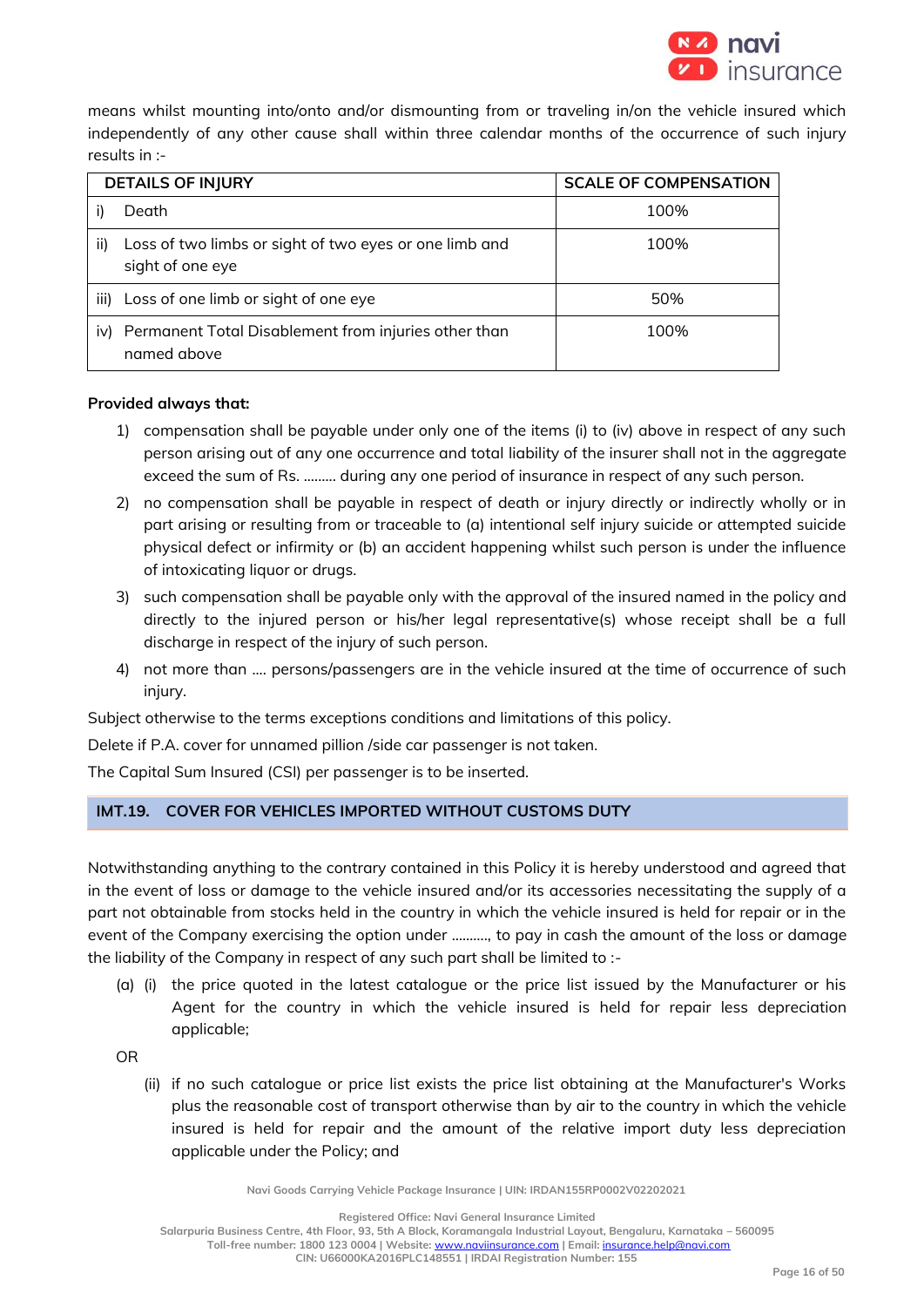

means whilst mounting into/onto and/or dismounting from or traveling in/on the vehicle insured which independently of any other cause shall within three calendar months of the occurrence of such injury results in :-

| <b>DETAILS OF INJURY</b> |                                                                            | <b>SCALE OF COMPENSATION</b> |
|--------------------------|----------------------------------------------------------------------------|------------------------------|
|                          | Death                                                                      | 100%                         |
| ii)                      | Loss of two limbs or sight of two eyes or one limb and<br>sight of one eye | 100%                         |
| iii)                     | Loss of one limb or sight of one eye                                       | 50%                          |
| iv)                      | Permanent Total Disablement from injuries other than<br>named above        | 100%                         |

#### **Provided always that:**

- 1) compensation shall be payable under only one of the items (i) to (iv) above in respect of any such person arising out of any one occurrence and total liability of the insurer shall not in the aggregate exceed the sum of Rs. ....….. during any one period of insurance in respect of any such person.
- 2) no compensation shall be payable in respect of death or injury directly or indirectly wholly or in part arising or resulting from or traceable to (a) intentional self injury suicide or attempted suicide physical defect or infirmity or (b) an accident happening whilst such person is under the influence of intoxicating liquor or drugs.
- 3) such compensation shall be payable only with the approval of the insured named in the policy and directly to the injured person or his/her legal representative(s) whose receipt shall be a full discharge in respect of the injury of such person.
- 4) not more than .... persons/passengers are in the vehicle insured at the time of occurrence of such injury.

Subject otherwise to the terms exceptions conditions and limitations of this policy.

Delete if P.A. cover for unnamed pillion /side car passenger is not taken.

The Capital Sum Insured (CSI) per passenger is to be inserted.

# **IMT.19. COVER FOR VEHICLES IMPORTED WITHOUT CUSTOMS DUTY**

Notwithstanding anything to the contrary contained in this Policy it is hereby understood and agreed that in the event of loss or damage to the vehicle insured and/or its accessories necessitating the supply of a part not obtainable from stocks held in the country in which the vehicle insured is held for repair or in the event of the Company exercising the option under ………., to pay in cash the amount of the loss or damage the liability of the Company in respect of any such part shall be limited to :-

(a) (i) the price quoted in the latest catalogue or the price list issued by the Manufacturer or his Agent for the country in which the vehicle insured is held for repair less depreciation applicable;

OR

(ii) if no such catalogue or price list exists the price list obtaining at the Manufacturer's Works plus the reasonable cost of transport otherwise than by air to the country in which the vehicle insured is held for repair and the amount of the relative import duty less depreciation applicable under the Policy; and

**Navi Goods Carrying Vehicle Package Insurance | UIN: IRDAN155RP0002V02202021**

**Registered Office: Navi General Insurance Limited**

**Salarpuria Business Centre, 4th Floor, 93, 5th A Block, Koramangala Industrial Layout, Bengaluru, Karnataka – 560095 Toll-free number: 1800 123 0004 | Website:** [www.naviinsurance.com](http://www.naviinsurance.com/) **| Email:** [insurance.help@navi.com](mailto:insurance.help@navi.com)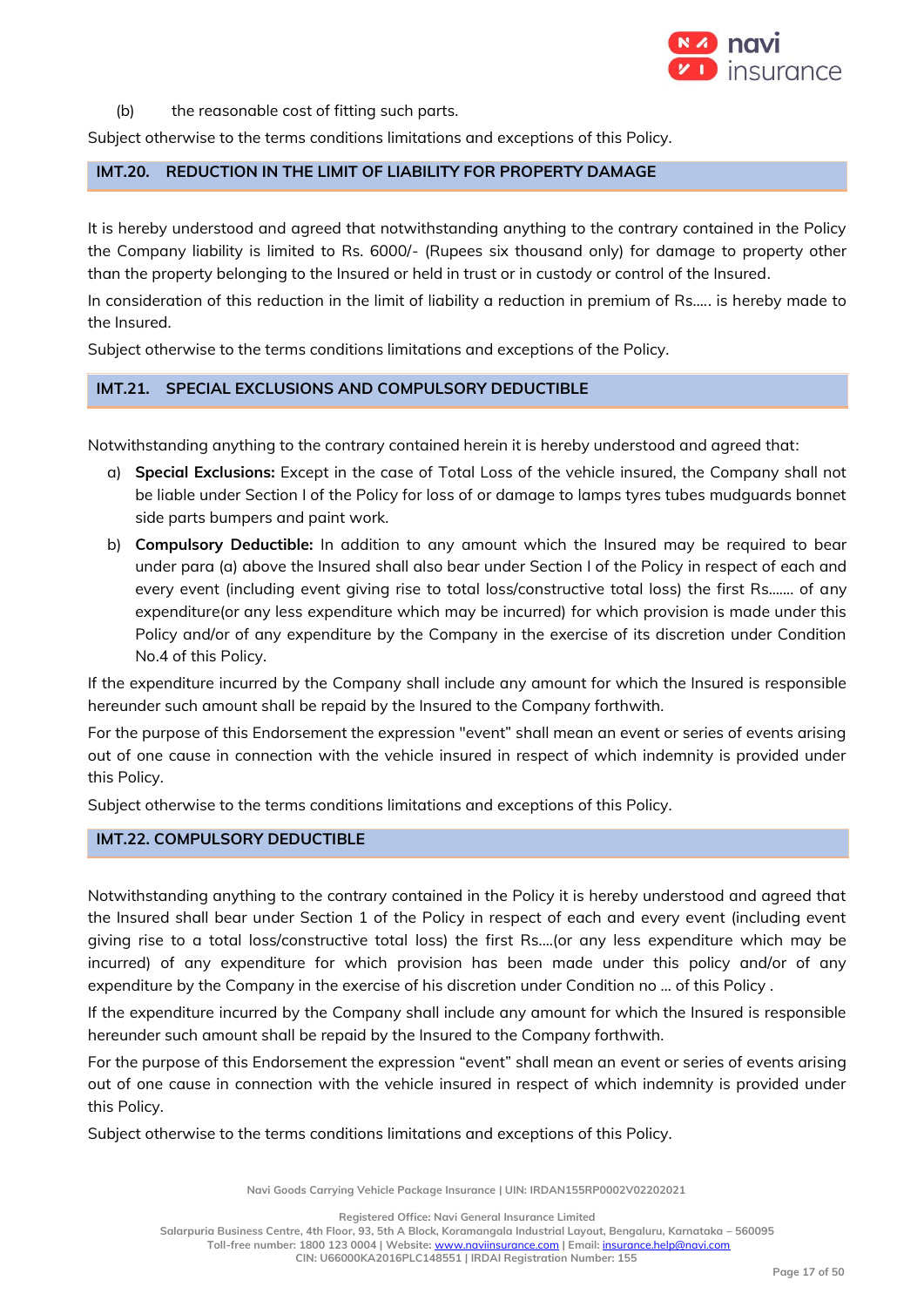

(b) the reasonable cost of fitting such parts.

Subject otherwise to the terms conditions limitations and exceptions of this Policy.

# **IMT.20. REDUCTION IN THE LIMIT OF LIABILITY FOR PROPERTY DAMAGE**

It is hereby understood and agreed that notwithstanding anything to the contrary contained in the Policy the Company liability is limited to Rs. 6000/- (Rupees six thousand only) for damage to property other than the property belonging to the Insured or held in trust or in custody or control of the Insured.

In consideration of this reduction in the limit of liability a reduction in premium of Rs….. is hereby made to the Insured.

Subject otherwise to the terms conditions limitations and exceptions of the Policy.

# **IMT.21. SPECIAL EXCLUSIONS AND COMPULSORY DEDUCTIBLE**

Notwithstanding anything to the contrary contained herein it is hereby understood and agreed that:

- a) **Special Exclusions:** Except in the case of Total Loss of the vehicle insured, the Company shall not be liable under Section I of the Policy for loss of or damage to lamps tyres tubes mudguards bonnet side parts bumpers and paint work.
- b) **Compulsory Deductible:** In addition to any amount which the Insured may be required to bear under para (a) above the Insured shall also bear under Section I of the Policy in respect of each and every event (including event giving rise to total loss/constructive total loss) the first Rs....... of any expenditure(or any less expenditure which may be incurred) for which provision is made under this Policy and/or of any expenditure by the Company in the exercise of its discretion under Condition No.4 of this Policy.

If the expenditure incurred by the Company shall include any amount for which the Insured is responsible hereunder such amount shall be repaid by the Insured to the Company forthwith.

For the purpose of this Endorsement the expression "event" shall mean an event or series of events arising out of one cause in connection with the vehicle insured in respect of which indemnity is provided under this Policy.

Subject otherwise to the terms conditions limitations and exceptions of this Policy.

# **IMT.22. COMPULSORY DEDUCTIBLE**

Notwithstanding anything to the contrary contained in the Policy it is hereby understood and agreed that the Insured shall bear under Section 1 of the Policy in respect of each and every event (including event giving rise to a total loss/constructive total loss) the first Rs....(or any less expenditure which may be incurred) of any expenditure for which provision has been made under this policy and/or of any expenditure by the Company in the exercise of his discretion under Condition no … of this Policy .

If the expenditure incurred by the Company shall include any amount for which the Insured is responsible hereunder such amount shall be repaid by the Insured to the Company forthwith.

For the purpose of this Endorsement the expression "event" shall mean an event or series of events arising out of one cause in connection with the vehicle insured in respect of which indemnity is provided under this Policy.

Subject otherwise to the terms conditions limitations and exceptions of this Policy.

**Navi Goods Carrying Vehicle Package Insurance | UIN: IRDAN155RP0002V02202021**

**Registered Office: Navi General Insurance Limited**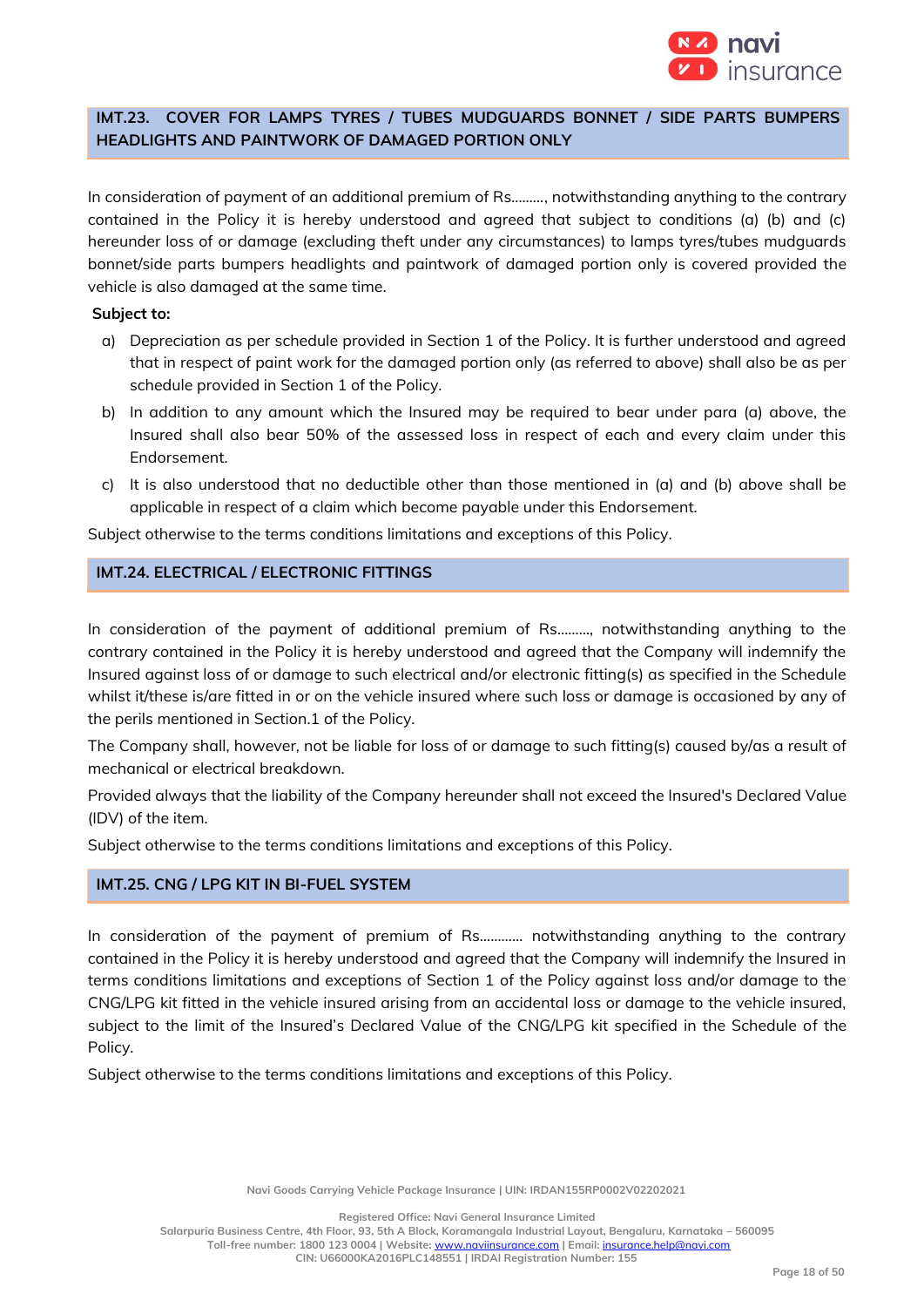

# **IMT.23. COVER FOR LAMPS TYRES / TUBES MUDGUARDS BONNET / SIDE PARTS BUMPERS HEADLIGHTS AND PAINTWORK OF DAMAGED PORTION ONLY**

In consideration of payment of an additional premium of Rs....….., notwithstanding anything to the contrary contained in the Policy it is hereby understood and agreed that subject to conditions (a) (b) and (c) hereunder loss of or damage (excluding theft under any circumstances) to lamps tyres/tubes mudguards bonnet/side parts bumpers headlights and paintwork of damaged portion only is covered provided the vehicle is also damaged at the same time.

#### **Subject to:**

- a) Depreciation as per schedule provided in Section 1 of the Policy. It is further understood and agreed that in respect of paint work for the damaged portion only (as referred to above) shall also be as per schedule provided in Section 1 of the Policy.
- b) In addition to any amount which the Insured may be required to bear under para (a) above, the Insured shall also bear 50% of the assessed loss in respect of each and every claim under this Endorsement.
- c) It is also understood that no deductible other than those mentioned in (a) and (b) above shall be applicable in respect of a claim which become payable under this Endorsement.

Subject otherwise to the terms conditions limitations and exceptions of this Policy.

# **IMT.24. ELECTRICAL / ELECTRONIC FITTINGS**

In consideration of the payment of additional premium of Rs………, notwithstanding anything to the contrary contained in the Policy it is hereby understood and agreed that the Company will indemnify the Insured against loss of or damage to such electrical and/or electronic fitting(s) as specified in the Schedule whilst it/these is/are fitted in or on the vehicle insured where such loss or damage is occasioned by any of the perils mentioned in Section.1 of the Policy.

The Company shall, however, not be liable for loss of or damage to such fitting(s) caused by/as a result of mechanical or electrical breakdown.

Provided always that the liability of the Company hereunder shall not exceed the Insured's Declared Value (IDV) of the item.

Subject otherwise to the terms conditions limitations and exceptions of this Policy.

# **IMT.25. CNG / LPG KIT IN BI-FUEL SYSTEM**

In consideration of the payment of premium of Rs………… notwithstanding anything to the contrary contained in the Policy it is hereby understood and agreed that the Company will indemnify the Insured in terms conditions limitations and exceptions of Section 1 of the Policy against loss and/or damage to the CNG/LPG kit fitted in the vehicle insured arising from an accidental loss or damage to the vehicle insured, subject to the limit of the Insured's Declared Value of the CNG/LPG kit specified in the Schedule of the Policy.

Subject otherwise to the terms conditions limitations and exceptions of this Policy.

**Navi Goods Carrying Vehicle Package Insurance | UIN: IRDAN155RP0002V02202021**

**Registered Office: Navi General Insurance Limited**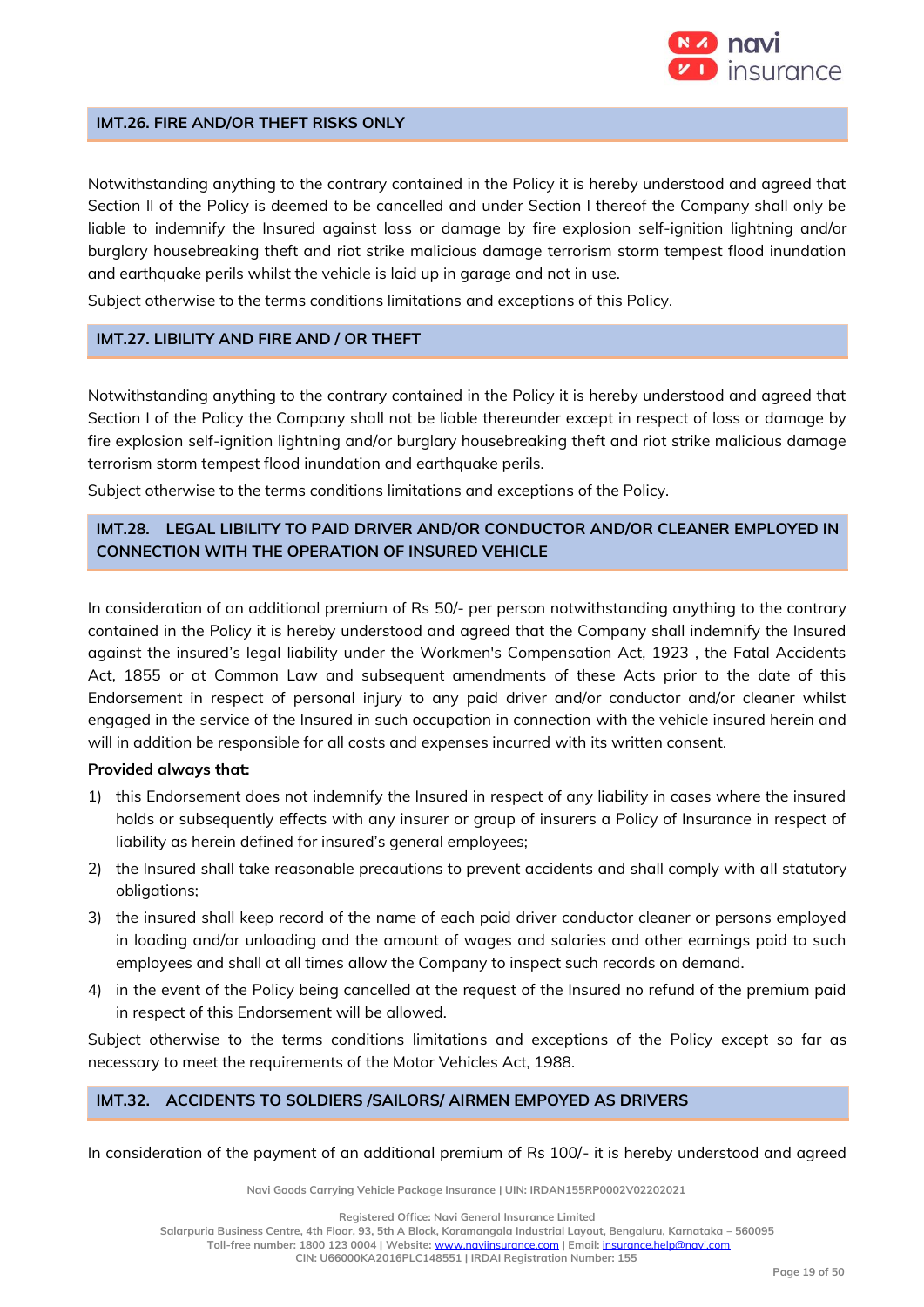

#### **IMT.26. FIRE AND/OR THEFT RISKS ONLY**

Notwithstanding anything to the contrary contained in the Policy it is hereby understood and agreed that Section II of the Policy is deemed to be cancelled and under Section I thereof the Company shall only be liable to indemnify the Insured against loss or damage by fire explosion self-ignition lightning and/or burglary housebreaking theft and riot strike malicious damage terrorism storm tempest flood inundation and earthquake perils whilst the vehicle is laid up in garage and not in use.

Subject otherwise to the terms conditions limitations and exceptions of this Policy.

# **IMT.27. LIBILITY AND FIRE AND / OR THEFT**

Notwithstanding anything to the contrary contained in the Policy it is hereby understood and agreed that Section I of the Policy the Company shall not be liable thereunder except in respect of loss or damage by fire explosion self-ignition lightning and/or burglary housebreaking theft and riot strike malicious damage terrorism storm tempest flood inundation and earthquake perils.

Subject otherwise to the terms conditions limitations and exceptions of the Policy.

# **IMT.28. LEGAL LIBILITY TO PAID DRIVER AND/OR CONDUCTOR AND/OR CLEANER EMPLOYED IN CONNECTION WITH THE OPERATION OF INSURED VEHICLE**

In consideration of an additional premium of Rs 50/- per person notwithstanding anything to the contrary contained in the Policy it is hereby understood and agreed that the Company shall indemnify the Insured against the insured's legal liability under the Workmen's Compensation Act, 1923 , the Fatal Accidents Act, 1855 or at Common Law and subsequent amendments of these Acts prior to the date of this Endorsement in respect of personal injury to any paid driver and/or conductor and/or cleaner whilst engaged in the service of the Insured in such occupation in connection with the vehicle insured herein and will in addition be responsible for all costs and expenses incurred with its written consent.

#### **Provided always that:**

- 1) this Endorsement does not indemnify the Insured in respect of any liability in cases where the insured holds or subsequently effects with any insurer or group of insurers a Policy of Insurance in respect of liability as herein defined for insured's general employees;
- 2) the Insured shall take reasonable precautions to prevent accidents and shall comply with all statutory obligations;
- 3) the insured shall keep record of the name of each paid driver conductor cleaner or persons employed in loading and/or unloading and the amount of wages and salaries and other earnings paid to such employees and shall at all times allow the Company to inspect such records on demand.
- 4) in the event of the Policy being cancelled at the request of the Insured no refund of the premium paid in respect of this Endorsement will be allowed.

Subject otherwise to the terms conditions limitations and exceptions of the Policy except so far as necessary to meet the requirements of the Motor Vehicles Act, 1988.

# **IMT.32. ACCIDENTS TO SOLDIERS /SAILORS/ AIRMEN EMPOYED AS DRIVERS**

In consideration of the payment of an additional premium of Rs 100/- it is hereby understood and agreed

**Navi Goods Carrying Vehicle Package Insurance | UIN: IRDAN155RP0002V02202021**

**Registered Office: Navi General Insurance Limited Salarpuria Business Centre, 4th Floor, 93, 5th A Block, Koramangala Industrial Layout, Bengaluru, Karnataka – 560095 Toll-free number: 1800 123 0004 | Website:** [www.naviinsurance.com](http://www.naviinsurance.com/) **| Email:** [insurance.help@navi.com](mailto:insurance.help@navi.com)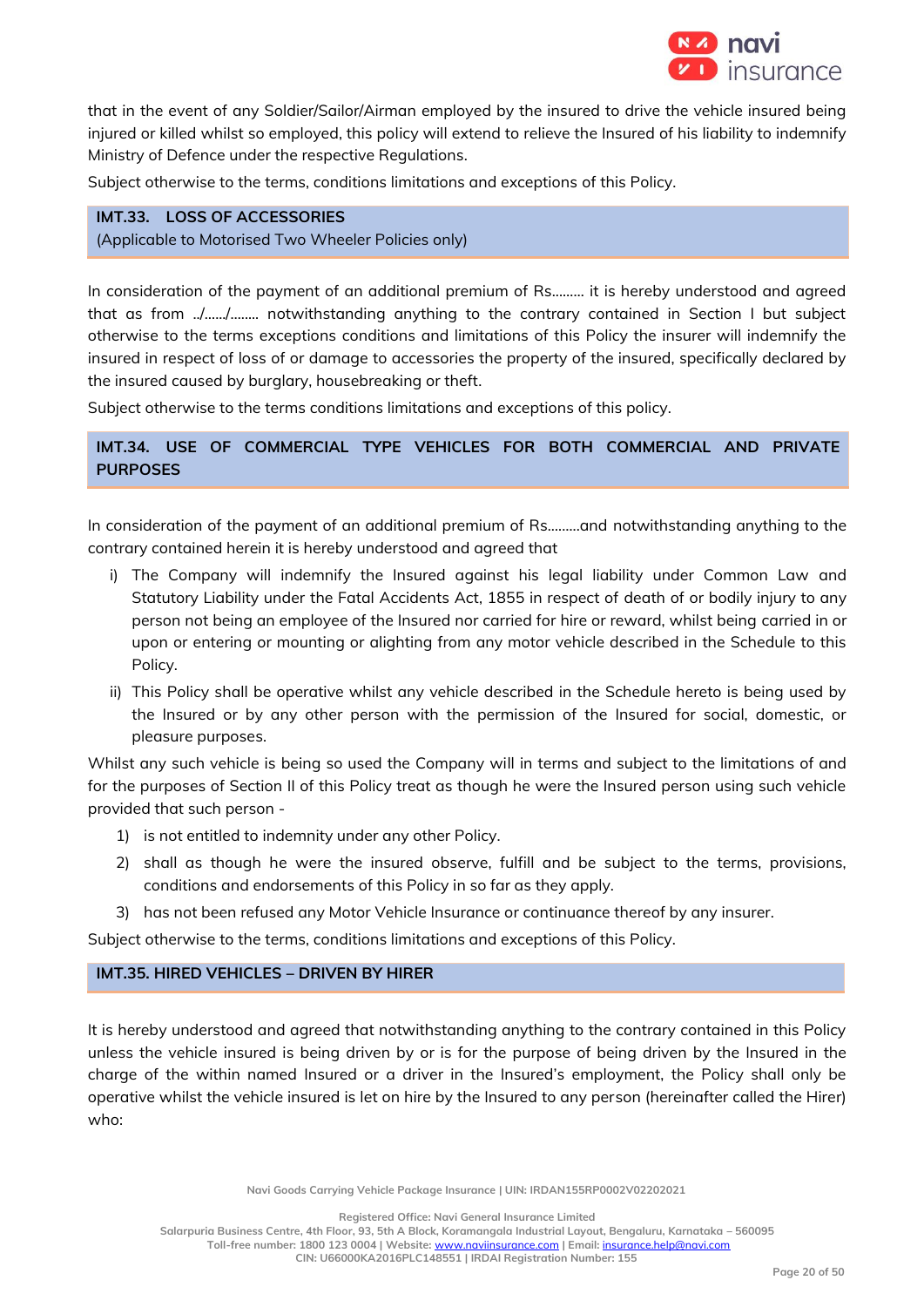

that in the event of any Soldier/Sailor/Airman employed by the insured to drive the vehicle insured being injured or killed whilst so employed, this policy will extend to relieve the Insured of his liability to indemnify Ministry of Defence under the respective Regulations.

Subject otherwise to the terms, conditions limitations and exceptions of this Policy.

# **IMT.33. LOSS OF ACCESSORIES**

(Applicable to Motorised Two Wheeler Policies only)

In consideration of the payment of an additional premium of Rs...…… it is hereby understood and agreed that as from ../….../…..... notwithstanding anything to the contrary contained in Section I but subject otherwise to the terms exceptions conditions and limitations of this Policy the insurer will indemnify the insured in respect of loss of or damage to accessories the property of the insured, specifically declared by the insured caused by burglary, housebreaking or theft.

Subject otherwise to the terms conditions limitations and exceptions of this policy.

# **IMT.34. USE OF COMMERCIAL TYPE VEHICLES FOR BOTH COMMERCIAL AND PRIVATE PURPOSES**

In consideration of the payment of an additional premium of Rs.……..and notwithstanding anything to the contrary contained herein it is hereby understood and agreed that

- i) The Company will indemnify the Insured against his legal liability under Common Law and Statutory Liability under the Fatal Accidents Act, 1855 in respect of death of or bodily injury to any person not being an employee of the Insured nor carried for hire or reward, whilst being carried in or upon or entering or mounting or alighting from any motor vehicle described in the Schedule to this Policy.
- ii) This Policy shall be operative whilst any vehicle described in the Schedule hereto is being used by the Insured or by any other person with the permission of the Insured for social, domestic, or pleasure purposes.

Whilst any such vehicle is being so used the Company will in terms and subject to the limitations of and for the purposes of Section II of this Policy treat as though he were the Insured person using such vehicle provided that such person -

- 1) is not entitled to indemnity under any other Policy.
- 2) shall as though he were the insured observe, fulfill and be subject to the terms, provisions, conditions and endorsements of this Policy in so far as they apply.
- 3) has not been refused any Motor Vehicle Insurance or continuance thereof by any insurer.

Subject otherwise to the terms, conditions limitations and exceptions of this Policy.

# **IMT.35. HIRED VEHICLES – DRIVEN BY HIRER**

It is hereby understood and agreed that notwithstanding anything to the contrary contained in this Policy unless the vehicle insured is being driven by or is for the purpose of being driven by the Insured in the charge of the within named Insured or a driver in the Insured's employment, the Policy shall only be operative whilst the vehicle insured is let on hire by the Insured to any person (hereinafter called the Hirer) who:

**Navi Goods Carrying Vehicle Package Insurance | UIN: IRDAN155RP0002V02202021**

**Registered Office: Navi General Insurance Limited**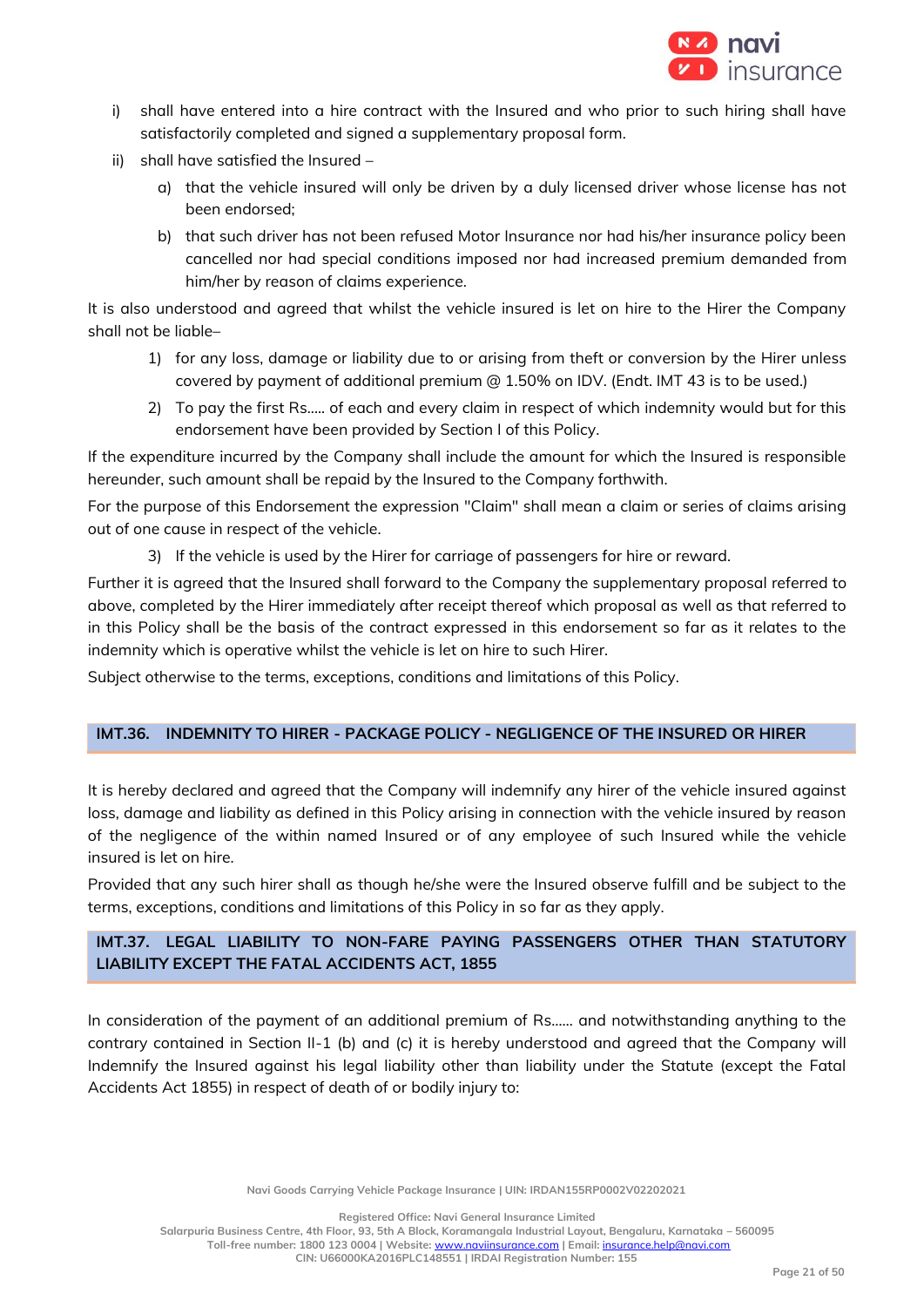

- i) shall have entered into a hire contract with the Insured and who prior to such hiring shall have satisfactorily completed and signed a supplementary proposal form.
- ii) shall have satisfied the Insured
	- a) that the vehicle insured will only be driven by a duly licensed driver whose license has not been endorsed;
	- b) that such driver has not been refused Motor Insurance nor had his/her insurance policy been cancelled nor had special conditions imposed nor had increased premium demanded from him/her by reason of claims experience.

It is also understood and agreed that whilst the vehicle insured is let on hire to the Hirer the Company shall not be liable–

- 1) for any loss, damage or liability due to or arising from theft or conversion by the Hirer unless covered by payment of additional premium @ 1.50% on IDV. (Endt. IMT 43 is to be used.)
- 2) To pay the first Rs..... of each and every claim in respect of which indemnity would but for this endorsement have been provided by Section I of this Policy.

If the expenditure incurred by the Company shall include the amount for which the Insured is responsible hereunder, such amount shall be repaid by the Insured to the Company forthwith.

For the purpose of this Endorsement the expression "Claim" shall mean a claim or series of claims arising out of one cause in respect of the vehicle.

3) If the vehicle is used by the Hirer for carriage of passengers for hire or reward.

Further it is agreed that the Insured shall forward to the Company the supplementary proposal referred to above, completed by the Hirer immediately after receipt thereof which proposal as well as that referred to in this Policy shall be the basis of the contract expressed in this endorsement so far as it relates to the indemnity which is operative whilst the vehicle is let on hire to such Hirer.

Subject otherwise to the terms, exceptions, conditions and limitations of this Policy.

# **IMT.36. INDEMNITY TO HIRER - PACKAGE POLICY - NEGLIGENCE OF THE INSURED OR HIRER**

It is hereby declared and agreed that the Company will indemnify any hirer of the vehicle insured against loss, damage and liability as defined in this Policy arising in connection with the vehicle insured by reason of the negligence of the within named Insured or of any employee of such Insured while the vehicle insured is let on hire.

Provided that any such hirer shall as though he/she were the Insured observe fulfill and be subject to the terms, exceptions, conditions and limitations of this Policy in so far as they apply.

# **IMT.37. LEGAL LIABILITY TO NON-FARE PAYING PASSENGERS OTHER THAN STATUTORY LIABILITY EXCEPT THE FATAL ACCIDENTS ACT, 1855**

In consideration of the payment of an additional premium of Rs…… and notwithstanding anything to the contrary contained in Section II-1 (b) and (c) it is hereby understood and agreed that the Company will Indemnify the Insured against his legal liability other than liability under the Statute (except the Fatal Accidents Act 1855) in respect of death of or bodily injury to:

**Navi Goods Carrying Vehicle Package Insurance | UIN: IRDAN155RP0002V02202021**

**Registered Office: Navi General Insurance Limited**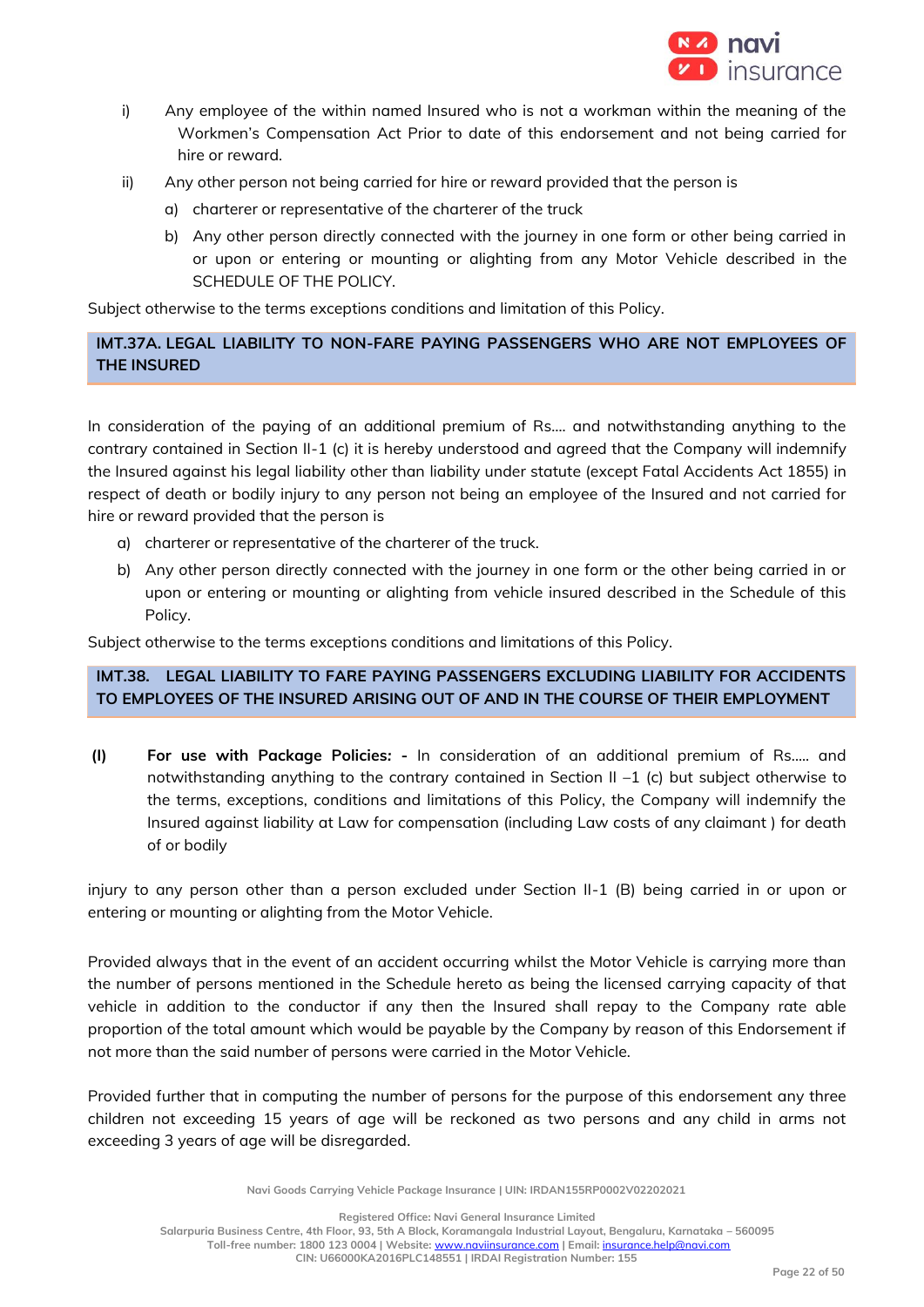

- i) Any employee of the within named Insured who is not a workman within the meaning of the Workmen's Compensation Act Prior to date of this endorsement and not being carried for hire or reward.
- ii) Any other person not being carried for hire or reward provided that the person is
	- a) charterer or representative of the charterer of the truck
	- b) Any other person directly connected with the journey in one form or other being carried in or upon or entering or mounting or alighting from any Motor Vehicle described in the SCHEDULE OF THE POLICY.

Subject otherwise to the terms exceptions conditions and limitation of this Policy.

**IMT.37A. LEGAL LIABILITY TO NON-FARE PAYING PASSENGERS WHO ARE NOT EMPLOYEES OF THE INSURED**

In consideration of the paying of an additional premium of Rs…. and notwithstanding anything to the contrary contained in Section II-1 (c) it is hereby understood and agreed that the Company will indemnify the Insured against his legal liability other than liability under statute (except Fatal Accidents Act 1855) in respect of death or bodily injury to any person not being an employee of the Insured and not carried for hire or reward provided that the person is

- a) charterer or representative of the charterer of the truck.
- b) Any other person directly connected with the journey in one form or the other being carried in or upon or entering or mounting or alighting from vehicle insured described in the Schedule of this Policy.

Subject otherwise to the terms exceptions conditions and limitations of this Policy.

# **IMT.38. LEGAL LIABILITY TO FARE PAYING PASSENGERS EXCLUDING LIABILITY FOR ACCIDENTS TO EMPLOYEES OF THE INSURED ARISING OUT OF AND IN THE COURSE OF THEIR EMPLOYMENT**

**(I) For use with Package Policies***:* **-** In consideration of an additional premium of Rs..... and notwithstanding anything to the contrary contained in Section II  $-1$  (c) but subject otherwise to the terms, exceptions, conditions and limitations of this Policy, the Company will indemnify the Insured against liability at Law for compensation (including Law costs of any claimant ) for death of or bodily

injury to any person other than a person excluded under Section II-1 (B) being carried in or upon or entering or mounting or alighting from the Motor Vehicle.

Provided always that in the event of an accident occurring whilst the Motor Vehicle is carrying more than the number of persons mentioned in the Schedule hereto as being the licensed carrying capacity of that vehicle in addition to the conductor if any then the Insured shall repay to the Company rate able proportion of the total amount which would be payable by the Company by reason of this Endorsement if not more than the said number of persons were carried in the Motor Vehicle.

Provided further that in computing the number of persons for the purpose of this endorsement any three children not exceeding 15 years of age will be reckoned as two persons and any child in arms not exceeding 3 years of age will be disregarded.

**Navi Goods Carrying Vehicle Package Insurance | UIN: IRDAN155RP0002V02202021**

**Registered Office: Navi General Insurance Limited**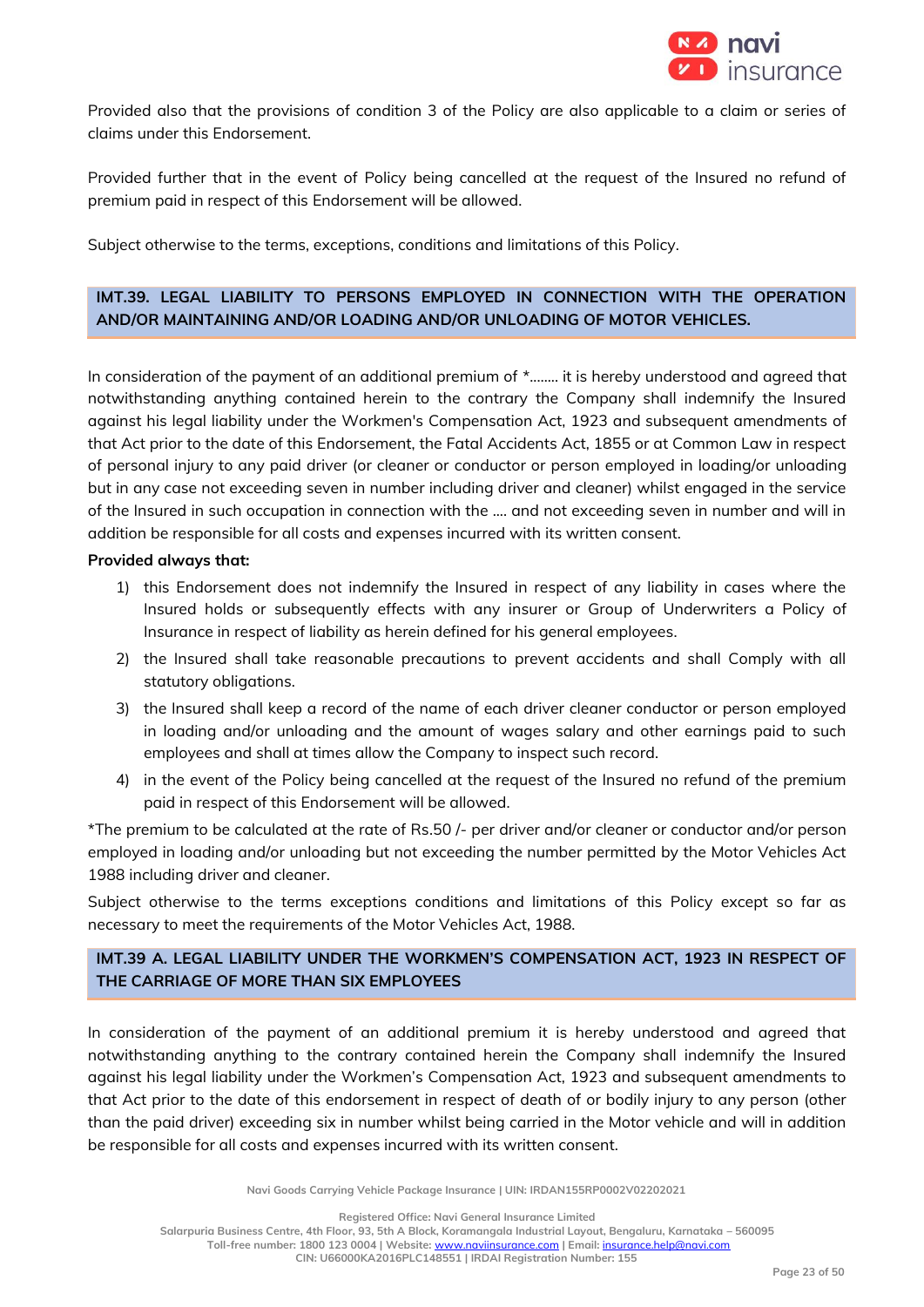

Provided also that the provisions of condition 3 of the Policy are also applicable to a claim or series of claims under this Endorsement.

Provided further that in the event of Policy being cancelled at the request of the Insured no refund of premium paid in respect of this Endorsement will be allowed.

Subject otherwise to the terms, exceptions, conditions and limitations of this Policy.

# **IMT.39. LEGAL LIABILITY TO PERSONS EMPLOYED IN CONNECTION WITH THE OPERATION AND/OR MAINTAINING AND/OR LOADING AND/OR UNLOADING OF MOTOR VEHICLES.**

In consideration of the payment of an additional premium of \*..…... it is hereby understood and agreed that notwithstanding anything contained herein to the contrary the Company shall indemnify the Insured against his legal liability under the Workmen's Compensation Act, 1923 and subsequent amendments of that Act prior to the date of this Endorsement, the Fatal Accidents Act, 1855 or at Common Law in respect of personal injury to any paid driver (or cleaner or conductor or person employed in loading/or unloading but in any case not exceeding seven in number including driver and cleaner) whilst engaged in the service of the Insured in such occupation in connection with the .... and not exceeding seven in number and will in addition be responsible for all costs and expenses incurred with its written consent.

#### **Provided always that:**

- 1) this Endorsement does not indemnify the Insured in respect of any liability in cases where the Insured holds or subsequently effects with any insurer or Group of Underwriters a Policy of Insurance in respect of liability as herein defined for his general employees.
- 2) the Insured shall take reasonable precautions to prevent accidents and shall Comply with all statutory obligations.
- 3) the Insured shall keep a record of the name of each driver cleaner conductor or person employed in loading and/or unloading and the amount of wages salary and other earnings paid to such employees and shall at times allow the Company to inspect such record.
- 4) in the event of the Policy being cancelled at the request of the Insured no refund of the premium paid in respect of this Endorsement will be allowed.

\*The premium to be calculated at the rate of Rs.50 /- per driver and/or cleaner or conductor and/or person employed in loading and/or unloading but not exceeding the number permitted by the Motor Vehicles Act 1988 including driver and cleaner.

Subject otherwise to the terms exceptions conditions and limitations of this Policy except so far as necessary to meet the requirements of the Motor Vehicles Act, 1988.

# **IMT.39 A. LEGAL LIABILITY UNDER THE WORKMEN'S COMPENSATION ACT, 1923 IN RESPECT OF THE CARRIAGE OF MORE THAN SIX EMPLOYEES**

In consideration of the payment of an additional premium it is hereby understood and agreed that notwithstanding anything to the contrary contained herein the Company shall indemnify the Insured against his legal liability under the Workmen's Compensation Act, 1923 and subsequent amendments to that Act prior to the date of this endorsement in respect of death of or bodily injury to any person (other than the paid driver) exceeding six in number whilst being carried in the Motor vehicle and will in addition be responsible for all costs and expenses incurred with its written consent.

**Navi Goods Carrying Vehicle Package Insurance | UIN: IRDAN155RP0002V02202021**

**Registered Office: Navi General Insurance Limited**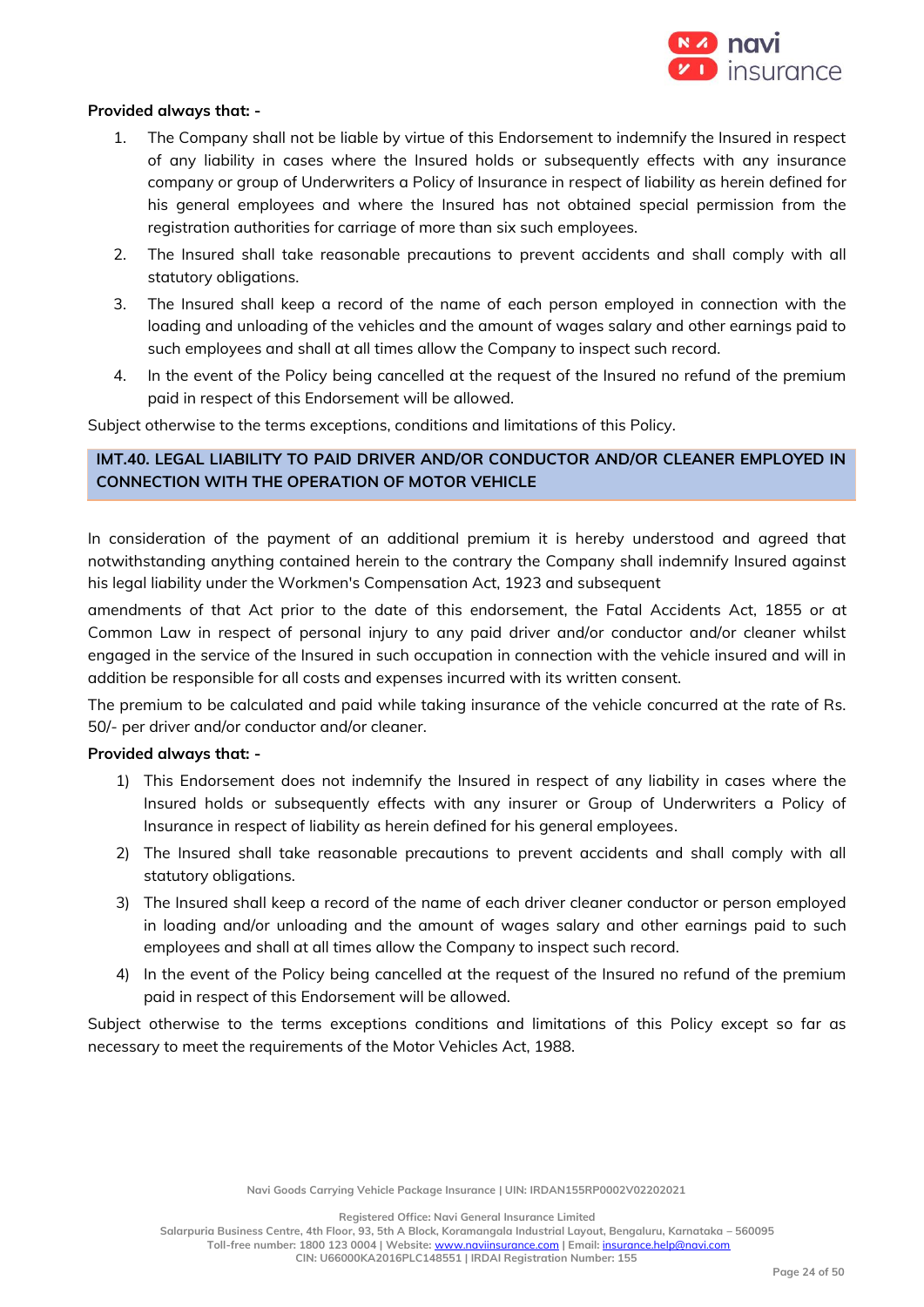

#### **Provided always that: -**

- 1. The Company shall not be liable by virtue of this Endorsement to indemnify the Insured in respect of any liability in cases where the Insured holds or subsequently effects with any insurance company or group of Underwriters a Policy of Insurance in respect of liability as herein defined for his general employees and where the Insured has not obtained special permission from the registration authorities for carriage of more than six such employees.
- 2. The Insured shall take reasonable precautions to prevent accidents and shall comply with all statutory obligations.
- 3. The Insured shall keep a record of the name of each person employed in connection with the loading and unloading of the vehicles and the amount of wages salary and other earnings paid to such employees and shall at all times allow the Company to inspect such record.
- 4. In the event of the Policy being cancelled at the request of the Insured no refund of the premium paid in respect of this Endorsement will be allowed.

Subject otherwise to the terms exceptions, conditions and limitations of this Policy.

# **IMT.40. LEGAL LIABILITY TO PAID DRIVER AND/OR CONDUCTOR AND/OR CLEANER EMPLOYED IN CONNECTION WITH THE OPERATION OF MOTOR VEHICLE**

In consideration of the payment of an additional premium it is hereby understood and agreed that notwithstanding anything contained herein to the contrary the Company shall indemnify Insured against his legal liability under the Workmen's Compensation Act, 1923 and subsequent

amendments of that Act prior to the date of this endorsement, the Fatal Accidents Act, 1855 or at Common Law in respect of personal injury to any paid driver and/or conductor and/or cleaner whilst engaged in the service of the Insured in such occupation in connection with the vehicle insured and will in addition be responsible for all costs and expenses incurred with its written consent.

The premium to be calculated and paid while taking insurance of the vehicle concurred at the rate of Rs. 50/- per driver and/or conductor and/or cleaner.

# **Provided always that: -**

- 1) This Endorsement does not indemnify the Insured in respect of any liability in cases where the Insured holds or subsequently effects with any insurer or Group of Underwriters a Policy of Insurance in respect of liability as herein defined for his general employees.
- 2) The Insured shall take reasonable precautions to prevent accidents and shall comply with all statutory obligations.
- 3) The Insured shall keep a record of the name of each driver cleaner conductor or person employed in loading and/or unloading and the amount of wages salary and other earnings paid to such employees and shall at all times allow the Company to inspect such record.
- 4) In the event of the Policy being cancelled at the request of the Insured no refund of the premium paid in respect of this Endorsement will be allowed.

Subject otherwise to the terms exceptions conditions and limitations of this Policy except so far as necessary to meet the requirements of the Motor Vehicles Act, 1988.

**Registered Office: Navi General Insurance Limited**

**Salarpuria Business Centre, 4th Floor, 93, 5th A Block, Koramangala Industrial Layout, Bengaluru, Karnataka – 560095 Toll-free number: 1800 123 0004 | Website:** [www.naviinsurance.com](http://www.naviinsurance.com/) **| Email:** [insurance.help@navi.com](mailto:insurance.help@navi.com)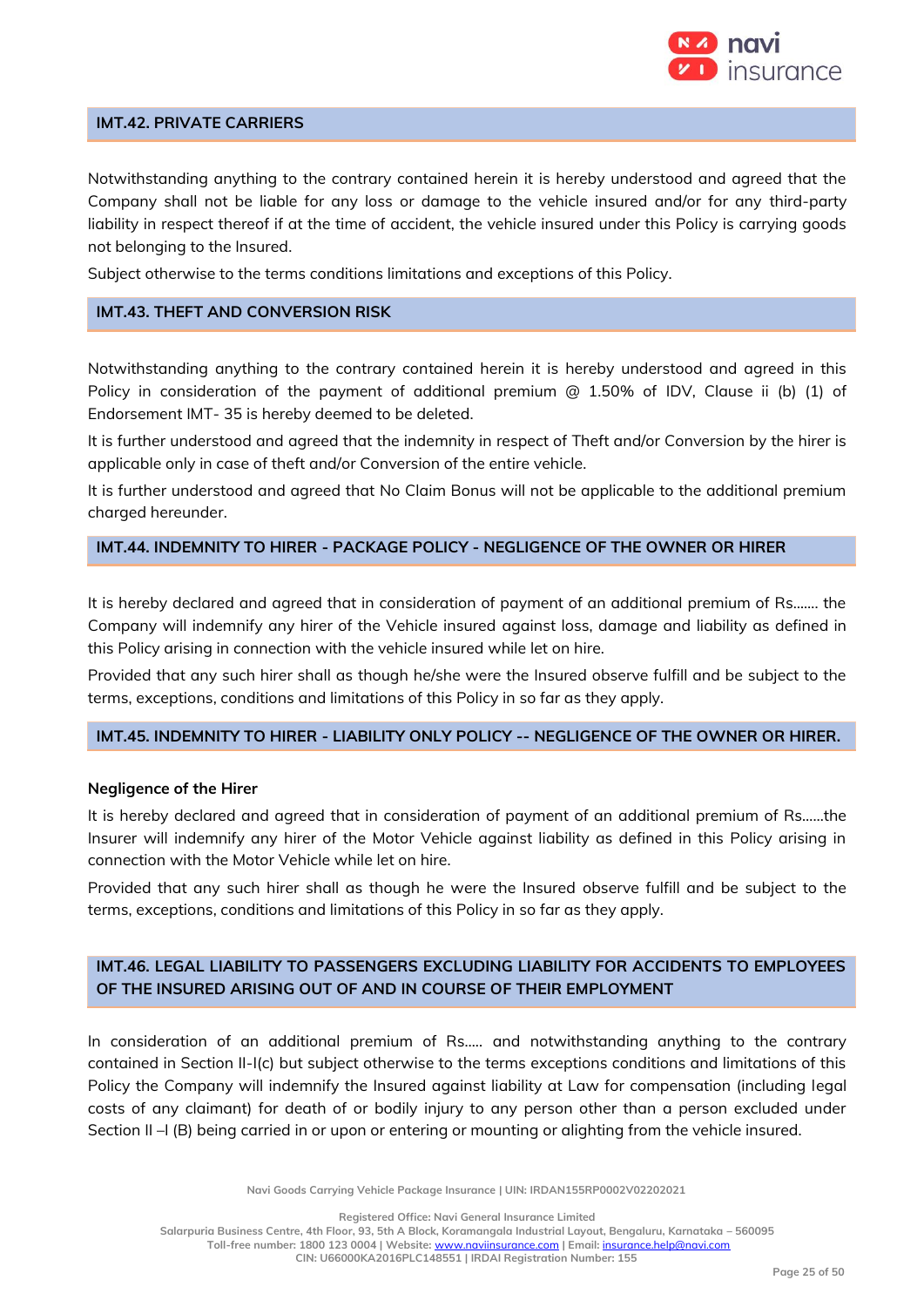

# **IMT.42. PRIVATE CARRIERS**

Notwithstanding anything to the contrary contained herein it is hereby understood and agreed that the Company shall not be liable for any loss or damage to the vehicle insured and/or for any third-party liability in respect thereof if at the time of accident, the vehicle insured under this Policy is carrying goods not belonging to the Insured.

Subject otherwise to the terms conditions limitations and exceptions of this Policy.

#### **IMT.43. THEFT AND CONVERSION RISK**

Notwithstanding anything to the contrary contained herein it is hereby understood and agreed in this Policy in consideration of the payment of additional premium @ 1.50% of IDV, Clause ii (b) (1) of Endorsement IMT- 35 is hereby deemed to be deleted.

It is further understood and agreed that the indemnity in respect of Theft and/or Conversion by the hirer is applicable only in case of theft and/or Conversion of the entire vehicle.

It is further understood and agreed that No Claim Bonus will not be applicable to the additional premium charged hereunder.

### **IMT.44. INDEMNITY TO HIRER - PACKAGE POLICY - NEGLIGENCE OF THE OWNER OR HIRER**

It is hereby declared and agreed that in consideration of payment of an additional premium of Rs……. the Company will indemnify any hirer of the Vehicle insured against loss, damage and liability as defined in this Policy arising in connection with the vehicle insured while let on hire.

Provided that any such hirer shall as though he/she were the Insured observe fulfill and be subject to the terms, exceptions, conditions and limitations of this Policy in so far as they apply.

#### **IMT.45. INDEMNITY TO HIRER - LIABILITY ONLY POLICY -- NEGLIGENCE OF THE OWNER OR HIRER.**

#### **Negligence of the Hirer**

It is hereby declared and agreed that in consideration of payment of an additional premium of Rs……the Insurer will indemnify any hirer of the Motor Vehicle against liability as defined in this Policy arising in connection with the Motor Vehicle while let on hire.

Provided that any such hirer shall as though he were the Insured observe fulfill and be subject to the terms, exceptions, conditions and limitations of this Policy in so far as they apply.

# **IMT.46. LEGAL LIABILITY TO PASSENGERS EXCLUDING LIABILITY FOR ACCIDENTS TO EMPLOYEES OF THE INSURED ARISING OUT OF AND IN COURSE OF THEIR EMPLOYMENT**

In consideration of an additional premium of Rs….. and notwithstanding anything to the contrary contained in Section II-I(c) but subject otherwise to the terms exceptions conditions and limitations of this Policy the Company will indemnify the Insured against liability at Law for compensation (including legal costs of any claimant) for death of or bodily injury to any person other than a person excluded under Section II –I (B) being carried in or upon or entering or mounting or alighting from the vehicle insured.

**Navi Goods Carrying Vehicle Package Insurance | UIN: IRDAN155RP0002V02202021**

**Registered Office: Navi General Insurance Limited**

**Salarpuria Business Centre, 4th Floor, 93, 5th A Block, Koramangala Industrial Layout, Bengaluru, Karnataka – 560095 Toll-free number: 1800 123 0004 | Website:** [www.naviinsurance.com](http://www.naviinsurance.com/) **| Email:** [insurance.help@navi.com](mailto:insurance.help@navi.com)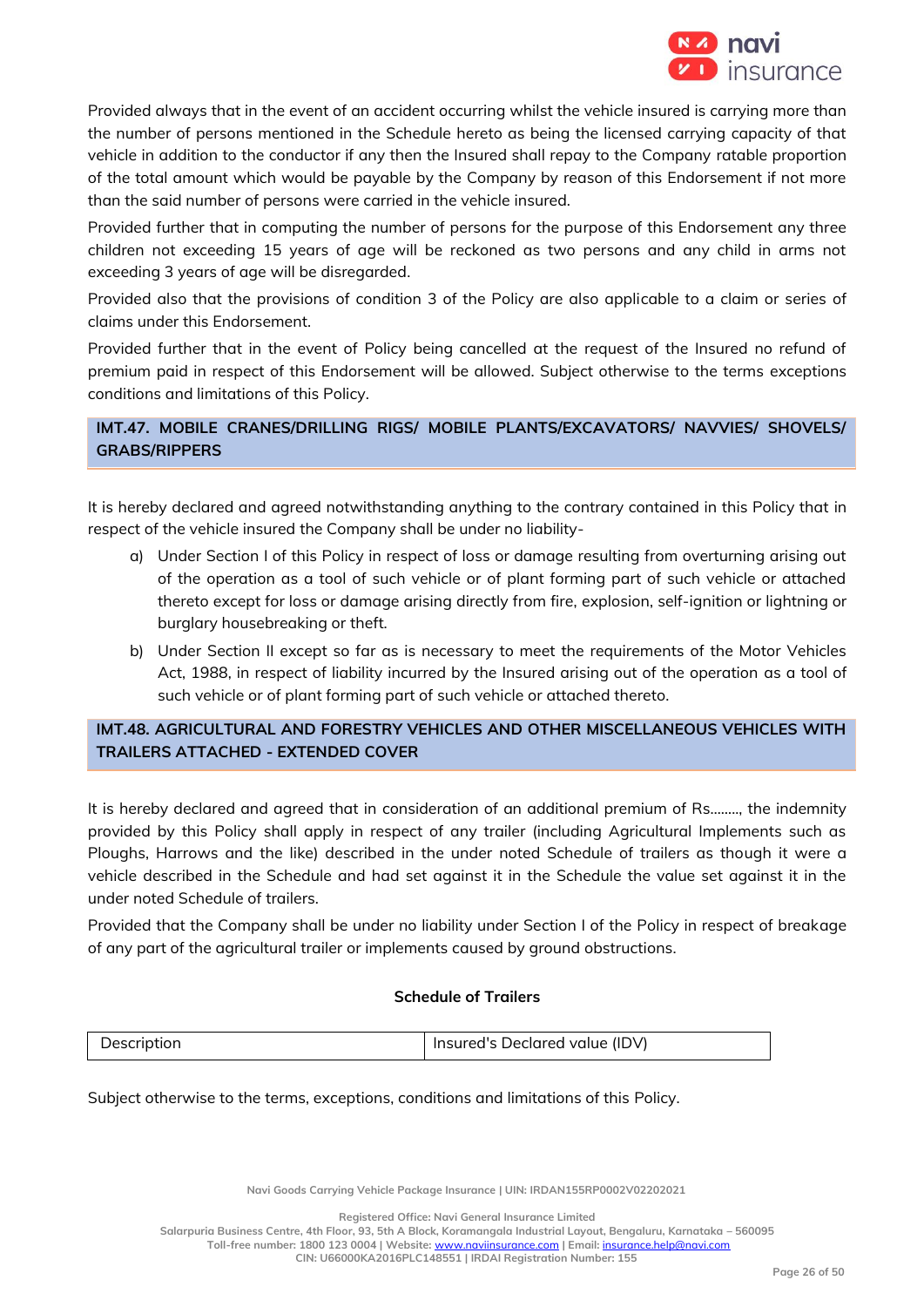

Provided always that in the event of an accident occurring whilst the vehicle insured is carrying more than the number of persons mentioned in the Schedule hereto as being the licensed carrying capacity of that vehicle in addition to the conductor if any then the Insured shall repay to the Company ratable proportion of the total amount which would be payable by the Company by reason of this Endorsement if not more than the said number of persons were carried in the vehicle insured.

Provided further that in computing the number of persons for the purpose of this Endorsement any three children not exceeding 15 years of age will be reckoned as two persons and any child in arms not exceeding 3 years of age will be disregarded.

Provided also that the provisions of condition 3 of the Policy are also applicable to a claim or series of claims under this Endorsement.

Provided further that in the event of Policy being cancelled at the request of the Insured no refund of premium paid in respect of this Endorsement will be allowed. Subject otherwise to the terms exceptions conditions and limitations of this Policy.

# **IMT.47. MOBILE CRANES/DRILLING RIGS/ MOBILE PLANTS/EXCAVATORS/ NAVVIES/ SHOVELS/ GRABS/RIPPERS**

It is hereby declared and agreed notwithstanding anything to the contrary contained in this Policy that in respect of the vehicle insured the Company shall be under no liability-

- a) Under Section I of this Policy in respect of loss or damage resulting from overturning arising out of the operation as a tool of such vehicle or of plant forming part of such vehicle or attached thereto except for loss or damage arising directly from fire, explosion, self-ignition or lightning or burglary housebreaking or theft.
- b) Under Section II except so far as is necessary to meet the requirements of the Motor Vehicles Act, 1988, in respect of liability incurred by the Insured arising out of the operation as a tool of such vehicle or of plant forming part of such vehicle or attached thereto.

# **IMT.48. AGRICULTURAL AND FORESTRY VEHICLES AND OTHER MISCELLANEOUS VEHICLES WITH TRAILERS ATTACHED - EXTENDED COVER**

It is hereby declared and agreed that in consideration of an additional premium of Rs…….., the indemnity provided by this Policy shall apply in respect of any trailer (including Agricultural Implements such as Ploughs, Harrows and the like) described in the under noted Schedule of trailers as though it were a vehicle described in the Schedule and had set against it in the Schedule the value set against it in the under noted Schedule of trailers.

Provided that the Company shall be under no liability under Section I of the Policy in respect of breakage of any part of the agricultural trailer or implements caused by ground obstructions.

# **Schedule of Trailers**

| Jescription | Insured's Declared value (IDV) |
|-------------|--------------------------------|
|-------------|--------------------------------|

Subject otherwise to the terms, exceptions, conditions and limitations of this Policy.

**Navi Goods Carrying Vehicle Package Insurance | UIN: IRDAN155RP0002V02202021**

**Registered Office: Navi General Insurance Limited**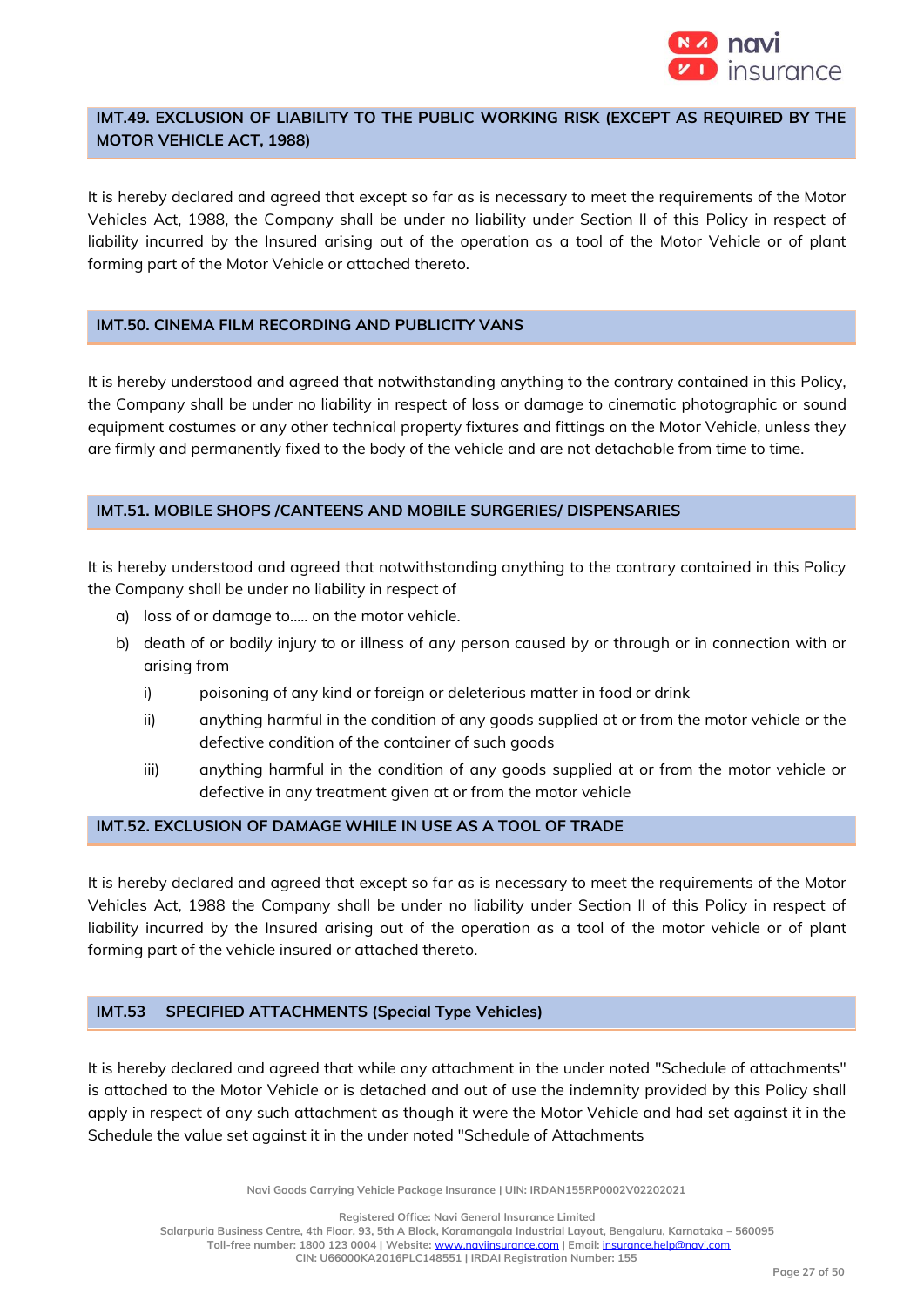

# **IMT.49. EXCLUSION OF LIABILITY TO THE PUBLIC WORKING RISK (EXCEPT AS REQUIRED BY THE MOTOR VEHICLE ACT, 1988)**

It is hereby declared and agreed that except so far as is necessary to meet the requirements of the Motor Vehicles Act, 1988, the Company shall be under no liability under Section II of this Policy in respect of liability incurred by the Insured arising out of the operation as a tool of the Motor Vehicle or of plant forming part of the Motor Vehicle or attached thereto.

# **IMT.50. CINEMA FILM RECORDING AND PUBLICITY VANS**

It is hereby understood and agreed that notwithstanding anything to the contrary contained in this Policy, the Company shall be under no liability in respect of loss or damage to cinematic photographic or sound equipment costumes or any other technical property fixtures and fittings on the Motor Vehicle, unless they are firmly and permanently fixed to the body of the vehicle and are not detachable from time to time.

# **IMT.51. MOBILE SHOPS /CANTEENS AND MOBILE SURGERIES/ DISPENSARIES**

It is hereby understood and agreed that notwithstanding anything to the contrary contained in this Policy the Company shall be under no liability in respect of

- a) loss of or damage to..... on the motor vehicle.
- b) death of or bodily injury to or illness of any person caused by or through or in connection with or arising from
	- i) poisoning of any kind or foreign or deleterious matter in food or drink
	- ii) anything harmful in the condition of any goods supplied at or from the motor vehicle or the defective condition of the container of such goods
	- iii) anything harmful in the condition of any goods supplied at or from the motor vehicle or defective in any treatment given at or from the motor vehicle

# **IMT.52. EXCLUSION OF DAMAGE WHILE IN USE AS A TOOL OF TRADE**

It is hereby declared and agreed that except so far as is necessary to meet the requirements of the Motor Vehicles Act, 1988 the Company shall be under no liability under Section II of this Policy in respect of liability incurred by the Insured arising out of the operation as a tool of the motor vehicle or of plant forming part of the vehicle insured or attached thereto.

# **IMT.53 SPECIFIED ATTACHMENTS (Special Type Vehicles)**

It is hereby declared and agreed that while any attachment in the under noted "Schedule of attachments" is attached to the Motor Vehicle or is detached and out of use the indemnity provided by this Policy shall apply in respect of any such attachment as though it were the Motor Vehicle and had set against it in the Schedule the value set against it in the under noted "Schedule of Attachments

**Navi Goods Carrying Vehicle Package Insurance | UIN: IRDAN155RP0002V02202021**

**Registered Office: Navi General Insurance Limited**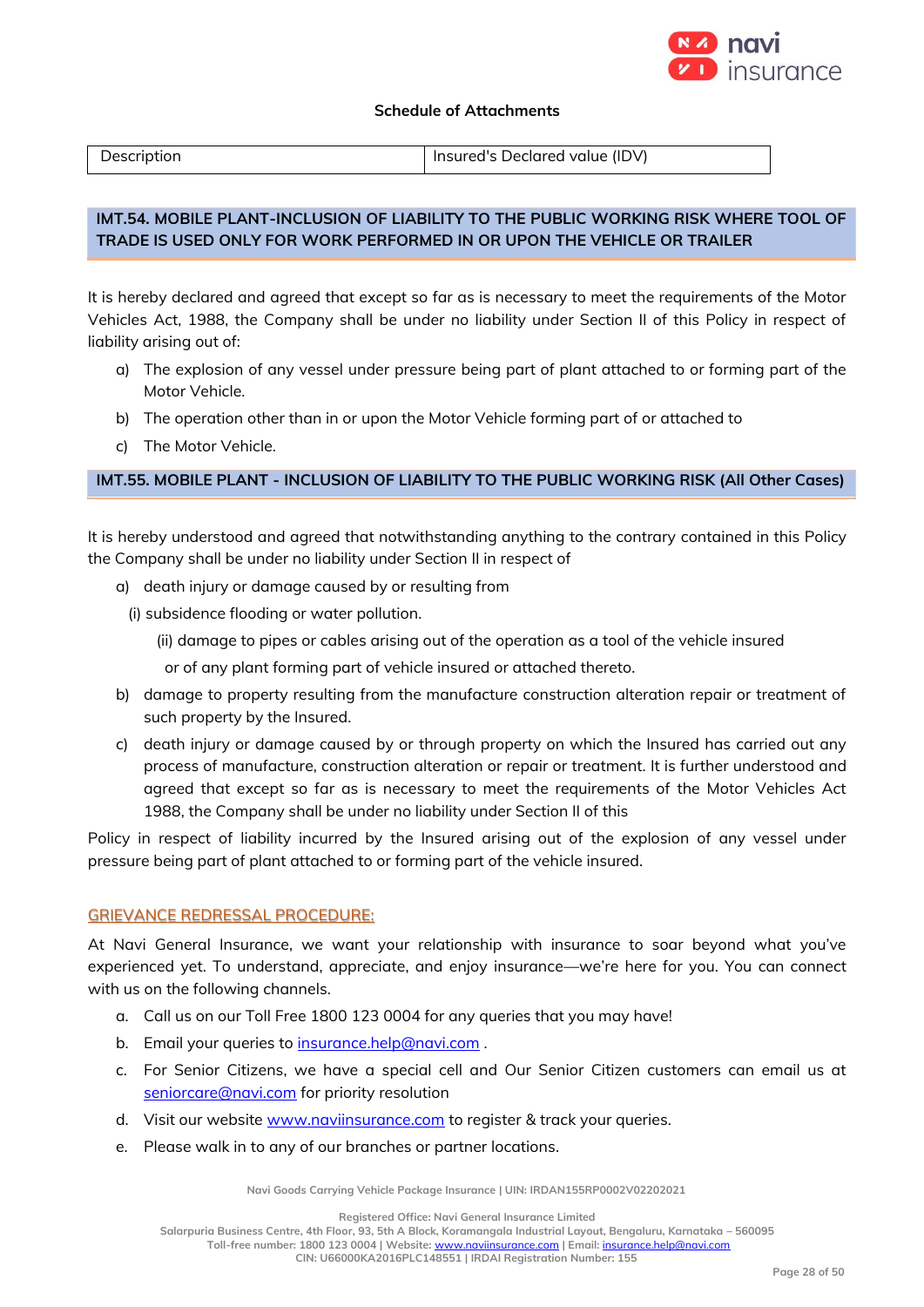

#### **Schedule of Attachments**

| Description | Insured's Declared value (IDV) |
|-------------|--------------------------------|

# **IMT.54. MOBILE PLANT-INCLUSION OF LIABILITY TO THE PUBLIC WORKING RISK WHERE TOOL OF TRADE IS USED ONLY FOR WORK PERFORMED IN OR UPON THE VEHICLE OR TRAILER**

It is hereby declared and agreed that except so far as is necessary to meet the requirements of the Motor Vehicles Act, 1988, the Company shall be under no liability under Section II of this Policy in respect of liability arising out of:

- a) The explosion of any vessel under pressure being part of plant attached to or forming part of the Motor Vehicle.
- b) The operation other than in or upon the Motor Vehicle forming part of or attached to
- c) The Motor Vehicle.

# **IMT.55. MOBILE PLANT - INCLUSION OF LIABILITY TO THE PUBLIC WORKING RISK (All Other Cases)**

It is hereby understood and agreed that notwithstanding anything to the contrary contained in this Policy the Company shall be under no liability under Section II in respect of

- a) death injury or damage caused by or resulting from
	- (i) subsidence flooding or water pollution.
		- (ii) damage to pipes or cables arising out of the operation as a tool of the vehicle insured
		- or of any plant forming part of vehicle insured or attached thereto.
- b) damage to property resulting from the manufacture construction alteration repair or treatment of such property by the Insured.
- c) death injury or damage caused by or through property on which the Insured has carried out any process of manufacture, construction alteration or repair or treatment. It is further understood and agreed that except so far as is necessary to meet the requirements of the Motor Vehicles Act 1988, the Company shall be under no liability under Section II of this

Policy in respect of liability incurred by the Insured arising out of the explosion of any vessel under pressure being part of plant attached to or forming part of the vehicle insured.

# GRIEVANCE REDRESSAL PROCEDURE:

At Navi General Insurance, we want your relationship with insurance to soar beyond what you've experienced yet. To understand, appreciate, and enjoy insurance—we're here for you. You can connect with us on the following channels.

- a. Call us on our Toll Free 1800 123 0004 for any queries that you may have!
- b. Email your queries to [insurance.help@navi.com](mailto:insurance.help@navi.com).
- c. For Senior Citizens, we have a special cell and Our Senior Citizen customers can email us at [seniorcare@navi.com](mailto:seniorcare@navi.com) for priority resolution
- d. Visit our website [www.naviinsurance.com](http://www.naviinsurance.com/) to register & track your queries.
- e. Please walk in to any of our branches or partner locations.

**Navi Goods Carrying Vehicle Package Insurance | UIN: IRDAN155RP0002V02202021**

**Registered Office: Navi General Insurance Limited**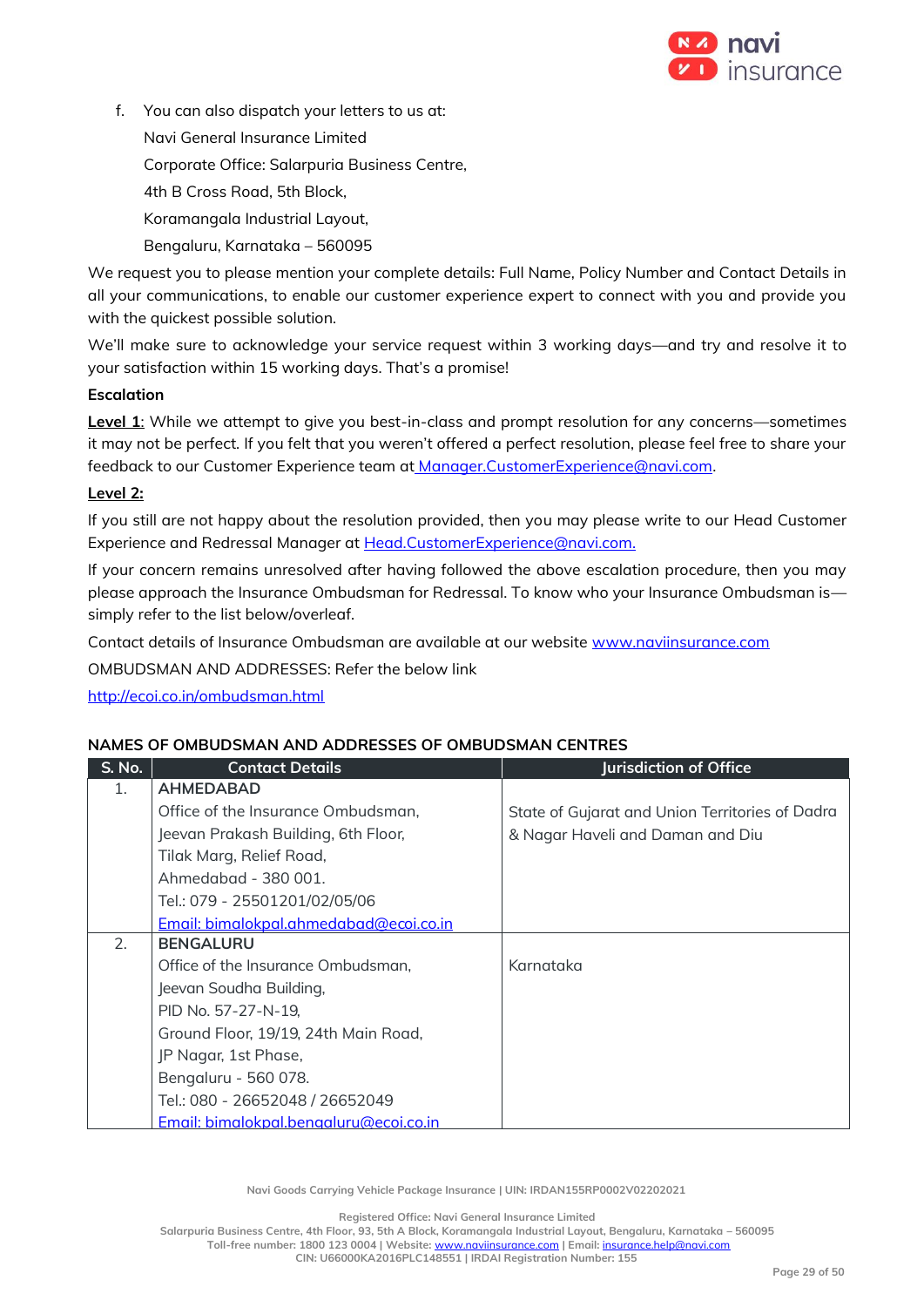

f. You can also dispatch your letters to us at:

Navi General Insurance Limited

Corporate Office: Salarpuria Business Centre,

4th B Cross Road, 5th Block,

Koramangala Industrial Layout,

Bengaluru, Karnataka – 560095

We request you to please mention your complete details: Full Name, Policy Number and Contact Details in all your communications, to enable our customer experience expert to connect with you and provide you with the quickest possible solution.

We'll make sure to acknowledge your service request within 3 working days—and try and resolve it to your satisfaction within 15 working days. That's a promise!

# **Escalation**

**Level 1**: While we attempt to give you best-in-class and prompt resolution for any concerns—sometimes it may not be perfect. If you felt that you weren't offered a perfect resolution, please feel free to share your feedback to our Customer Experience team at [Manager.CustomerExperience@navi.com.](mailto:at%20Manager.CustomerExperience@navi.com)

# **Level 2:**

If you still are not happy about the resolution provided, then you may please write to our Head Customer Experience and Redressal Manager at Head.CustomerExperience@navi.com.

If your concern remains unresolved after having followed the above escalation procedure, then you may please approach the Insurance Ombudsman for Redressal. To know who your Insurance Ombudsman is simply refer to the list below/overleaf.

Contact details of Insurance Ombudsman are available at our website [www.naviinsurance.com](http://www.naviinsurance.com/)

OMBUDSMAN AND ADDRESSES: Refer the below link

<http://ecoi.co.in/ombudsman.html>

# **NAMES OF OMBUDSMAN AND ADDRESSES OF OMBUDSMAN CENTRES**

| S. No. | <b>Contact Details</b>                 | <b>Jurisdiction of Office</b>                   |
|--------|----------------------------------------|-------------------------------------------------|
| 1.     | <b>AHMEDABAD</b>                       |                                                 |
|        | Office of the Insurance Ombudsman,     | State of Gujarat and Union Territories of Dadra |
|        | Jeevan Prakash Building, 6th Floor,    | & Nagar Haveli and Daman and Diu                |
|        | Tilak Marg, Relief Road,               |                                                 |
|        | Ahmedabad - 380 001.                   |                                                 |
|        | Tel.: 079 - 25501201/02/05/06          |                                                 |
|        | Email: bimalokpal.ahmedabad@ecoi.co.in |                                                 |
| 2.     | <b>BENGALURU</b>                       |                                                 |
|        | Office of the Insurance Ombudsman,     | Karnataka                                       |
|        | Jeevan Soudha Building,                |                                                 |
|        | PID No. 57-27-N-19,                    |                                                 |
|        | Ground Floor, 19/19, 24th Main Road,   |                                                 |
|        | JP Nagar, 1st Phase,                   |                                                 |
|        | Bengaluru - 560 078.                   |                                                 |
|        | Tel.: 080 - 26652048 / 26652049        |                                                 |
|        | Email: bimalokpal.bengaluru@ecoi.co.in |                                                 |

**Navi Goods Carrying Vehicle Package Insurance | UIN: IRDAN155RP0002V02202021**

**Registered Office: Navi General Insurance Limited**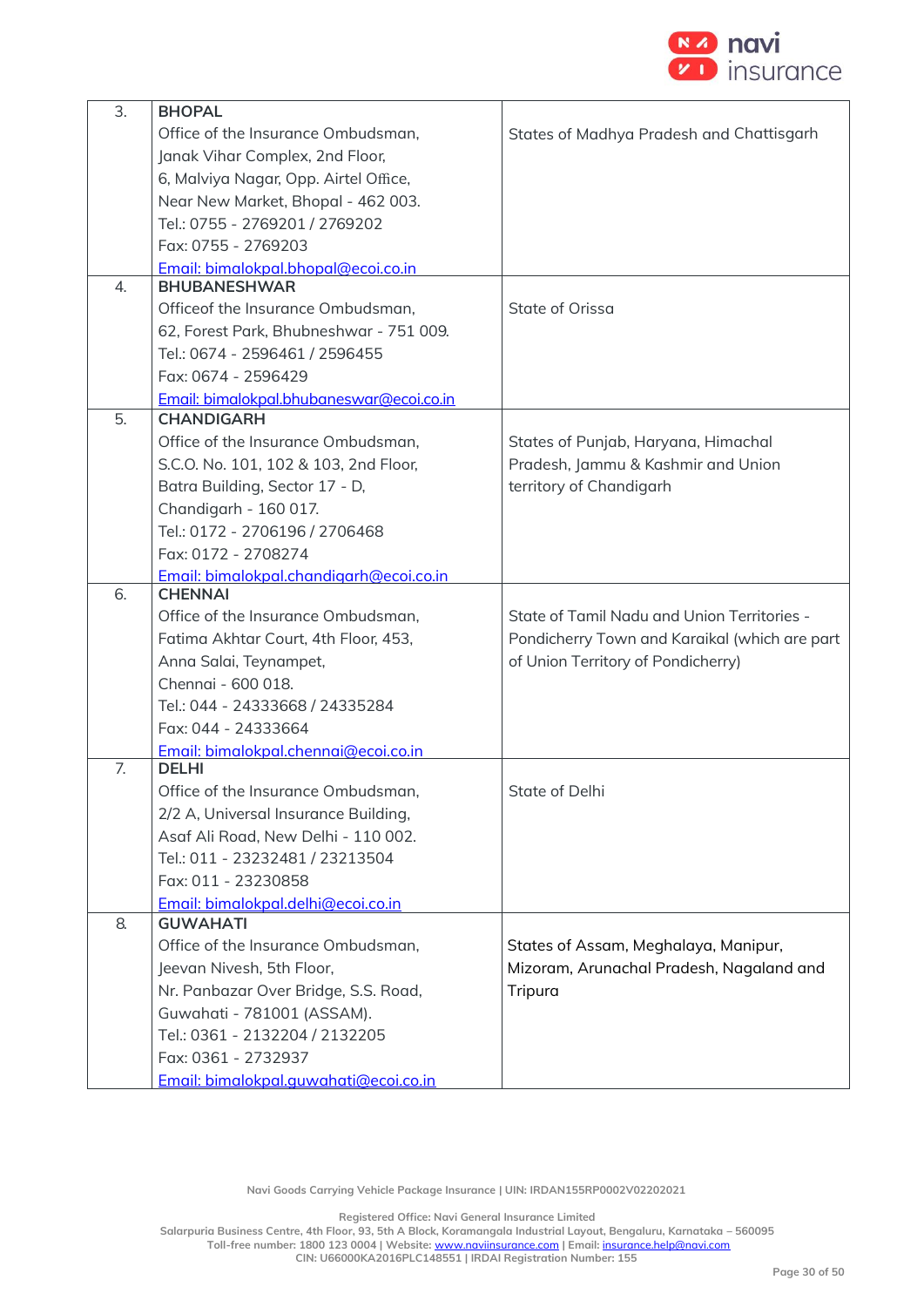

| $\overline{3}$ . | <b>BHOPAL</b>                            |                                               |
|------------------|------------------------------------------|-----------------------------------------------|
|                  | Office of the Insurance Ombudsman,       | States of Madhya Pradesh and Chattisgarh      |
|                  | Janak Vihar Complex, 2nd Floor,          |                                               |
|                  | 6, Malviya Nagar, Opp. Airtel Office,    |                                               |
|                  | Near New Market, Bhopal - 462 003.       |                                               |
|                  | Tel.: 0755 - 2769201 / 2769202           |                                               |
|                  | Fax: 0755 - 2769203                      |                                               |
|                  | Email: bimalokpal.bhopal@ecoi.co.in      |                                               |
| 4.               | <b>BHUBANESHWAR</b>                      |                                               |
|                  | Officeof the Insurance Ombudsman,        | State of Orissa                               |
|                  | 62, Forest Park, Bhubneshwar - 751 009.  |                                               |
|                  | Tel.: 0674 - 2596461 / 2596455           |                                               |
|                  | Fax: 0674 - 2596429                      |                                               |
|                  | Email: bimalokpal.bhubaneswar@ecoi.co.in |                                               |
| 5.               | <b>CHANDIGARH</b>                        |                                               |
|                  | Office of the Insurance Ombudsman,       | States of Punjab, Haryana, Himachal           |
|                  | S.C.O. No. 101, 102 & 103, 2nd Floor,    | Pradesh, Jammu & Kashmir and Union            |
|                  | Batra Building, Sector 17 - D,           | territory of Chandigarh                       |
|                  | Chandigarh - 160 017.                    |                                               |
|                  | Tel.: 0172 - 2706196 / 2706468           |                                               |
|                  | Fax: 0172 - 2708274                      |                                               |
|                  | Email: bimalokpal.chandigarh@ecoi.co.in  |                                               |
| 6.               | <b>CHENNAI</b>                           |                                               |
|                  | Office of the Insurance Ombudsman,       | State of Tamil Nadu and Union Territories -   |
|                  | Fatima Akhtar Court, 4th Floor, 453,     | Pondicherry Town and Karaikal (which are part |
|                  | Anna Salai, Teynampet,                   | of Union Territory of Pondicherry)            |
|                  | Chennai - 600 018.                       |                                               |
|                  | Tel.: 044 - 24333668 / 24335284          |                                               |
|                  | Fax: 044 - 24333664                      |                                               |
|                  | Email: bimalokpal.chennai@ecoi.co.in     |                                               |
| 7.               | <b>DELHI</b>                             |                                               |
|                  | Office of the Insurance Ombudsman,       | State of Delhi                                |
|                  | 2/2 A, Universal Insurance Building,     |                                               |
|                  | Asaf Ali Road, New Delhi - 110 002.      |                                               |
|                  | Tel.: 011 - 23232481 / 23213504          |                                               |
|                  | Fax: 011 - 23230858                      |                                               |
|                  | Email: bimalokpal.delhi@ecoi.co.in       |                                               |
| 8.               | <b>GUWAHATI</b>                          |                                               |
|                  | Office of the Insurance Ombudsman,       | States of Assam, Meghalaya, Manipur,          |
|                  | Jeevan Nivesh, 5th Floor,                | Mizoram, Arunachal Pradesh, Nagaland and      |
|                  | Nr. Panbazar Over Bridge, S.S. Road,     | Tripura                                       |
|                  | Guwahati - 781001 (ASSAM).               |                                               |
|                  | Tel.: 0361 - 2132204 / 2132205           |                                               |
|                  | Fax: 0361 - 2732937                      |                                               |
|                  | Email: bimalokpal.quwahati@ecoi.co.in    |                                               |

**Navi Goods Carrying Vehicle Package Insurance | UIN: IRDAN155RP0002V02202021**

**Registered Office: Navi General Insurance Limited**

**Salarpuria Business Centre, 4th Floor, 93, 5th A Block, Koramangala Industrial Layout, Bengaluru, Karnataka – 560095**

**Toll-free number: 1800 123 0004 | Website:** [www.naviinsurance.com](http://www.naviinsurance.com/) **| Email:** [insurance.help@navi.com](mailto:insurance.help@navi.com)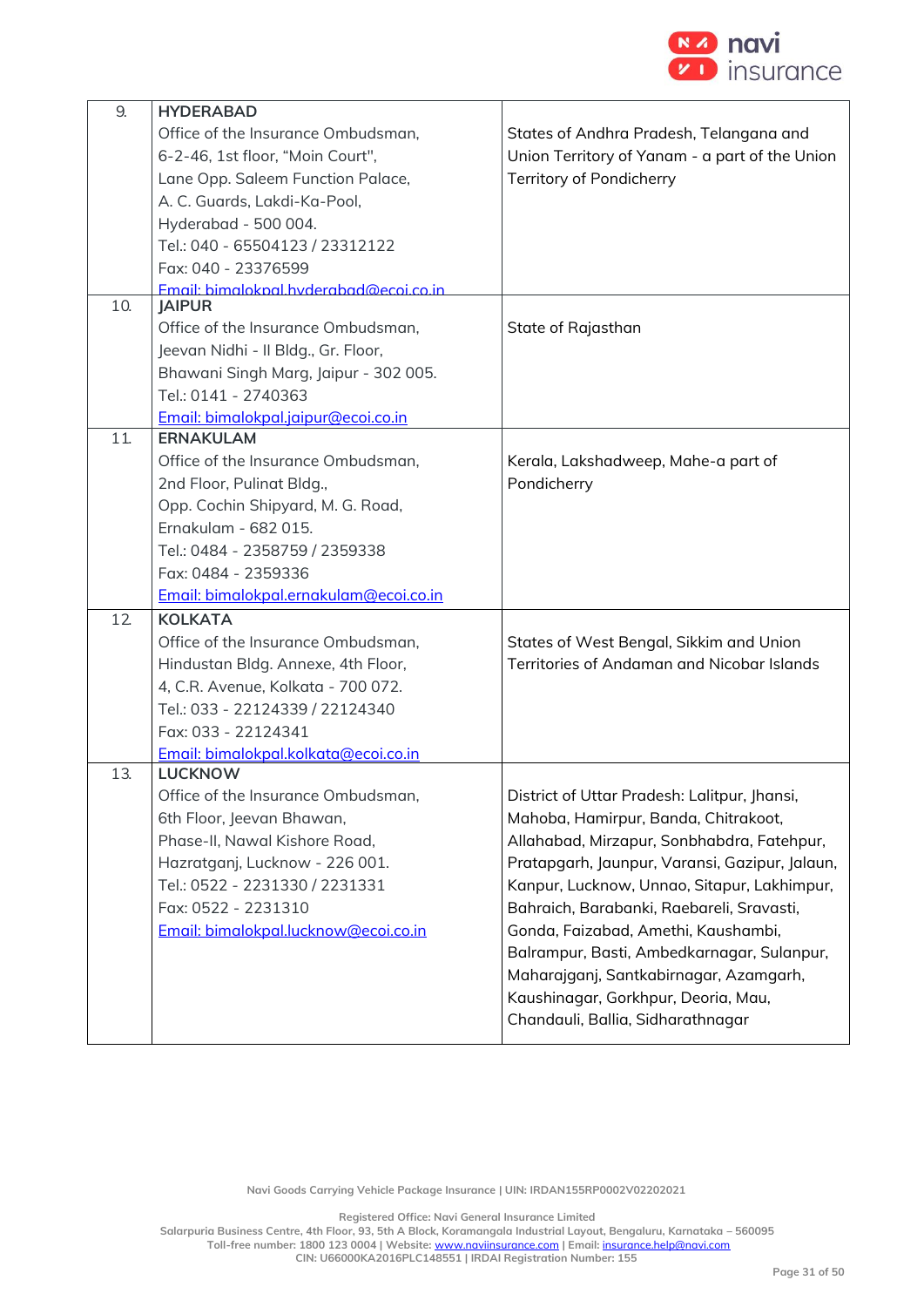

| 9.  | <b>HYDERABAD</b>                       |                                                |
|-----|----------------------------------------|------------------------------------------------|
|     | Office of the Insurance Ombudsman,     | States of Andhra Pradesh, Telangana and        |
|     | 6-2-46, 1st floor, "Moin Court",       | Union Territory of Yanam - a part of the Union |
|     | Lane Opp. Saleem Function Palace,      | Territory of Pondicherry                       |
|     | A. C. Guards, Lakdi-Ka-Pool,           |                                                |
|     | Hyderabad - 500 004.                   |                                                |
|     | Tel.: 040 - 65504123 / 23312122        |                                                |
|     | Fax: 040 - 23376599                    |                                                |
|     | Email: bimalokpal hyderabad@ecoi.co.in |                                                |
| 10. | <b>JAIPUR</b>                          |                                                |
|     | Office of the Insurance Ombudsman,     | State of Rajasthan                             |
|     | Jeevan Nidhi - Il Bldg., Gr. Floor,    |                                                |
|     | Bhawani Singh Marg, Jaipur - 302 005.  |                                                |
|     | Tel.: 0141 - 2740363                   |                                                |
|     | Email: bimalokpal.jaipur@ecoi.co.in    |                                                |
| 11  | <b>ERNAKULAM</b>                       |                                                |
|     | Office of the Insurance Ombudsman,     | Kerala, Lakshadweep, Mahe-a part of            |
|     | 2nd Floor, Pulinat Bldg.,              | Pondicherry                                    |
|     | Opp. Cochin Shipyard, M. G. Road,      |                                                |
|     | Ernakulam - 682 015.                   |                                                |
|     | Tel.: 0484 - 2358759 / 2359338         |                                                |
|     | Fax: 0484 - 2359336                    |                                                |
|     | Email: bimalokpal.ernakulam@ecoi.co.in |                                                |
| 12  | <b>KOLKATA</b>                         |                                                |
|     | Office of the Insurance Ombudsman,     | States of West Bengal, Sikkim and Union        |
|     | Hindustan Bldg. Annexe, 4th Floor,     | Territories of Andaman and Nicobar Islands     |
|     | 4, C.R. Avenue, Kolkata - 700 072.     |                                                |
|     | Tel.: 033 - 22124339 / 22124340        |                                                |
|     | Fax: 033 - 22124341                    |                                                |
|     | Email: bimalokpal.kolkata@ecoi.co.in   |                                                |
| 13. | <b>LUCKNOW</b>                         |                                                |
|     | Office of the Insurance Ombudsman,     | District of Uttar Pradesh: Lalitpur, Jhansi,   |
|     | 6th Floor, Jeevan Bhawan,              | Mahoba, Hamirpur, Banda, Chitrakoot,           |
|     | Phase-II, Nawal Kishore Road,          | Allahabad, Mirzapur, Sonbhabdra, Fatehpur,     |
|     | Hazratganj, Lucknow - 226 001.         | Pratapgarh, Jaunpur, Varansi, Gazipur, Jalaun, |
|     | Tel.: 0522 - 2231330 / 2231331         | Kanpur, Lucknow, Unnao, Sitapur, Lakhimpur,    |
|     | Fax: 0522 - 2231310                    | Bahraich, Barabanki, Raebareli, Sravasti,      |
|     | Email: bimalokpal.lucknow@ecoi.co.in   | Gonda, Faizabad, Amethi, Kaushambi,            |
|     |                                        | Balrampur, Basti, Ambedkarnagar, Sulanpur,     |
|     |                                        | Maharajganj, Santkabirnagar, Azamgarh,         |
|     |                                        | Kaushinagar, Gorkhpur, Deoria, Mau,            |
|     |                                        | Chandauli, Ballia, Sidharathnagar              |
|     |                                        |                                                |

**Navi Goods Carrying Vehicle Package Insurance | UIN: IRDAN155RP0002V02202021**

**Registered Office: Navi General Insurance Limited**

**Salarpuria Business Centre, 4th Floor, 93, 5th A Block, Koramangala Industrial Layout, Bengaluru, Karnataka – 560095 Toll-free number: 1800 123 0004 | Website:** [www.naviinsurance.com](http://www.naviinsurance.com/) **| Email:** [insurance.help@navi.com](mailto:insurance.help@navi.com)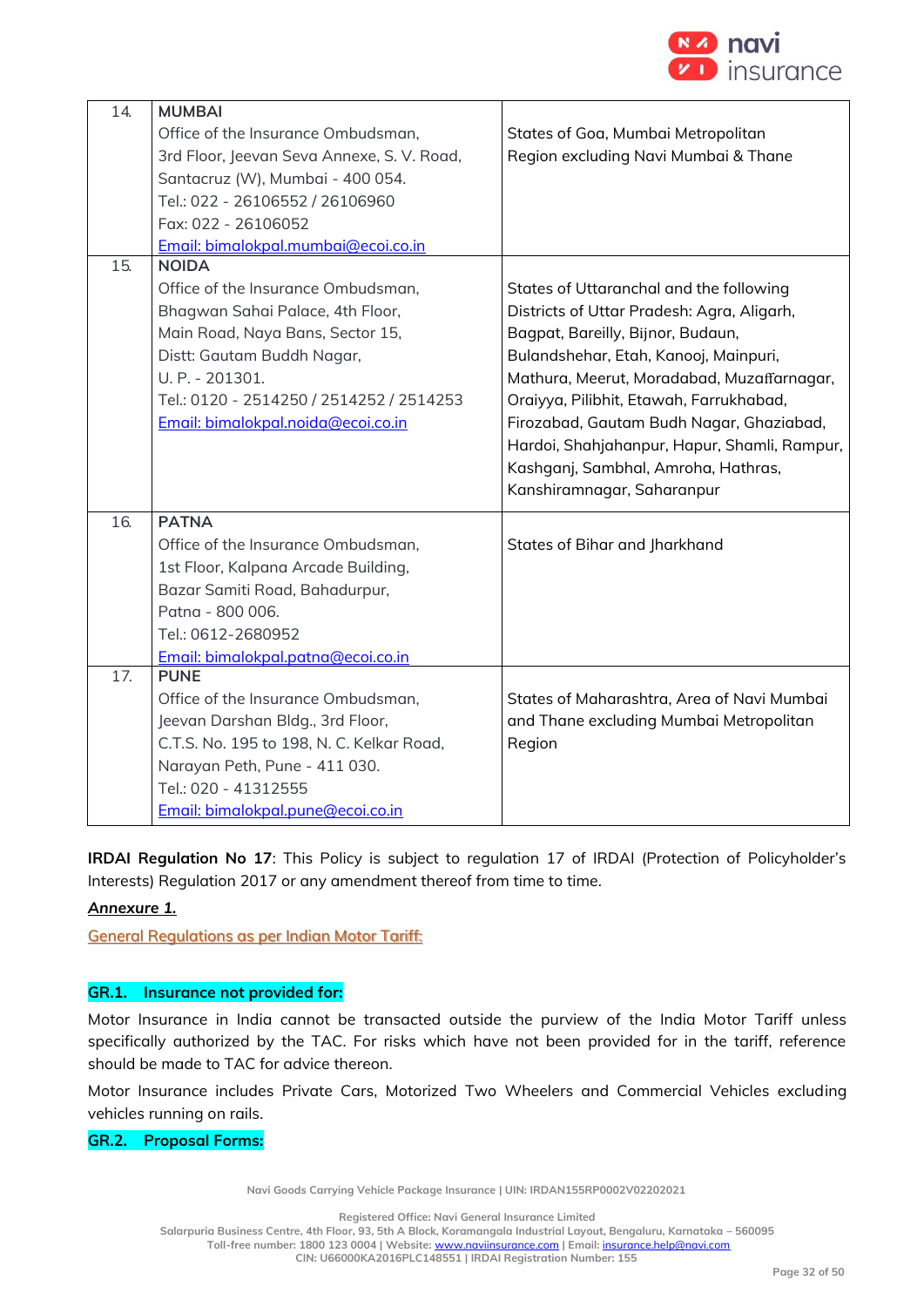

| 14. | <b>MUMBAI</b>                              |                                              |
|-----|--------------------------------------------|----------------------------------------------|
|     | Office of the Insurance Ombudsman,         | States of Goa, Mumbai Metropolitan           |
|     | 3rd Floor, Jeevan Seva Annexe, S. V. Road, | Region excluding Navi Mumbai & Thane         |
|     | Santacruz (W), Mumbai - 400 054.           |                                              |
|     | Tel.: 022 - 26106552 / 26106960            |                                              |
|     | Fax: 022 - 26106052                        |                                              |
|     | Email: bimalokpal.mumbai@ecoi.co.in        |                                              |
| 15. | NOIDA                                      |                                              |
|     | Office of the Insurance Ombudsman,         | States of Uttaranchal and the following      |
|     | Bhagwan Sahai Palace, 4th Floor,           | Districts of Uttar Pradesh: Agra, Aligarh,   |
|     | Main Road, Naya Bans, Sector 15,           | Bagpat, Bareilly, Bijnor, Budaun,            |
|     | Distt: Gautam Buddh Nagar,                 | Bulandshehar, Etah, Kanooj, Mainpuri,        |
|     | U. P. - 201301.                            | Mathura, Meerut, Moradabad, Muzaffarnagar,   |
|     | Tel.: 0120 - 2514250 / 2514252 / 2514253   | Oraiyya, Pilibhit, Etawah, Farrukhabad,      |
|     | Email: bimalokpal.noida@ecoi.co.in         | Firozabad, Gautam Budh Nagar, Ghaziabad,     |
|     |                                            | Hardoi, Shahjahanpur, Hapur, Shamli, Rampur, |
|     |                                            | Kashganj, Sambhal, Amroha, Hathras,          |
|     |                                            | Kanshiramnagar, Saharanpur                   |
| 16. | <b>PATNA</b>                               |                                              |
|     | Office of the Insurance Ombudsman,         | States of Bihar and Jharkhand                |
|     | 1st Floor, Kalpana Arcade Building,        |                                              |
|     | Bazar Samiti Road, Bahadurpur,             |                                              |
|     | Patna - 800 006.                           |                                              |
|     | Tel.: 0612-2680952                         |                                              |
|     | Email: bimalokpal.patna@ecoi.co.in         |                                              |
| 17. | <b>PUNE</b>                                |                                              |
|     | Office of the Insurance Ombudsman,         | States of Maharashtra, Area of Navi Mumbai   |
|     | Jeevan Darshan Bldg., 3rd Floor,           | and Thane excluding Mumbai Metropolitan      |
|     | C.T.S. No. 195 to 198, N. C. Kelkar Road,  | Region                                       |
|     | Narayan Peth, Pune - 411 030.              |                                              |
|     | Tel.: 020 - 41312555                       |                                              |
|     | Email: bimalokpal.pune@ecoi.co.in          |                                              |

**IRDAI Regulation No 17**: This Policy is subject to regulation 17 of IRDAI (Protection of Policyholder's Interests) Regulation 2017 or any amendment thereof from time to time.

# *Annexure 1.*

General Regulations as per Indian Motor Tariff:

# **GR.1. Insurance not provided for:**

Motor Insurance in India cannot be transacted outside the purview of the India Motor Tariff unless specifically authorized by the TAC. For risks which have not been provided for in the tariff, reference should be made to TAC for advice thereon.

Motor Insurance includes Private Cars, Motorized Two Wheelers and Commercial Vehicles excluding vehicles running on rails.

# **GR.2. Proposal Forms:**

**Navi Goods Carrying Vehicle Package Insurance | UIN: IRDAN155RP0002V02202021**

**Registered Office: Navi General Insurance Limited**

**Salarpuria Business Centre, 4th Floor, 93, 5th A Block, Koramangala Industrial Layout, Bengaluru, Karnataka – 560095 Toll-free number: 1800 123 0004 | Website:** [www.naviinsurance.com](http://www.naviinsurance.com/) **| Email:** [insurance.help@navi.com](mailto:insurance.help@navi.com)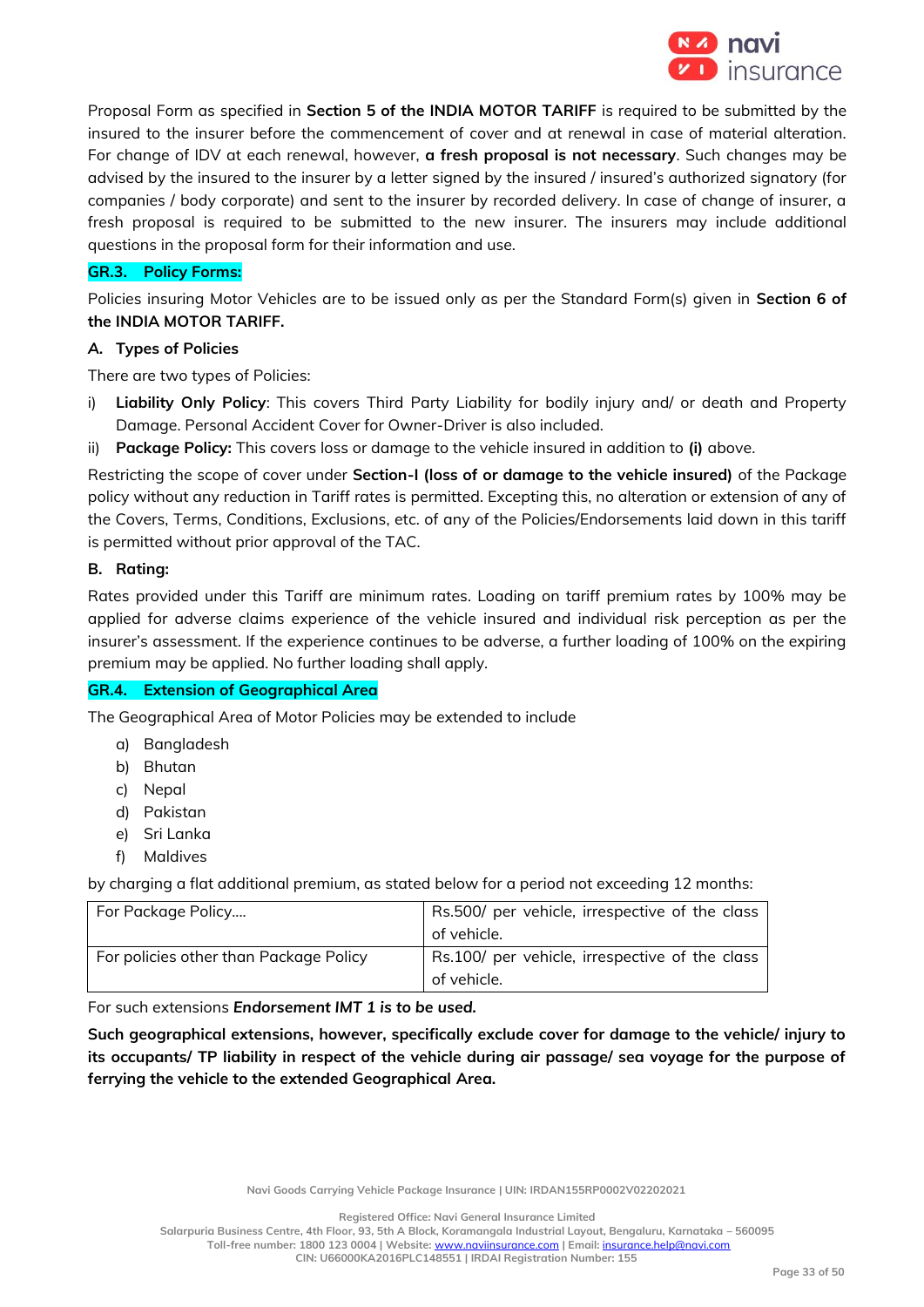

Proposal Form as specified in **Section 5 of the INDIA MOTOR TARIFF** is required to be submitted by the insured to the insurer before the commencement of cover and at renewal in case of material alteration. For change of IDV at each renewal, however, **a fresh proposal is not necessary**. Such changes may be advised by the insured to the insurer by a letter signed by the insured / insured's authorized signatory (for companies / body corporate) and sent to the insurer by recorded delivery. In case of change of insurer, a fresh proposal is required to be submitted to the new insurer. The insurers may include additional questions in the proposal form for their information and use.

# **GR.3. Policy Forms:**

Policies insuring Motor Vehicles are to be issued only as per the Standard Form(s) given in **Section 6 of the INDIA MOTOR TARIFF.**

# *A.* **Types of Policies**

There are two types of Policies:

- i) **Liability Only Policy**: This covers Third Party Liability for bodily injury and/ or death and Property Damage. Personal Accident Cover for Owner-Driver is also included.
- ii) **Package Policy:** This covers loss or damage to the vehicle insured in addition to **(i)** above.

Restricting the scope of cover under **Section-I (loss of or damage to the vehicle insured)** of the Package policy without any reduction in Tariff rates is permitted. Excepting this, no alteration or extension of any of the Covers, Terms, Conditions, Exclusions, etc. of any of the Policies/Endorsements laid down in this tariff is permitted without prior approval of the TAC.

# **B. Rating:**

Rates provided under this Tariff are minimum rates. Loading on tariff premium rates by 100% may be applied for adverse claims experience of the vehicle insured and individual risk perception as per the insurer's assessment. If the experience continues to be adverse, a further loading of 100% on the expiring premium may be applied. No further loading shall apply.

# **GR.4. Extension of Geographical Area**

The Geographical Area of Motor Policies may be extended to include

- a) Bangladesh
- b) Bhutan
- c) Nepal
- d) Pakistan
- e) Sri Lanka
- f) Maldives

by charging a flat additional premium, as stated below for a period not exceeding 12 months:

| For Package Policy                     | Rs.500/ per vehicle, irrespective of the class |
|----------------------------------------|------------------------------------------------|
|                                        | of vehicle.                                    |
| For policies other than Package Policy | Rs.100/ per vehicle, irrespective of the class |
|                                        | of vehicle.                                    |

For such extensions *Endorsement IMT 1 is to be used.*

**Such geographical extensions, however, specifically exclude cover for damage to the vehicle/ injury to its occupants/ TP liability in respect of the vehicle during air passage/ sea voyage for the purpose of ferrying the vehicle to the extended Geographical Area.** 

**Navi Goods Carrying Vehicle Package Insurance | UIN: IRDAN155RP0002V02202021**

**Registered Office: Navi General Insurance Limited**

**Salarpuria Business Centre, 4th Floor, 93, 5th A Block, Koramangala Industrial Layout, Bengaluru, Karnataka – 560095 Toll-free number: 1800 123 0004 | Website:** [www.naviinsurance.com](http://www.naviinsurance.com/) **| Email:** [insurance.help@navi.com](mailto:insurance.help@navi.com)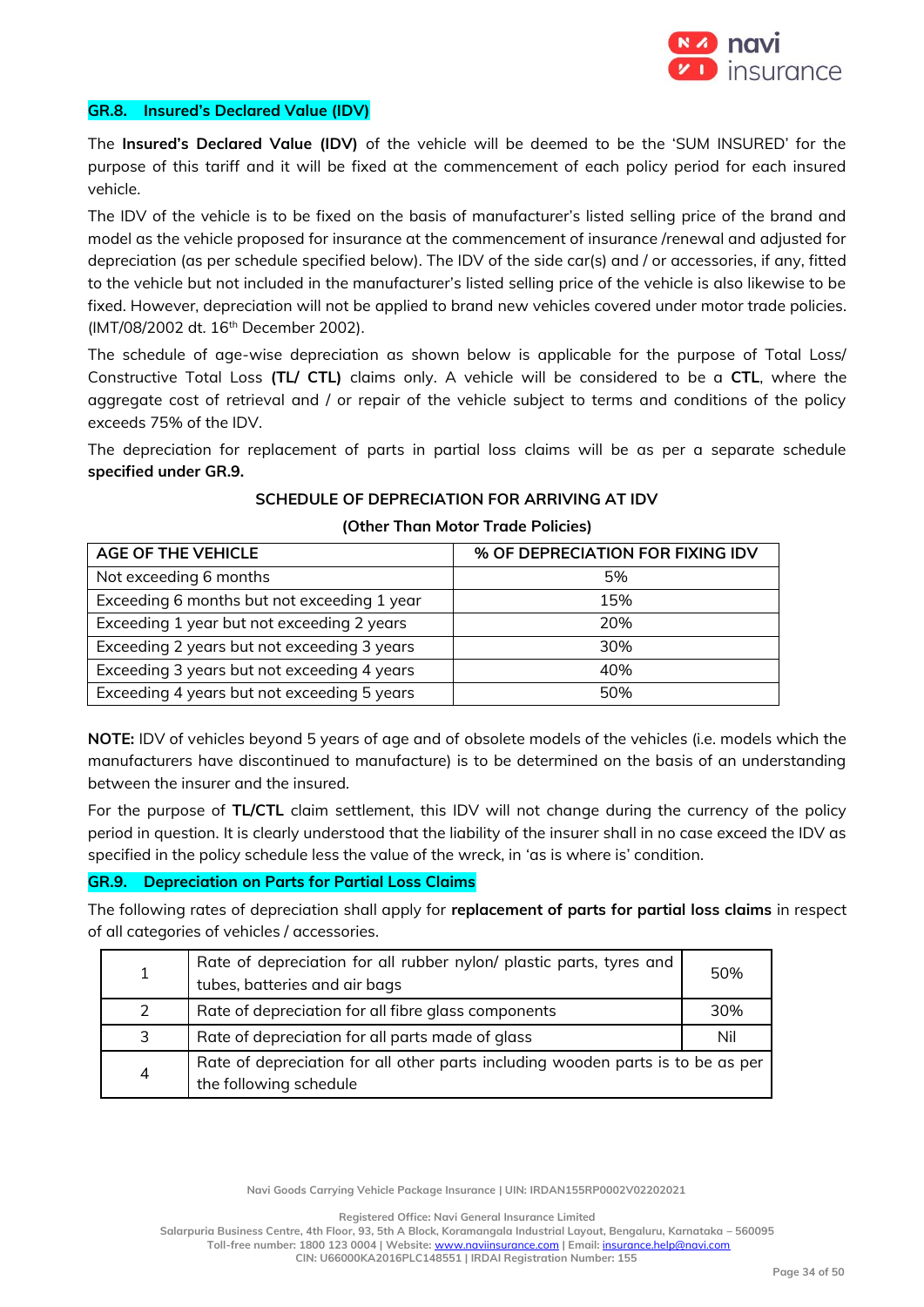

#### **GR.8. Insured's Declared Value (IDV)**

The **Insured's Declared Value (IDV)** of the vehicle will be deemed to be the 'SUM INSURED' for the purpose of this tariff and it will be fixed at the commencement of each policy period for each insured vehicle.

The IDV of the vehicle is to be fixed on the basis of manufacturer's listed selling price of the brand and model as the vehicle proposed for insurance at the commencement of insurance /renewal and adjusted for depreciation (as per schedule specified below). The IDV of the side car(s) and / or accessories, if any, fitted to the vehicle but not included in the manufacturer's listed selling price of the vehicle is also likewise to be fixed. However, depreciation will not be applied to brand new vehicles covered under motor trade policies. (IMT/08/2002 dt. 16<sup>th</sup> December 2002).

The schedule of age-wise depreciation as shown below is applicable for the purpose of Total Loss/ Constructive Total Loss **(TL/ CTL)** claims only. A vehicle will be considered to be a **CTL**, where the aggregate cost of retrieval and / or repair of the vehicle subject to terms and conditions of the policy exceeds 75% of the IDV.

The depreciation for replacement of parts in partial loss claims will be as per a separate schedule **specified under GR.9.** 

# **SCHEDULE OF DEPRECIATION FOR ARRIVING AT IDV**

| <b>AGE OF THE VEHICLE</b>                   | % OF DEPRECIATION FOR FIXING IDV |
|---------------------------------------------|----------------------------------|
| Not exceeding 6 months                      | 5%                               |
| Exceeding 6 months but not exceeding 1 year | 15%                              |
| Exceeding 1 year but not exceeding 2 years  | 20%                              |
| Exceeding 2 years but not exceeding 3 years | 30%                              |
| Exceeding 3 years but not exceeding 4 years | 40%                              |
| Exceeding 4 years but not exceeding 5 years | 50%                              |

#### **(Other Than Motor Trade Policies)**

**NOTE:** IDV of vehicles beyond 5 years of age and of obsolete models of the vehicles (i.e. models which the manufacturers have discontinued to manufacture) is to be determined on the basis of an understanding between the insurer and the insured.

For the purpose of **TL/CTL** claim settlement, this IDV will not change during the currency of the policy period in question. It is clearly understood that the liability of the insurer shall in no case exceed the IDV as specified in the policy schedule less the value of the wreck, in 'as is where is' condition.

#### **GR.9. Depreciation on Parts for Partial Loss Claims**

The following rates of depreciation shall apply for **replacement of parts for partial loss claims** in respect of all categories of vehicles / accessories.

| 1              | Rate of depreciation for all rubber nylon/ plastic parts, tyres and<br>tubes, batteries and air bags      | 50% |
|----------------|-----------------------------------------------------------------------------------------------------------|-----|
| $\mathcal{L}$  | Rate of depreciation for all fibre glass components                                                       | 30% |
| $\overline{3}$ | Rate of depreciation for all parts made of glass                                                          | Nil |
| 4              | Rate of depreciation for all other parts including wooden parts is to be as per<br>the following schedule |     |

**Navi Goods Carrying Vehicle Package Insurance | UIN: IRDAN155RP0002V02202021**

**Registered Office: Navi General Insurance Limited**

**Salarpuria Business Centre, 4th Floor, 93, 5th A Block, Koramangala Industrial Layout, Bengaluru, Karnataka – 560095 Toll-free number: 1800 123 0004 | Website:** [www.naviinsurance.com](http://www.naviinsurance.com/) **| Email:** [insurance.help@navi.com](mailto:insurance.help@navi.com)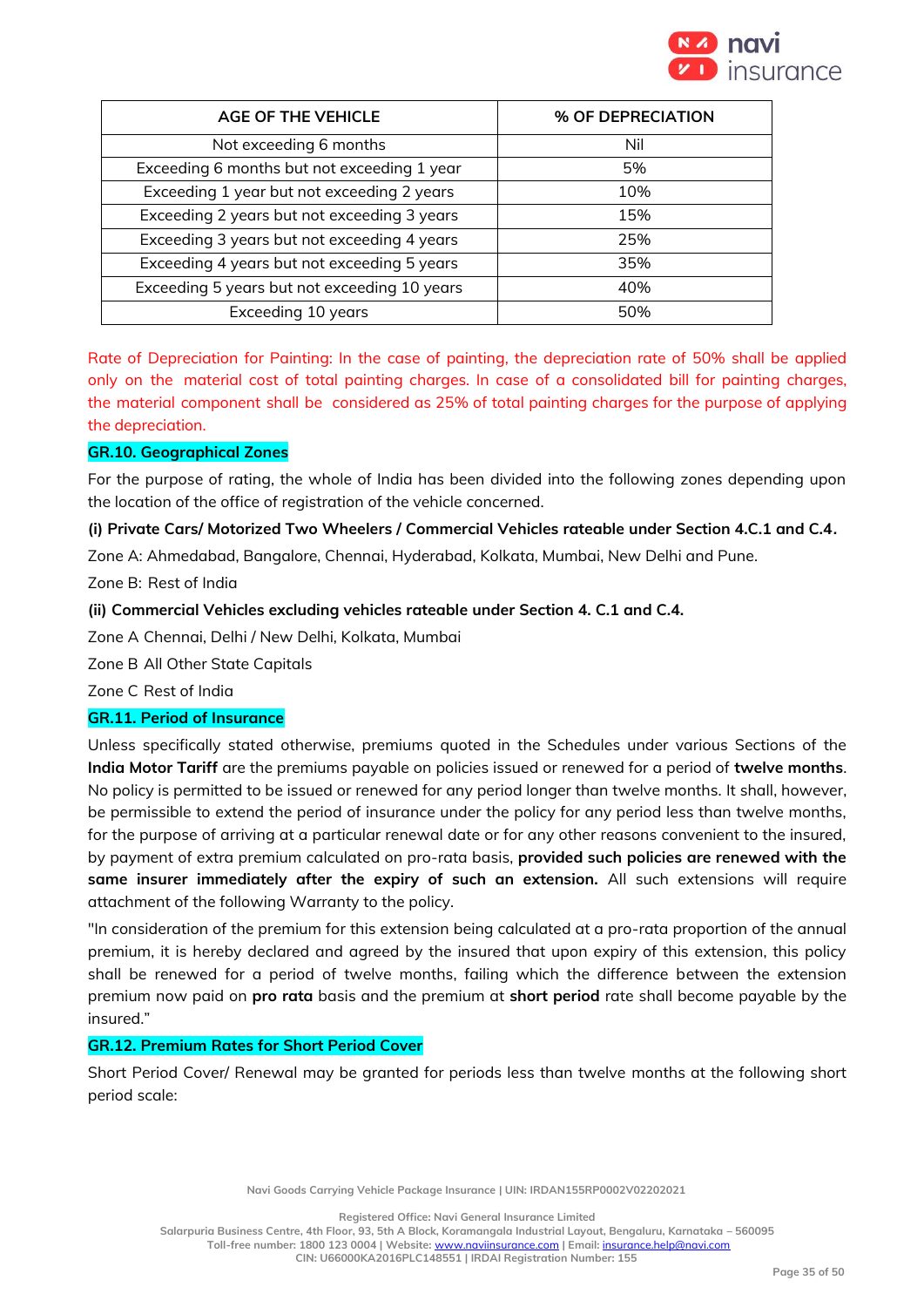

| <b>AGE OF THE VEHICLE</b>                    | % OF DEPRECIATION |  |
|----------------------------------------------|-------------------|--|
| Not exceeding 6 months                       | Nil               |  |
| Exceeding 6 months but not exceeding 1 year  | 5%                |  |
| Exceeding 1 year but not exceeding 2 years   | 10%               |  |
| Exceeding 2 years but not exceeding 3 years  | 15%               |  |
| Exceeding 3 years but not exceeding 4 years  | 25%               |  |
| Exceeding 4 years but not exceeding 5 years  | 35%               |  |
| Exceeding 5 years but not exceeding 10 years | 40%               |  |
| Exceeding 10 years                           | 50%               |  |

Rate of Depreciation for Painting: In the case of painting, the depreciation rate of 50% shall be applied only on the material cost of total painting charges. In case of a consolidated bill for painting charges, the material component shall be considered as 25% of total painting charges for the purpose of applying the depreciation.

# **GR.10. Geographical Zones**

For the purpose of rating, the whole of India has been divided into the following zones depending upon the location of the office of registration of the vehicle concerned.

# **(i) Private Cars/ Motorized Two Wheelers / Commercial Vehicles rateable under Section 4.C.1 and C.4***.*

Zone A: Ahmedabad, Bangalore, Chennai, Hyderabad, Kolkata, Mumbai, New Delhi and Pune.

Zone B: Rest of India

# **(ii) Commercial Vehicles excluding vehicles rateable under Section 4. C.1 and C.4.**

Zone A Chennai, Delhi / New Delhi, Kolkata, Mumbai

Zone B All Other State Capitals

Zone C Rest of India

# **GR.11. Period of Insurance**

Unless specifically stated otherwise, premiums quoted in the Schedules under various Sections of the **India Motor Tariff** are the premiums payable on policies issued or renewed for a period of **twelve months**. No policy is permitted to be issued or renewed for any period longer than twelve months. It shall, however, be permissible to extend the period of insurance under the policy for any period less than twelve months, for the purpose of arriving at a particular renewal date or for any other reasons convenient to the insured, by payment of extra premium calculated on pro-rata basis, **provided such policies are renewed with the same insurer immediately after the expiry of such an extension.** All such extensions will require attachment of the following Warranty to the policy.

"In consideration of the premium for this extension being calculated at a pro-rata proportion of the annual premium, it is hereby declared and agreed by the insured that upon expiry of this extension, this policy shall be renewed for a period of twelve months, failing which the difference between the extension premium now paid on **pro rata** basis and the premium at **short period** rate shall become payable by the insured."

# **GR.12. Premium Rates for Short Period Cover**

Short Period Cover/ Renewal may be granted for periods less than twelve months at the following short period scale:

**Navi Goods Carrying Vehicle Package Insurance | UIN: IRDAN155RP0002V02202021**

**Registered Office: Navi General Insurance Limited**

**Salarpuria Business Centre, 4th Floor, 93, 5th A Block, Koramangala Industrial Layout, Bengaluru, Karnataka – 560095 Toll-free number: 1800 123 0004 | Website:** [www.naviinsurance.com](http://www.naviinsurance.com/) **| Email:** [insurance.help@navi.com](mailto:insurance.help@navi.com)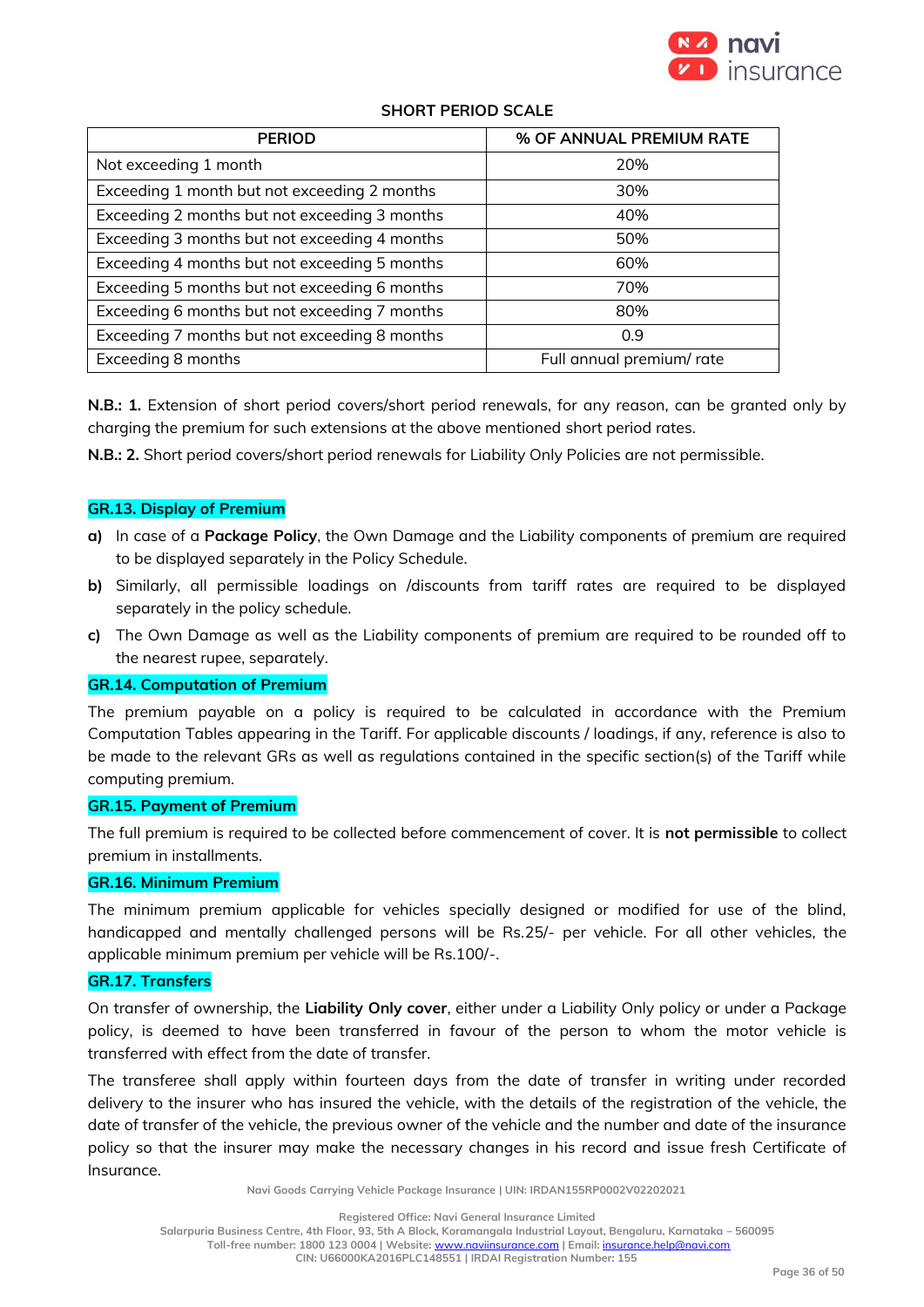

# **SHORT PERIOD SCALE**

| <b>PERIOD</b>                                 | % OF ANNUAL PREMIUM RATE |  |
|-----------------------------------------------|--------------------------|--|
| Not exceeding 1 month                         | 20%                      |  |
| Exceeding 1 month but not exceeding 2 months  | 30%                      |  |
| Exceeding 2 months but not exceeding 3 months | 40%                      |  |
| Exceeding 3 months but not exceeding 4 months | 50%                      |  |
| Exceeding 4 months but not exceeding 5 months | 60%                      |  |
| Exceeding 5 months but not exceeding 6 months | 70%                      |  |
| Exceeding 6 months but not exceeding 7 months | 80%                      |  |
| Exceeding 7 months but not exceeding 8 months | 0.9                      |  |
| Exceeding 8 months                            | Full annual premium/rate |  |

**N.B.: 1.** Extension of short period covers/short period renewals, for any reason, can be granted only by charging the premium for such extensions at the above mentioned short period rates.

**N.B.: 2.** Short period covers/short period renewals for Liability Only Policies are not permissible.

#### **GR.13. Display of Premium**

- **a)** In case of a **Package Policy**, the Own Damage and the Liability components of premium are required to be displayed separately in the Policy Schedule.
- **b)** Similarly, all permissible loadings on /discounts from tariff rates are required to be displayed separately in the policy schedule.
- **c)** The Own Damage as well as the Liability components of premium are required to be rounded off to the nearest rupee, separately.

#### **GR.14. Computation of Premium**

The premium payable on a policy is required to be calculated in accordance with the Premium Computation Tables appearing in the Tariff. For applicable discounts / loadings, if any, reference is also to be made to the relevant GRs as well as regulations contained in the specific section(s) of the Tariff while computing premium.

#### **GR.15. Payment of Premium**

The full premium is required to be collected before commencement of cover. It is **not permissible** to collect premium in installments.

#### **GR.16. Minimum Premium**

The minimum premium applicable for vehicles specially designed or modified for use of the blind, handicapped and mentally challenged persons will be Rs.25/- per vehicle. For all other vehicles, the applicable minimum premium per vehicle will be Rs.100/-.

# **GR.17. Transfers**

On transfer of ownership, the **Liability Only cover**, either under a Liability Only policy or under a Package policy, is deemed to have been transferred in favour of the person to whom the motor vehicle is transferred with effect from the date of transfer.

The transferee shall apply within fourteen days from the date of transfer in writing under recorded delivery to the insurer who has insured the vehicle, with the details of the registration of the vehicle, the date of transfer of the vehicle, the previous owner of the vehicle and the number and date of the insurance policy so that the insurer may make the necessary changes in his record and issue fresh Certificate of Insurance.

**Navi Goods Carrying Vehicle Package Insurance | UIN: IRDAN155RP0002V02202021**

**Registered Office: Navi General Insurance Limited**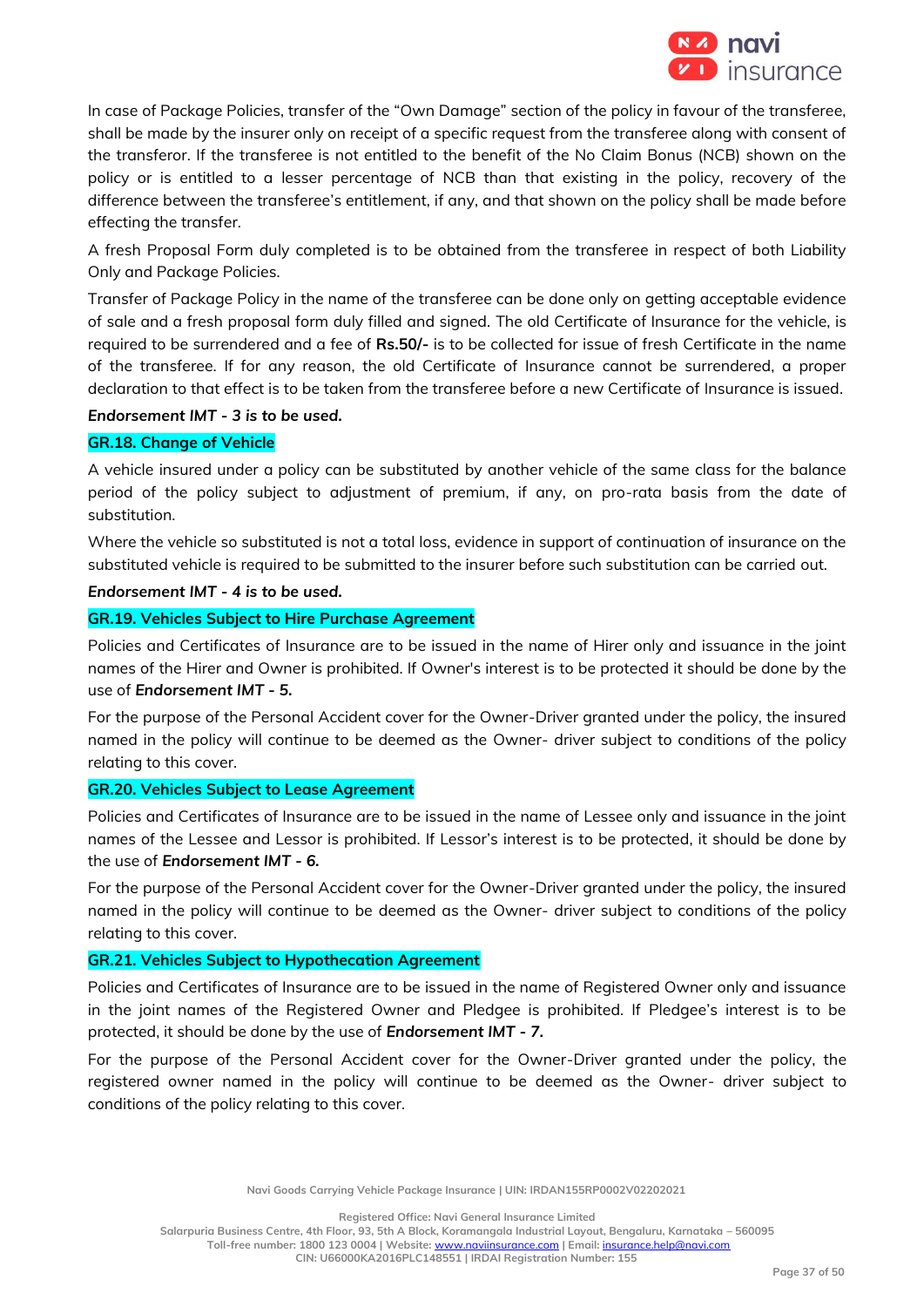

In case of Package Policies, transfer of the "Own Damage" section of the policy in favour of the transferee, shall be made by the insurer only on receipt of a specific request from the transferee along with consent of the transferor. If the transferee is not entitled to the benefit of the No Claim Bonus (NCB) shown on the policy or is entitled to a lesser percentage of NCB than that existing in the policy, recovery of the difference between the transferee's entitlement, if any, and that shown on the policy shall be made before effecting the transfer.

A fresh Proposal Form duly completed is to be obtained from the transferee in respect of both Liability Only and Package Policies.

Transfer of Package Policy in the name of the transferee can be done only on getting acceptable evidence of sale and a fresh proposal form duly filled and signed. The old Certificate of Insurance for the vehicle, is required to be surrendered and a fee of **Rs.50/-** is to be collected for issue of fresh Certificate in the name of the transferee. If for any reason, the old Certificate of Insurance cannot be surrendered, a proper declaration to that effect is to be taken from the transferee before a new Certificate of Insurance is issued.

# *Endorsement IMT - 3 is to be used.*

# **GR.18. Change of Vehicle**

A vehicle insured under a policy can be substituted by another vehicle of the same class for the balance period of the policy subject to adjustment of premium, if any, on pro-rata basis from the date of substitution.

Where the vehicle so substituted is not a total loss, evidence in support of continuation of insurance on the substituted vehicle is required to be submitted to the insurer before such substitution can be carried out.

### *Endorsement IMT - 4 is to be used.*

#### **GR.19. Vehicles Subject to Hire Purchase Agreement**

Policies and Certificates of Insurance are to be issued in the name of Hirer only and issuance in the joint names of the Hirer and Owner is prohibited. If Owner's interest is to be protected it should be done by the use of *Endorsement IMT - 5.*

For the purpose of the Personal Accident cover for the Owner-Driver granted under the policy, the insured named in the policy will continue to be deemed as the Owner- driver subject to conditions of the policy relating to this cover.

# **GR.20. Vehicles Subject to Lease Agreement**

Policies and Certificates of Insurance are to be issued in the name of Lessee only and issuance in the joint names of the Lessee and Lessor is prohibited. If Lessor's interest is to be protected, it should be done by the use of *Endorsement IMT - 6.*

For the purpose of the Personal Accident cover for the Owner-Driver granted under the policy, the insured named in the policy will continue to be deemed as the Owner- driver subject to conditions of the policy relating to this cover.

# **GR.21. Vehicles Subject to Hypothecation Agreement**

Policies and Certificates of Insurance are to be issued in the name of Registered Owner only and issuance in the joint names of the Registered Owner and Pledgee is prohibited. If Pledgee's interest is to be protected, it should be done by the use of *Endorsement IMT - 7.* 

For the purpose of the Personal Accident cover for the Owner-Driver granted under the policy, the registered owner named in the policy will continue to be deemed as the Owner- driver subject to conditions of the policy relating to this cover.

**Navi Goods Carrying Vehicle Package Insurance | UIN: IRDAN155RP0002V02202021**

**Registered Office: Navi General Insurance Limited**

**Salarpuria Business Centre, 4th Floor, 93, 5th A Block, Koramangala Industrial Layout, Bengaluru, Karnataka – 560095 Toll-free number: 1800 123 0004 | Website:** [www.naviinsurance.com](http://www.naviinsurance.com/) **| Email:** [insurance.help@navi.com](mailto:insurance.help@navi.com)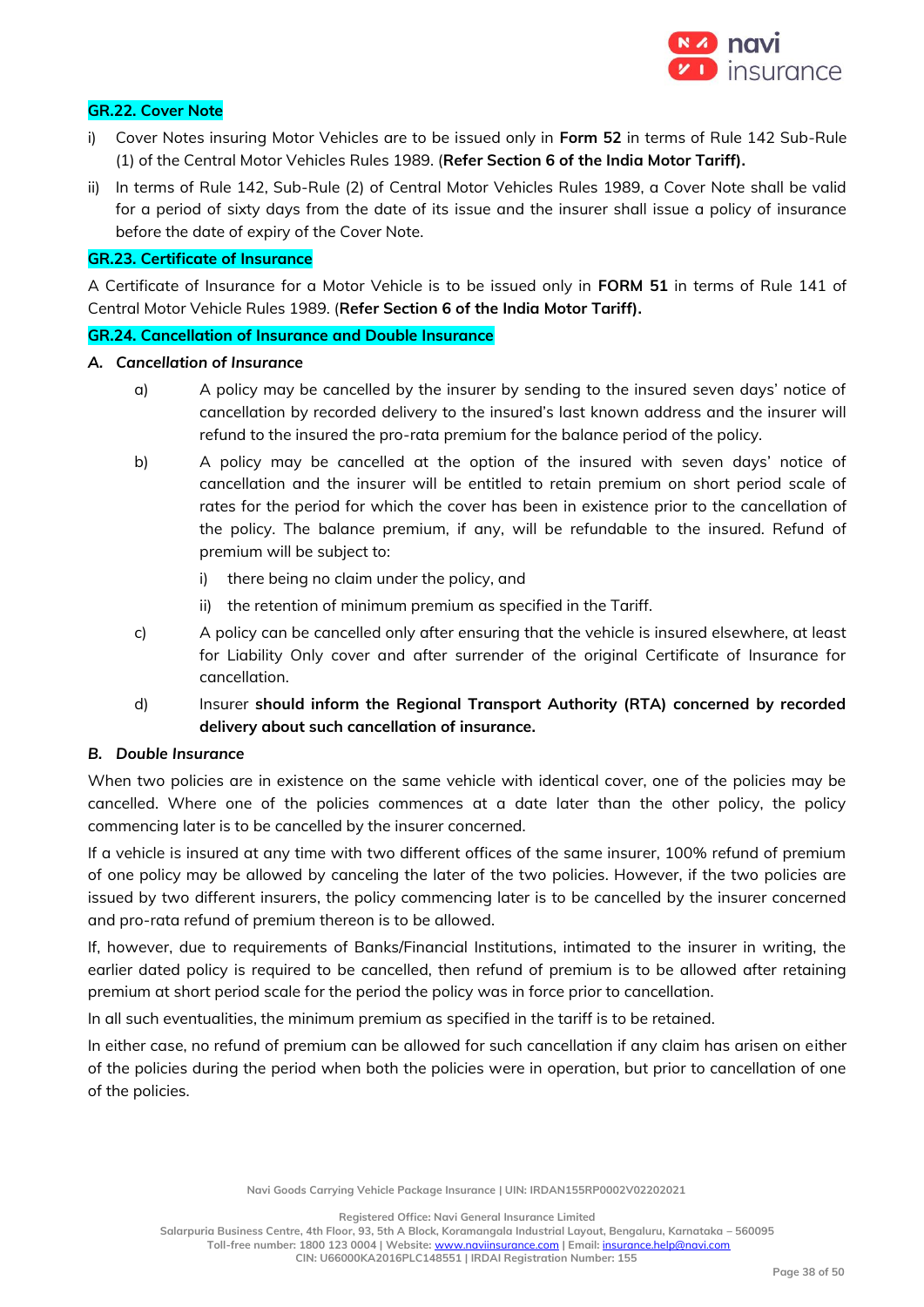

# **GR.22. Cover Note**

- i) Cover Notes insuring Motor Vehicles are to be issued only in **Form 52** in terms of Rule 142 Sub-Rule (1) of the Central Motor Vehicles Rules 1989. (**Refer Section 6 of the India Motor Tariff).**
- ii) In terms of Rule 142, Sub-Rule (2) of Central Motor Vehicles Rules 1989, a Cover Note shall be valid for a period of sixty days from the date of its issue and the insurer shall issue a policy of insurance before the date of expiry of the Cover Note.

# **GR.23. Certificate of Insurance**

A Certificate of Insurance for a Motor Vehicle is to be issued only in **FORM 51** in terms of Rule 141 of Central Motor Vehicle Rules 1989. (**Refer Section 6 of the India Motor Tariff).**

#### **GR.24. Cancellation of Insurance and Double Insurance**

#### *A. Cancellation of Insurance*

- a) A policy may be cancelled by the insurer by sending to the insured seven days' notice of cancellation by recorded delivery to the insured's last known address and the insurer will refund to the insured the pro-rata premium for the balance period of the policy.
- b) A policy may be cancelled at the option of the insured with seven days' notice of cancellation and the insurer will be entitled to retain premium on short period scale of rates for the period for which the cover has been in existence prior to the cancellation of the policy. The balance premium, if any, will be refundable to the insured. Refund of premium will be subject to:
	- i) there being no claim under the policy, and
	- ii) the retention of minimum premium as specified in the Tariff.
- c) A policy can be cancelled only after ensuring that the vehicle is insured elsewhere, at least for Liability Only cover and after surrender of the original Certificate of Insurance for cancellation.
- d) Insurer **should inform the Regional Transport Authority (RTA) concerned by recorded delivery about such cancellation of insurance.**

# *B. Double Insurance*

When two policies are in existence on the same vehicle with identical cover, one of the policies may be cancelled. Where one of the policies commences at a date later than the other policy, the policy commencing later is to be cancelled by the insurer concerned.

If a vehicle is insured at any time with two different offices of the same insurer, 100% refund of premium of one policy may be allowed by canceling the later of the two policies. However, if the two policies are issued by two different insurers, the policy commencing later is to be cancelled by the insurer concerned and pro-rata refund of premium thereon is to be allowed.

If, however, due to requirements of Banks/Financial Institutions, intimated to the insurer in writing, the earlier dated policy is required to be cancelled, then refund of premium is to be allowed after retaining premium at short period scale for the period the policy was in force prior to cancellation.

In all such eventualities, the minimum premium as specified in the tariff is to be retained.

In either case, no refund of premium can be allowed for such cancellation if any claim has arisen on either of the policies during the period when both the policies were in operation, but prior to cancellation of one of the policies.

**Registered Office: Navi General Insurance Limited**

**Salarpuria Business Centre, 4th Floor, 93, 5th A Block, Koramangala Industrial Layout, Bengaluru, Karnataka – 560095 Toll-free number: 1800 123 0004 | Website:** [www.naviinsurance.com](http://www.naviinsurance.com/) **| Email:** [insurance.help@navi.com](mailto:insurance.help@navi.com)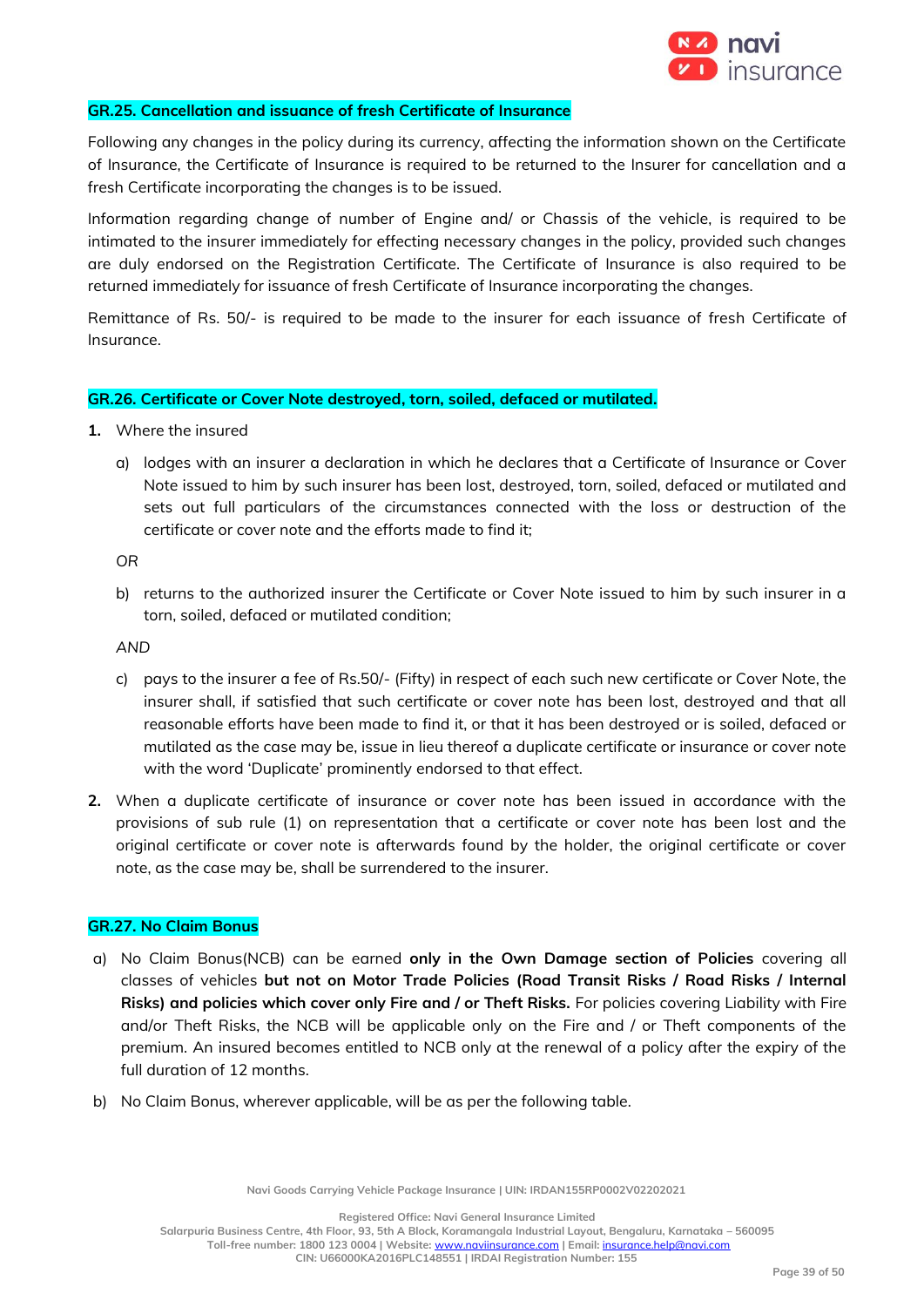

#### **GR.25. Cancellation and issuance of fresh Certificate of Insurance**

Following any changes in the policy during its currency, affecting the information shown on the Certificate of Insurance, the Certificate of Insurance is required to be returned to the Insurer for cancellation and a fresh Certificate incorporating the changes is to be issued.

Information regarding change of number of Engine and/ or Chassis of the vehicle, is required to be intimated to the insurer immediately for effecting necessary changes in the policy, provided such changes are duly endorsed on the Registration Certificate. The Certificate of Insurance is also required to be returned immediately for issuance of fresh Certificate of Insurance incorporating the changes.

Remittance of Rs. 50/- is required to be made to the insurer for each issuance of fresh Certificate of Insurance.

#### **GR.26. Certificate or Cover Note destroyed, torn, soiled, defaced or mutilated.**

- **1.** Where the insured
	- a) lodges with an insurer a declaration in which he declares that a Certificate of Insurance or Cover Note issued to him by such insurer has been lost, destroyed, torn, soiled, defaced or mutilated and sets out full particulars of the circumstances connected with the loss or destruction of the certificate or cover note and the efforts made to find it;

*OR*

b) returns to the authorized insurer the Certificate or Cover Note issued to him by such insurer in a torn, soiled, defaced or mutilated condition;

*AND*

- c) pays to the insurer a fee of Rs.50/- (Fifty) in respect of each such new certificate or Cover Note, the insurer shall, if satisfied that such certificate or cover note has been lost, destroyed and that all reasonable efforts have been made to find it, or that it has been destroyed or is soiled, defaced or mutilated as the case may be, issue in lieu thereof a duplicate certificate or insurance or cover note with the word 'Duplicate' prominently endorsed to that effect.
- **2.** When a duplicate certificate of insurance or cover note has been issued in accordance with the provisions of sub rule (1) on representation that a certificate or cover note has been lost and the original certificate or cover note is afterwards found by the holder, the original certificate or cover note, as the case may be, shall be surrendered to the insurer.

#### **GR.27. No Claim Bonus**

- a) No Claim Bonus(NCB) can be earned **only in the Own Damage section of Policies** covering all classes of vehicles **but not on Motor Trade Policies (Road Transit Risks / Road Risks / Internal Risks) and policies which cover only Fire and / or Theft Risks.** For policies covering Liability with Fire and/or Theft Risks, the NCB will be applicable only on the Fire and / or Theft components of the premium. An insured becomes entitled to NCB only at the renewal of a policy after the expiry of the full duration of 12 months.
- b) No Claim Bonus, wherever applicable, will be as per the following table.

**Navi Goods Carrying Vehicle Package Insurance | UIN: IRDAN155RP0002V02202021**

**Registered Office: Navi General Insurance Limited**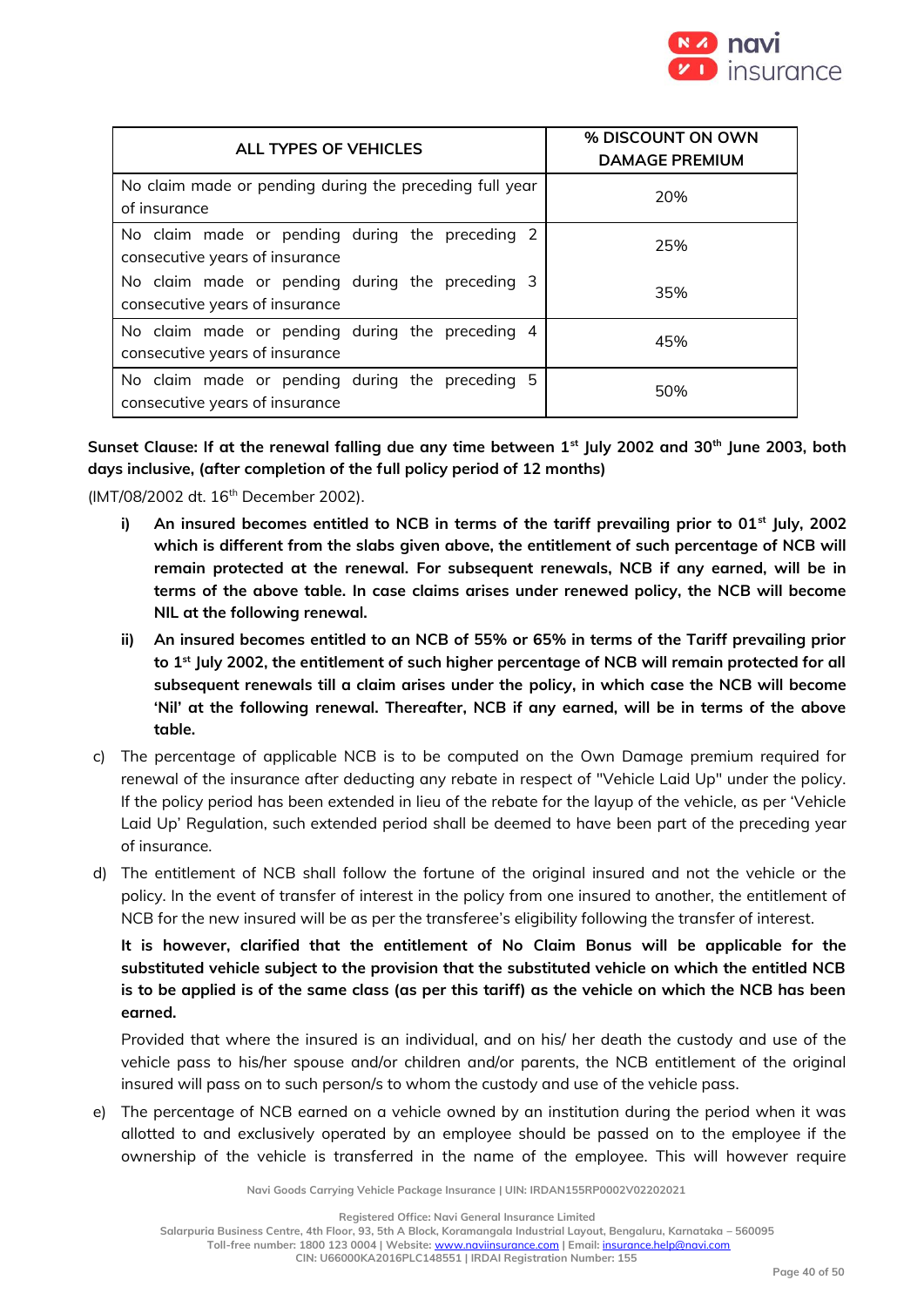

| ALL TYPES OF VEHICLES                                                             | % DISCOUNT ON OWN<br><b>DAMAGE PREMIUM</b> |
|-----------------------------------------------------------------------------------|--------------------------------------------|
| No claim made or pending during the preceding full year<br>of insurance           | 20%                                        |
| No claim made or pending during the preceding 2<br>consecutive years of insurance | 25%                                        |
| No claim made or pending during the preceding 3<br>consecutive years of insurance | 35%                                        |
| No claim made or pending during the preceding 4<br>consecutive years of insurance | 45%                                        |
| No claim made or pending during the preceding 5<br>consecutive years of insurance | 50%                                        |

**Sunset Clause: If at the renewal falling due any time between 1st July 2002 and 30th June 2003, both days inclusive, (after completion of the full policy period of 12 months)**

(IMT/08/2002 dt. 16th December 2002).

- **i) An insured becomes entitled to NCB in terms of the tariff prevailing prior to 01st July, 2002 which is different from the slabs given above, the entitlement of such percentage of NCB will remain protected at the renewal. For subsequent renewals, NCB if any earned, will be in terms of the above table. In case claims arises under renewed policy, the NCB will become NIL at the following renewal.**
- **ii) An insured becomes entitled to an NCB of 55% or 65% in terms of the Tariff prevailing prior to 1st July 2002, the entitlement of such higher percentage of NCB will remain protected for all subsequent renewals till a claim arises under the policy, in which case the NCB will become 'Nil' at the following renewal. Thereafter, NCB if any earned, will be in terms of the above table.**
- c) The percentage of applicable NCB is to be computed on the Own Damage premium required for renewal of the insurance after deducting any rebate in respect of "Vehicle Laid Up" under the policy. If the policy period has been extended in lieu of the rebate for the layup of the vehicle, as per 'Vehicle Laid Up' Regulation, such extended period shall be deemed to have been part of the preceding year of insurance.
- d) The entitlement of NCB shall follow the fortune of the original insured and not the vehicle or the policy. In the event of transfer of interest in the policy from one insured to another, the entitlement of NCB for the new insured will be as per the transferee's eligibility following the transfer of interest.

**It is however, clarified that the entitlement of No Claim Bonus will be applicable for the substituted vehicle subject to the provision that the substituted vehicle on which the entitled NCB is to be applied is of the same class (as per this tariff) as the vehicle on which the NCB has been earned.** 

Provided that where the insured is an individual, and on his/ her death the custody and use of the vehicle pass to his/her spouse and/or children and/or parents, the NCB entitlement of the original insured will pass on to such person/s to whom the custody and use of the vehicle pass.

e) The percentage of NCB earned on a vehicle owned by an institution during the period when it was allotted to and exclusively operated by an employee should be passed on to the employee if the ownership of the vehicle is transferred in the name of the employee. This will however require

**Navi Goods Carrying Vehicle Package Insurance | UIN: IRDAN155RP0002V02202021**

**Registered Office: Navi General Insurance Limited**

**Salarpuria Business Centre, 4th Floor, 93, 5th A Block, Koramangala Industrial Layout, Bengaluru, Karnataka – 560095 Toll-free number: 1800 123 0004 | Website:** [www.naviinsurance.com](http://www.naviinsurance.com/) **| Email:** [insurance.help@navi.com](mailto:insurance.help@navi.com)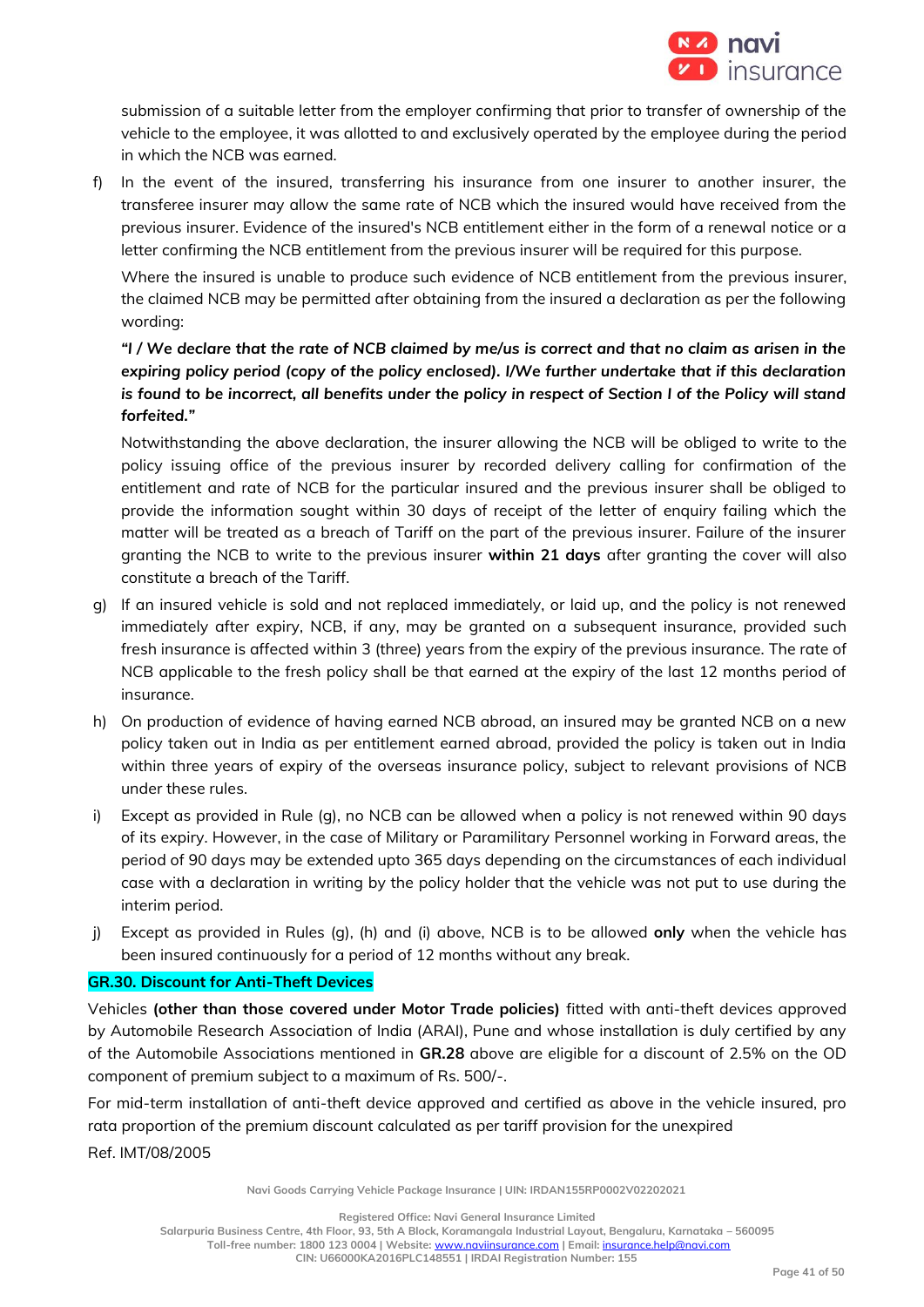

submission of a suitable letter from the employer confirming that prior to transfer of ownership of the vehicle to the employee, it was allotted to and exclusively operated by the employee during the period in which the NCB was earned.

f) In the event of the insured, transferring his insurance from one insurer to another insurer, the transferee insurer may allow the same rate of NCB which the insured would have received from the previous insurer. Evidence of the insured's NCB entitlement either in the form of a renewal notice or a letter confirming the NCB entitlement from the previous insurer will be required for this purpose.

Where the insured is unable to produce such evidence of NCB entitlement from the previous insurer, the claimed NCB may be permitted after obtaining from the insured a declaration as per the following wording:

# *"I / We declare that the rate of NCB claimed by me/us is correct and that no claim as arisen in the expiring policy period (copy of the policy enclosed). I/We further undertake that if this declaration is found to be incorrect, all benefits under the policy in respect of Section I of the Policy will stand forfeited."*

Notwithstanding the above declaration, the insurer allowing the NCB will be obliged to write to the policy issuing office of the previous insurer by recorded delivery calling for confirmation of the entitlement and rate of NCB for the particular insured and the previous insurer shall be obliged to provide the information sought within 30 days of receipt of the letter of enquiry failing which the matter will be treated as a breach of Tariff on the part of the previous insurer. Failure of the insurer granting the NCB to write to the previous insurer **within 21 days** after granting the cover will also constitute a breach of the Tariff.

- g) If an insured vehicle is sold and not replaced immediately, or laid up, and the policy is not renewed immediately after expiry, NCB, if any, may be granted on a subsequent insurance, provided such fresh insurance is affected within 3 (three) years from the expiry of the previous insurance. The rate of NCB applicable to the fresh policy shall be that earned at the expiry of the last 12 months period of insurance.
- h) On production of evidence of having earned NCB abroad, an insured may be granted NCB on a new policy taken out in India as per entitlement earned abroad, provided the policy is taken out in India within three years of expiry of the overseas insurance policy, subject to relevant provisions of NCB under these rules.
- i) Except as provided in Rule (g), no NCB can be allowed when a policy is not renewed within 90 days of its expiry. However, in the case of Military or Paramilitary Personnel working in Forward areas, the period of 90 days may be extended upto 365 days depending on the circumstances of each individual case with a declaration in writing by the policy holder that the vehicle was not put to use during the interim period.
- j) Except as provided in Rules (g), (h) and (i) above, NCB is to be allowed **only** when the vehicle has been insured continuously for a period of 12 months without any break.

# **GR.30. Discount for Anti-Theft Devices**

Vehicles **(other than those covered under Motor Trade policies)** fitted with anti-theft devices approved by Automobile Research Association of India (ARAI), Pune and whose installation is duly certified by any of the Automobile Associations mentioned in **GR.28** above are eligible for a discount of 2.5% on the OD component of premium subject to a maximum of Rs. 500/-.

For mid-term installation of anti-theft device approved and certified as above in the vehicle insured, pro rata proportion of the premium discount calculated as per tariff provision for the unexpired Ref. IMT/08/2005

**Navi Goods Carrying Vehicle Package Insurance | UIN: IRDAN155RP0002V02202021**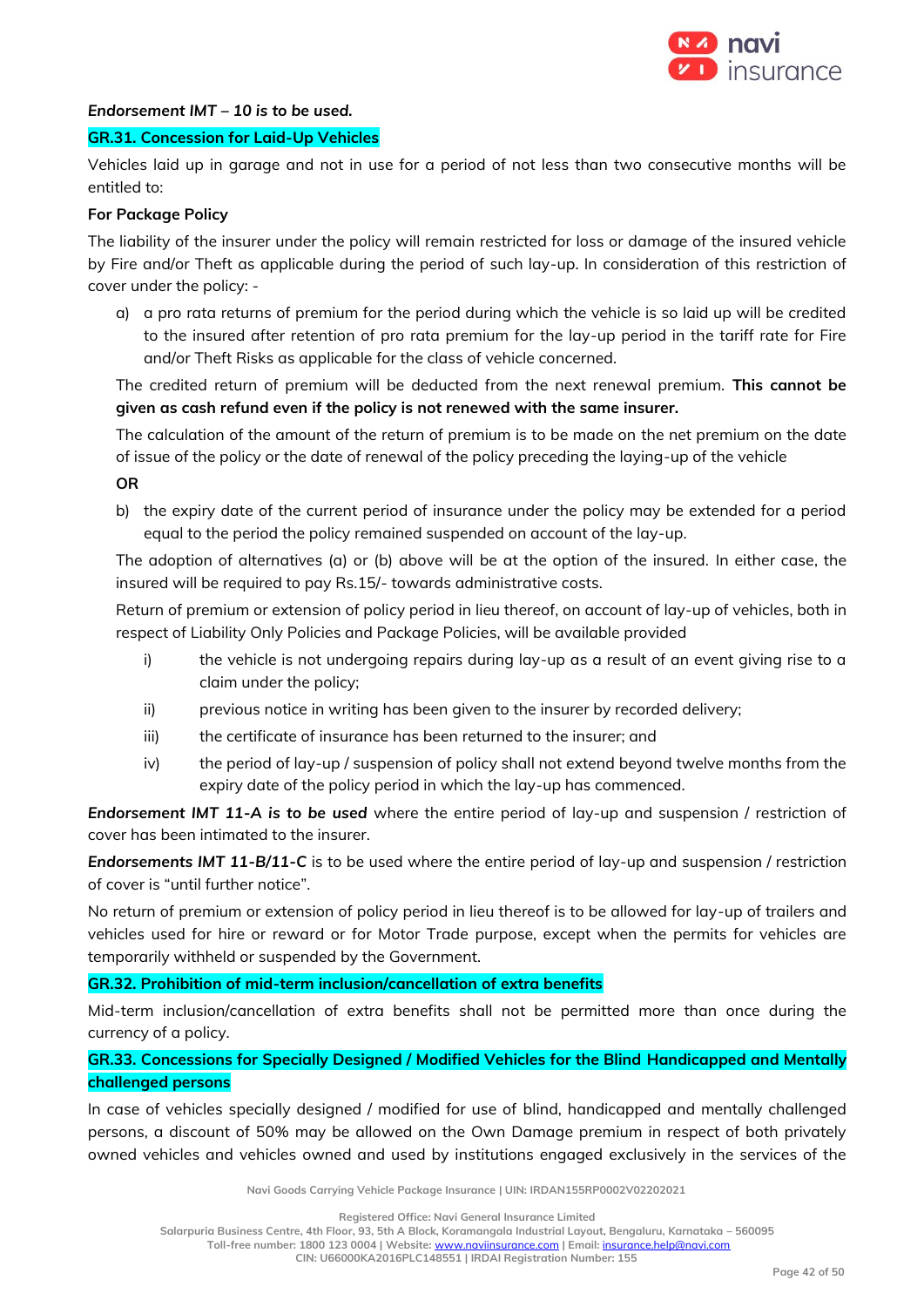

#### *Endorsement IMT – 10 is to be used.*

#### **GR.31. Concession for Laid-Up Vehicles**

Vehicles laid up in garage and not in use for a period of not less than two consecutive months will be entitled to:

#### **For Package Policy**

The liability of the insurer under the policy will remain restricted for loss or damage of the insured vehicle by Fire and/or Theft as applicable during the period of such lay-up. In consideration of this restriction of cover under the policy: -

a) a pro rata returns of premium for the period during which the vehicle is so laid up will be credited to the insured after retention of pro rata premium for the lay-up period in the tariff rate for Fire and/or Theft Risks as applicable for the class of vehicle concerned.

The credited return of premium will be deducted from the next renewal premium. **This cannot be given as cash refund even if the policy is not renewed with the same insurer.**

The calculation of the amount of the return of premium is to be made on the net premium on the date of issue of the policy or the date of renewal of the policy preceding the laying-up of the vehicle

**OR**

b) the expiry date of the current period of insurance under the policy may be extended for a period equal to the period the policy remained suspended on account of the lay-up.

The adoption of alternatives (a) or (b) above will be at the option of the insured. In either case, the insured will be required to pay Rs.15/- towards administrative costs.

Return of premium or extension of policy period in lieu thereof, on account of lay-up of vehicles, both in respect of Liability Only Policies and Package Policies, will be available provided

- i) the vehicle is not undergoing repairs during lay-up as a result of an event giving rise to a claim under the policy;
- ii) previous notice in writing has been given to the insurer by recorded delivery;
- iii) the certificate of insurance has been returned to the insurer; and
- iv) the period of lay-up / suspension of policy shall not extend beyond twelve months from the expiry date of the policy period in which the lay-up has commenced.

*Endorsement IMT 11-A is to be used* where the entire period of lay-up and suspension / restriction of cover has been intimated to the insurer.

*Endorsements IMT 11-B/11-C* is to be used where the entire period of lay-up and suspension / restriction of cover is "until further notice".

No return of premium or extension of policy period in lieu thereof is to be allowed for lay-up of trailers and vehicles used for hire or reward or for Motor Trade purpose, except when the permits for vehicles are temporarily withheld or suspended by the Government.

# **GR.32. Prohibition of mid-term inclusion/cancellation of extra benefits**

Mid-term inclusion/cancellation of extra benefits shall not be permitted more than once during the currency of a policy.

# **GR.33. Concessions for Specially Designed / Modified Vehicles for the Blind Handicapped and Mentally challenged persons**

In case of vehicles specially designed / modified for use of blind, handicapped and mentally challenged persons, a discount of 50% may be allowed on the Own Damage premium in respect of both privately owned vehicles and vehicles owned and used by institutions engaged exclusively in the services of the

**Navi Goods Carrying Vehicle Package Insurance | UIN: IRDAN155RP0002V02202021**

**Registered Office: Navi General Insurance Limited**

**Salarpuria Business Centre, 4th Floor, 93, 5th A Block, Koramangala Industrial Layout, Bengaluru, Karnataka – 560095 Toll-free number: 1800 123 0004 | Website:** [www.naviinsurance.com](http://www.naviinsurance.com/) **| Email:** [insurance.help@navi.com](mailto:insurance.help@navi.com)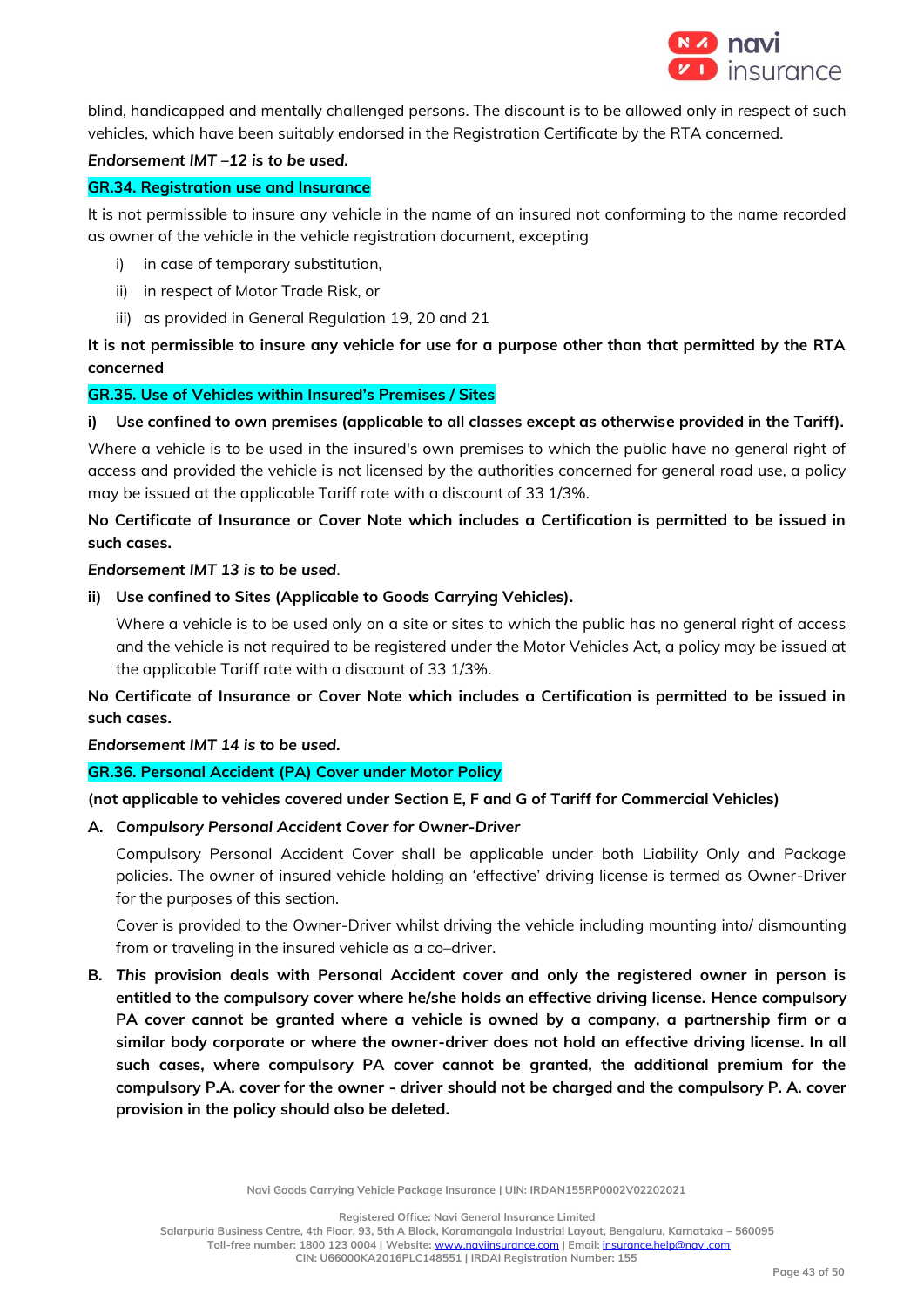

blind, handicapped and mentally challenged persons. The discount is to be allowed only in respect of such vehicles, which have been suitably endorsed in the Registration Certificate by the RTA concerned.

#### *Endorsement IMT –12 is to be used.*

# **GR.34. Registration use and Insurance**

It is not permissible to insure any vehicle in the name of an insured not conforming to the name recorded as owner of the vehicle in the vehicle registration document, excepting

- i) in case of temporary substitution,
- ii) in respect of Motor Trade Risk, or
- iii) as provided in General Regulation 19, 20 and 21

# **It is not permissible to insure any vehicle for use for a purpose other than that permitted by the RTA concerned**

# **GR.35. Use of Vehicles within Insured's Premises / Sites**

# **i) Use confined to own premises (applicable to all classes except as otherwise provided in the Tariff).**

Where a vehicle is to be used in the insured's own premises to which the public have no general right of access and provided the vehicle is not licensed by the authorities concerned for general road use, a policy may be issued at the applicable Tariff rate with a discount of 33 1/3%.

# **No Certificate of Insurance or Cover Note which includes a Certification is permitted to be issued in such cases.**

# *Endorsement IMT 13 is to be used.*

**ii) Use confined to Sites (Applicable to Goods Carrying Vehicles).**

Where a vehicle is to be used only on a site or sites to which the public has no general right of access and the vehicle is not required to be registered under the Motor Vehicles Act, a policy may be issued at the applicable Tariff rate with a discount of 33 1/3%.

**No Certificate of Insurance or Cover Note which includes a Certification is permitted to be issued in such cases.** 

# *Endorsement IMT 14 is to be used.*

# **GR.36. Personal Accident (PA) Cover under Motor Policy**

# **(not applicable to vehicles covered under Section E, F and G of Tariff for Commercial Vehicles)**

# **A.** *Compulsory Personal Accident Cover for Owner-Driver*

Compulsory Personal Accident Cover shall be applicable under both Liability Only and Package policies. The owner of insured vehicle holding an 'effective' driving license is termed as Owner-Driver for the purposes of this section.

Cover is provided to the Owner-Driver whilst driving the vehicle including mounting into/ dismounting from or traveling in the insured vehicle as a co–driver.

**B.** *This* **provision deals with Personal Accident cover and only the registered owner in person is entitled to the compulsory cover where he/she holds an effective driving license. Hence compulsory PA cover cannot be granted where a vehicle is owned by a company, a partnership firm or a similar body corporate or where the owner-driver does not hold an effective driving license. In all such cases, where compulsory PA cover cannot be granted, the additional premium for the compulsory P.A. cover for the owner - driver should not be charged and the compulsory P. A. cover provision in the policy should also be deleted.** 

**Navi Goods Carrying Vehicle Package Insurance | UIN: IRDAN155RP0002V02202021**

**Registered Office: Navi General Insurance Limited**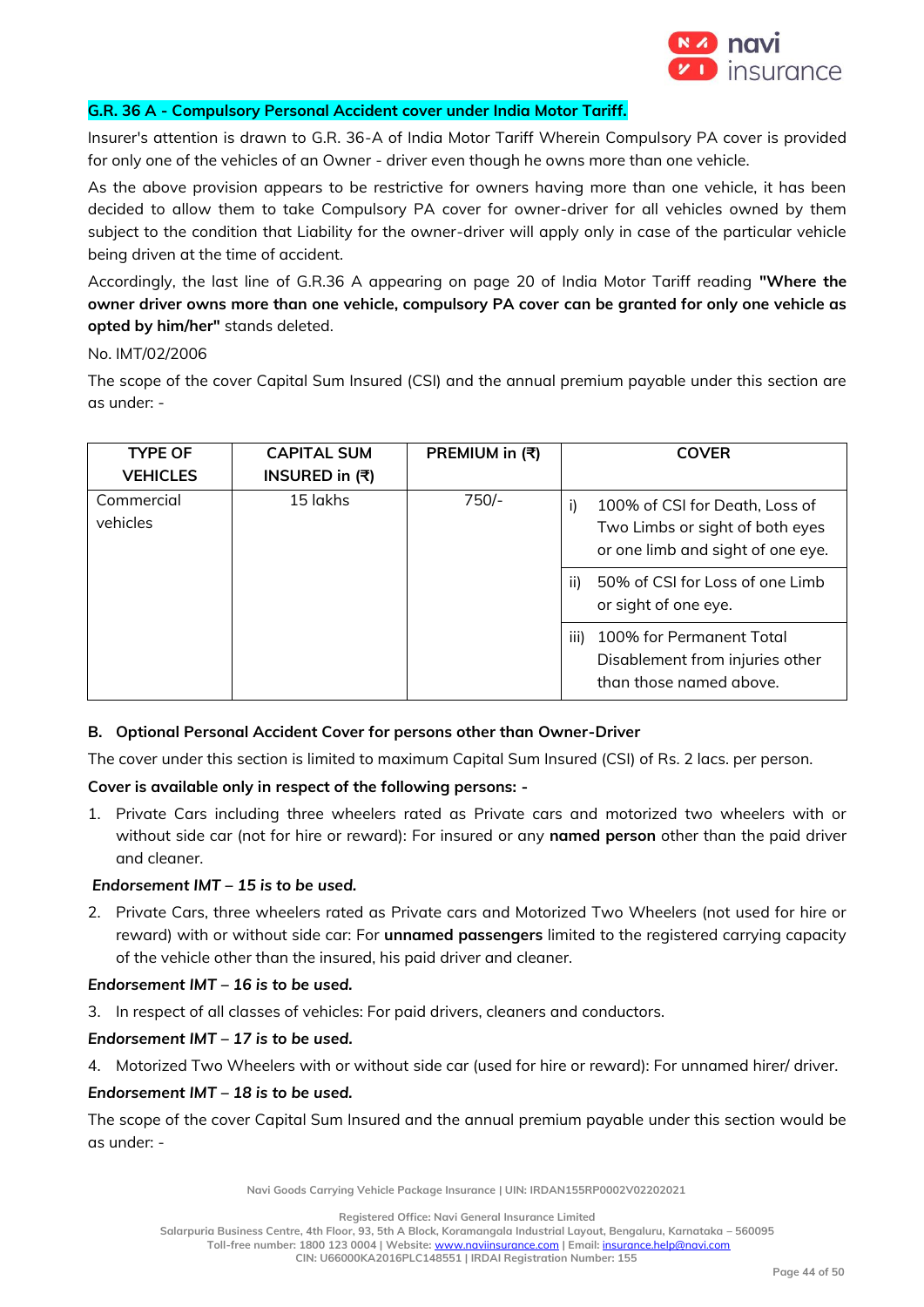

#### **G.R. 36 A - Compulsory Personal Accident cover under India Motor Tariff.**

Insurer's attention is drawn to G.R. 36-A of India Motor Tariff Wherein Compulsory PA cover is provided for only one of the vehicles of an Owner - driver even though he owns more than one vehicle.

As the above provision appears to be restrictive for owners having more than one vehicle, it has been decided to allow them to take Compulsory PA cover for owner-driver for all vehicles owned by them subject to the condition that Liability for the owner-driver will apply only in case of the particular vehicle being driven at the time of accident.

Accordingly, the last line of G.R.36 A appearing on page 20 of India Motor Tariff reading **"Where the owner driver owns more than one vehicle, compulsory PA cover can be granted for only one vehicle as opted by him/her"** stands deleted.

No. IMT/02/2006

The scope of the cover Capital Sum Insured (CSI) and the annual premium payable under this section are as under: -

| <b>TYPE OF</b><br><b>VEHICLES</b> | <b>CAPITAL SUM</b><br>INSURED in (₹) | PREMIUM in (₹) | <b>COVER</b>                                                                                           |
|-----------------------------------|--------------------------------------|----------------|--------------------------------------------------------------------------------------------------------|
| Commercial<br>vehicles            | 15 lakhs                             | $750/-$        | 100% of CSI for Death, Loss of<br>Two Limbs or sight of both eyes<br>or one limb and sight of one eye. |
|                                   |                                      |                | 50% of CSI for Loss of one Limb<br>ii)<br>or sight of one eye.                                         |
|                                   |                                      |                | 100% for Permanent Total<br>iii)<br>Disablement from injuries other<br>than those named above.         |

# **B. Optional Personal Accident Cover for persons other than Owner-Driver**

The cover under this section is limited to maximum Capital Sum Insured (CSI) of Rs. 2 lacs. per person.

# **Cover is available only in respect of the following persons: -**

1. Private Cars including three wheelers rated as Private cars and motorized two wheelers with or without side car (not for hire or reward): For insured or any **named person** other than the paid driver and cleaner.

# *Endorsement IMT – 15 is to be used.*

2. Private Cars, three wheelers rated as Private cars and Motorized Two Wheelers (not used for hire or reward) with or without side car: For **unnamed passengers** limited to the registered carrying capacity of the vehicle other than the insured, his paid driver and cleaner.

# *Endorsement IMT – 16 is to be used.*

3. In respect of all classes of vehicles: For paid drivers, cleaners and conductors.

# *Endorsement IMT – 17 is to be used.*

4. Motorized Two Wheelers with or without side car (used for hire or reward): For unnamed hirer/ driver.

# *Endorsement IMT – 18 is to be used.*

The scope of the cover Capital Sum Insured and the annual premium payable under this section would be as under: -

**Navi Goods Carrying Vehicle Package Insurance | UIN: IRDAN155RP0002V02202021**

**Registered Office: Navi General Insurance Limited**

**Salarpuria Business Centre, 4th Floor, 93, 5th A Block, Koramangala Industrial Layout, Bengaluru, Karnataka – 560095**

**Toll-free number: 1800 123 0004 | Website:** [www.naviinsurance.com](http://www.naviinsurance.com/) **| Email:** [insurance.help@navi.com](mailto:insurance.help@navi.com)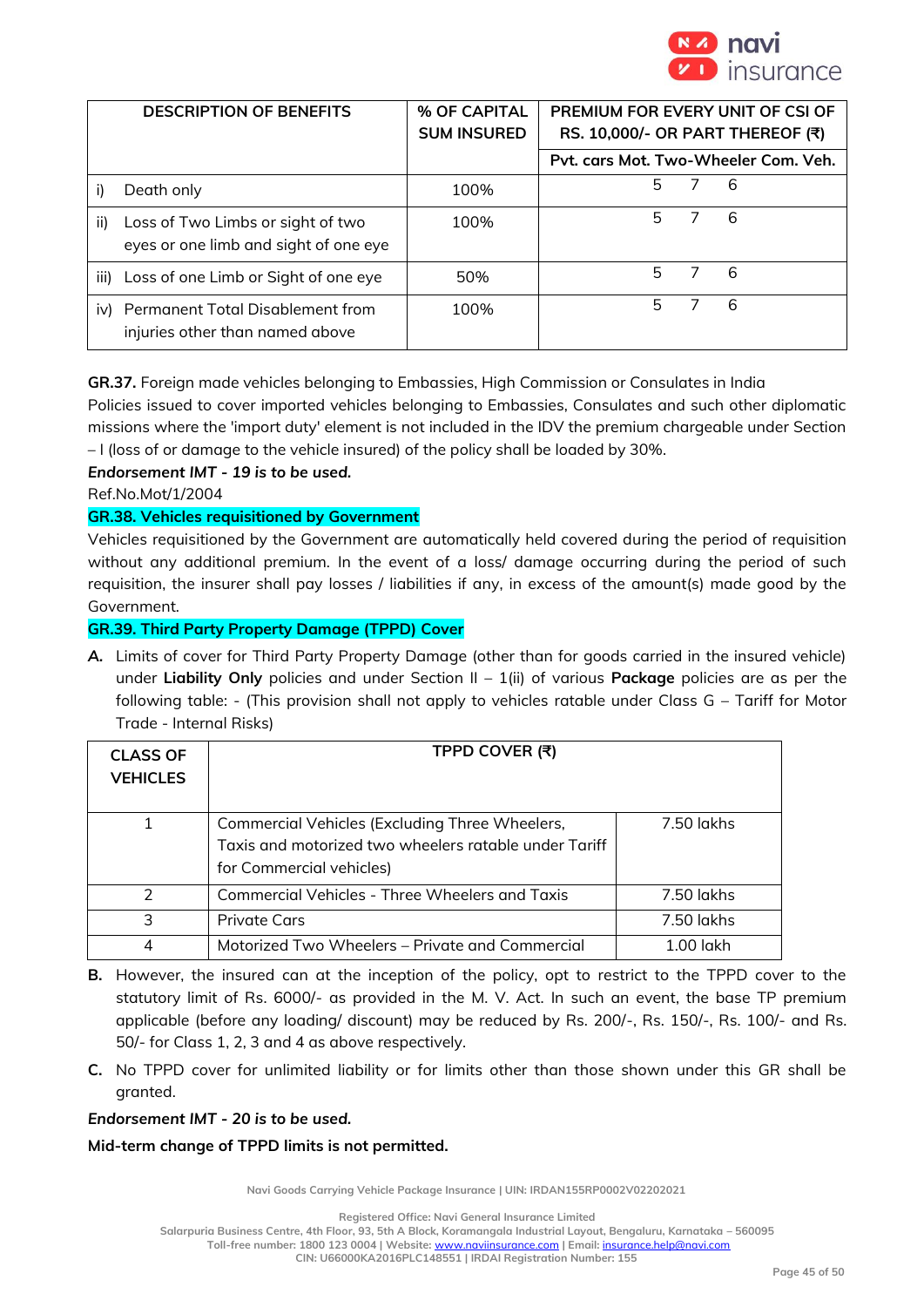

|      | <b>DESCRIPTION OF BENEFITS</b>                                             | % OF CAPITAL<br><b>SUM INSURED</b> | PREMIUM FOR EVERY UNIT OF CSI OF<br>RS. 10,000/- OR PART THEREOF (₹) |
|------|----------------------------------------------------------------------------|------------------------------------|----------------------------------------------------------------------|
|      |                                                                            |                                    | Pyt. cars Mot. Two-Wheeler Com. Veh.                                 |
|      | Death only                                                                 | 100%                               | 5<br>6                                                               |
| ii)  | Loss of Two Limbs or sight of two<br>eyes or one limb and sight of one eye | 100%                               | 5.<br>6                                                              |
| iii) | Loss of one Limb or Sight of one eye                                       | 50%                                | 5<br>6                                                               |
| iv)  | Permanent Total Disablement from<br>injuries other than named above        | 100%                               | 5.<br>6                                                              |

**GR.37.** Foreign made vehicles belonging to Embassies, High Commission or Consulates in India

Policies issued to cover imported vehicles belonging to Embassies, Consulates and such other diplomatic missions where the 'import duty' element is not included in the IDV the premium chargeable under Section – I (loss of or damage to the vehicle insured) of the policy shall be loaded by 30%.

# *Endorsement IMT - 19 is to be used.*

Ref.No.Mot/1/2004

# **GR.38. Vehicles requisitioned by Government**

Vehicles requisitioned by the Government are automatically held covered during the period of requisition without any additional premium. In the event of a loss/ damage occurring during the period of such requisition, the insurer shall pay losses / liabilities if any, in excess of the amount(s) made good by the Government.

# **GR.39. Third Party Property Damage (TPPD) Cover**

*A.* Limits of cover for Third Party Property Damage (other than for goods carried in the insured vehicle) under **Liability Only** policies and under Section II – 1(ii) of various **Package** policies are as per the following table: - (This provision shall not apply to vehicles ratable under Class G – Tariff for Motor Trade - Internal Risks)

| <b>CLASS OF</b><br><b>VEHICLES</b> | TPPD COVER (₹)                                                                                                                      |             |
|------------------------------------|-------------------------------------------------------------------------------------------------------------------------------------|-------------|
| 1                                  | Commercial Vehicles (Excluding Three Wheelers,<br>Taxis and motorized two wheelers ratable under Tariff<br>for Commercial vehicles) | 7.50 lakhs  |
| $\mathcal{P}$                      | Commercial Vehicles - Three Wheelers and Taxis                                                                                      | 7.50 lakhs  |
| 3                                  | <b>Private Cars</b>                                                                                                                 | 7.50 lakhs  |
| 4                                  | Motorized Two Wheelers - Private and Commercial                                                                                     | $1.00$ lakh |

- **B.** However, the insured can at the inception of the policy, opt to restrict to the TPPD cover to the statutory limit of Rs. 6000/- as provided in the M. V. Act. In such an event, the base TP premium applicable (before any loading/ discount) may be reduced by Rs. 200/-, Rs. 150/-, Rs. 100/- and Rs. 50/- for Class 1, 2, 3 and 4 as above respectively.
- **C.** No TPPD cover for unlimited liability or for limits other than those shown under this GR shall be granted.

*Endorsement IMT - 20 is to be used.*

# **Mid-term change of TPPD limits is not permitted.**

**Navi Goods Carrying Vehicle Package Insurance | UIN: IRDAN155RP0002V02202021**

**Registered Office: Navi General Insurance Limited**

**Salarpuria Business Centre, 4th Floor, 93, 5th A Block, Koramangala Industrial Layout, Bengaluru, Karnataka – 560095**

**Toll-free number: 1800 123 0004 | Website:** [www.naviinsurance.com](http://www.naviinsurance.com/) **| Email:** [insurance.help@navi.com](mailto:insurance.help@navi.com)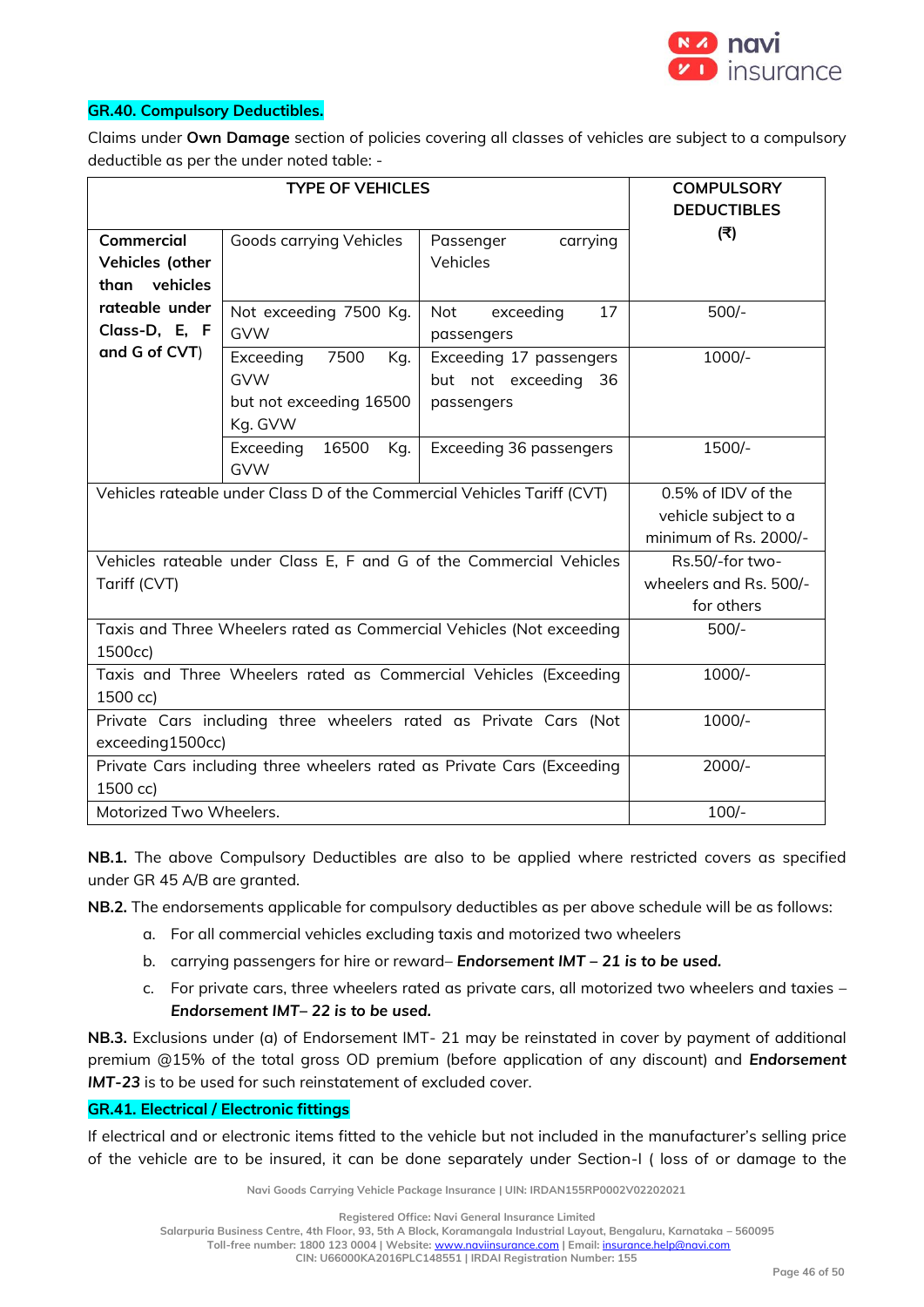

#### **GR.40. Compulsory Deductibles.**

Claims under **Own Damage** section of policies covering all classes of vehicles are subject to a compulsory deductible as per the under noted table: -

|                                                                         | <b>COMPULSORY</b>         |                         |                    |
|-------------------------------------------------------------------------|---------------------------|-------------------------|--------------------|
|                                                                         |                           |                         | <b>DEDUCTIBLES</b> |
| <b>Commercial</b>                                                       | Goods carrying Vehicles   | carrying<br>Passenger   | (₹)                |
| Vehicles (other                                                         |                           | Vehicles                |                    |
| than vehicles                                                           |                           |                         |                    |
| rateable under                                                          | Not exceeding 7500 Kg.    | Not<br>exceeding<br>17  | $500/-$            |
| Class-D, E, F                                                           | <b>GVW</b>                | passengers              |                    |
| and G of CVT)                                                           | Exceeding<br>7500<br>Kg.  | Exceeding 17 passengers | $1000/-$           |
|                                                                         | <b>GVW</b>                | but not exceeding 36    |                    |
|                                                                         | but not exceeding 16500   | passengers              |                    |
|                                                                         | Kg. GVW                   |                         |                    |
|                                                                         | Exceeding<br>16500<br>Kg. | Exceeding 36 passengers | 1500/-             |
|                                                                         | <b>GVW</b>                |                         |                    |
| Vehicles rateable under Class D of the Commercial Vehicles Tariff (CVT) | 0.5% of IDV of the        |                         |                    |
|                                                                         | vehicle subject to a      |                         |                    |
|                                                                         | minimum of Rs. 2000/-     |                         |                    |
| Vehicles rateable under Class E, F and G of the Commercial Vehicles     | Rs.50/-for two-           |                         |                    |
| Tariff (CVT)                                                            | wheelers and Rs. 500/-    |                         |                    |
|                                                                         | for others                |                         |                    |
| Taxis and Three Wheelers rated as Commercial Vehicles (Not exceeding    | $500/-$                   |                         |                    |
| 1500cc)                                                                 |                           |                         |                    |
| Taxis and Three Wheelers rated as Commercial Vehicles (Exceeding        | $1000/-$                  |                         |                    |
| 1500 cc)                                                                |                           |                         |                    |
| Private Cars including three wheelers rated as Private Cars (Not        | $1000/-$                  |                         |                    |
| exceeding1500cc)                                                        |                           |                         |                    |
| Private Cars including three wheelers rated as Private Cars (Exceeding  | $2000/-$                  |                         |                    |
| 1500 cc)                                                                |                           |                         |                    |
| Motorized Two Wheelers.                                                 | $100/-$                   |                         |                    |

**NB.1.** The above Compulsory Deductibles are also to be applied where restricted covers as specified under GR 45 A/B are granted.

**NB.2.** The endorsements applicable for compulsory deductibles as per above schedule will be as follows:

- a. For all commercial vehicles excluding taxis and motorized two wheelers
- b. carrying passengers for hire or reward– *Endorsement IMT – 21 is to be used.*
- c. For private cars, three wheelers rated as private cars, all motorized two wheelers and taxies *Endorsement IMT– 22 is to be used.*

**NB.3.** Exclusions under (a) of Endorsement IMT- 21 may be reinstated in cover by payment of additional premium @15% of the total gross OD premium (before application of any discount) and *Endorsement IMT-23* is to be used for such reinstatement of excluded cover.

#### **GR.41. Electrical / Electronic fittings**

If electrical and or electronic items fitted to the vehicle but not included in the manufacturer's selling price of the vehicle are to be insured, it can be done separately under Section-I ( loss of or damage to the

**Navi Goods Carrying Vehicle Package Insurance | UIN: IRDAN155RP0002V02202021**

**Registered Office: Navi General Insurance Limited**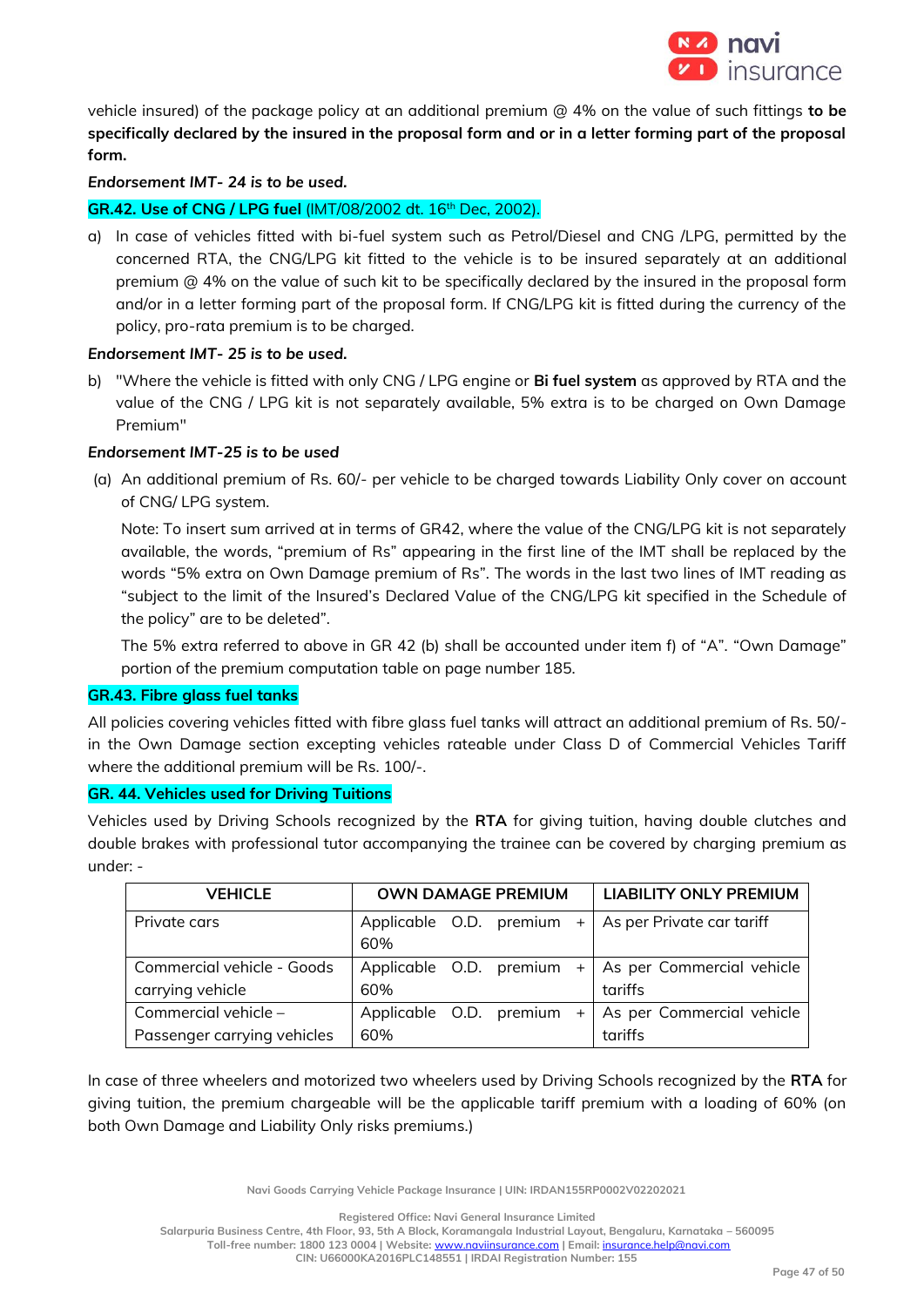

vehicle insured) of the package policy at an additional premium @ 4% on the value of such fittings **to be specifically declared by the insured in the proposal form and or in a letter forming part of the proposal form.**

# *Endorsement IMT- 24 is to be used.*

# **GR.42. Use of CNG / LPG fuel** (IMT/08/2002 dt. 16th Dec, 2002).

a) In case of vehicles fitted with bi-fuel system such as Petrol/Diesel and CNG /LPG, permitted by the concerned RTA, the CNG/LPG kit fitted to the vehicle is to be insured separately at an additional premium @ 4% on the value of such kit to be specifically declared by the insured in the proposal form and/or in a letter forming part of the proposal form. If CNG/LPG kit is fitted during the currency of the policy, pro-rata premium is to be charged.

# *Endorsement IMT- 25 is to be used.*

b) "Where the vehicle is fitted with only CNG / LPG engine or **Bi fuel system** as approved by RTA and the value of the CNG / LPG kit is not separately available, 5% extra is to be charged on Own Damage Premium"

#### *Endorsement IMT-25 is to be used*

(a) An additional premium of Rs. 60/- per vehicle to be charged towards Liability Only cover on account of CNG/ LPG system.

Note: To insert sum arrived at in terms of GR42, where the value of the CNG/LPG kit is not separately available, the words, "premium of Rs" appearing in the first line of the IMT shall be replaced by the words "5% extra on Own Damage premium of Rs". The words in the last two lines of IMT reading as "subject to the limit of the Insured's Declared Value of the CNG/LPG kit specified in the Schedule of the policy" are to be deleted".

The 5% extra referred to above in GR 42 (b) shall be accounted under item f) of "A". "Own Damage" portion of the premium computation table on page number 185.

#### **GR.43. Fibre glass fuel tanks**

All policies covering vehicles fitted with fibre glass fuel tanks will attract an additional premium of Rs. 50/ in the Own Damage section excepting vehicles rateable under Class D of Commercial Vehicles Tariff where the additional premium will be Rs. 100/-.

#### **GR. 44. Vehicles used for Driving Tuitions**

Vehicles used by Driving Schools recognized by the **RTA** for giving tuition, having double clutches and double brakes with professional tutor accompanying the trainee can be covered by charging premium as under: -

| <b>VEHICLE</b>                                        | <b>OWN DAMAGE PREMIUM</b>      |  |  | <b>LIABILITY ONLY PREMIUM</b> |                                                                  |
|-------------------------------------------------------|--------------------------------|--|--|-------------------------------|------------------------------------------------------------------|
| Private cars                                          | 60%                            |  |  |                               | Applicable O.D. premium $+$ As per Private car tariff            |
| Commercial vehicle - Goods<br>carrying vehicle        | 60%                            |  |  |                               | Applicable O.D. premium $+$ As per Commercial vehicle<br>tariffs |
| Commercial vehicle $-$<br>Passenger carrying vehicles | Applicable O.D. premium<br>60% |  |  | $+$ $\overline{ }$            | As per Commercial vehicle<br>tariffs                             |

In case of three wheelers and motorized two wheelers used by Driving Schools recognized by the **RTA** for giving tuition, the premium chargeable will be the applicable tariff premium with a loading of 60% (on both Own Damage and Liability Only risks premiums.)

**Navi Goods Carrying Vehicle Package Insurance | UIN: IRDAN155RP0002V02202021**

**Registered Office: Navi General Insurance Limited**

**Salarpuria Business Centre, 4th Floor, 93, 5th A Block, Koramangala Industrial Layout, Bengaluru, Karnataka – 560095**

**Toll-free number: 1800 123 0004 | Website:** [www.naviinsurance.com](http://www.naviinsurance.com/) **| Email:** [insurance.help@navi.com](mailto:insurance.help@navi.com)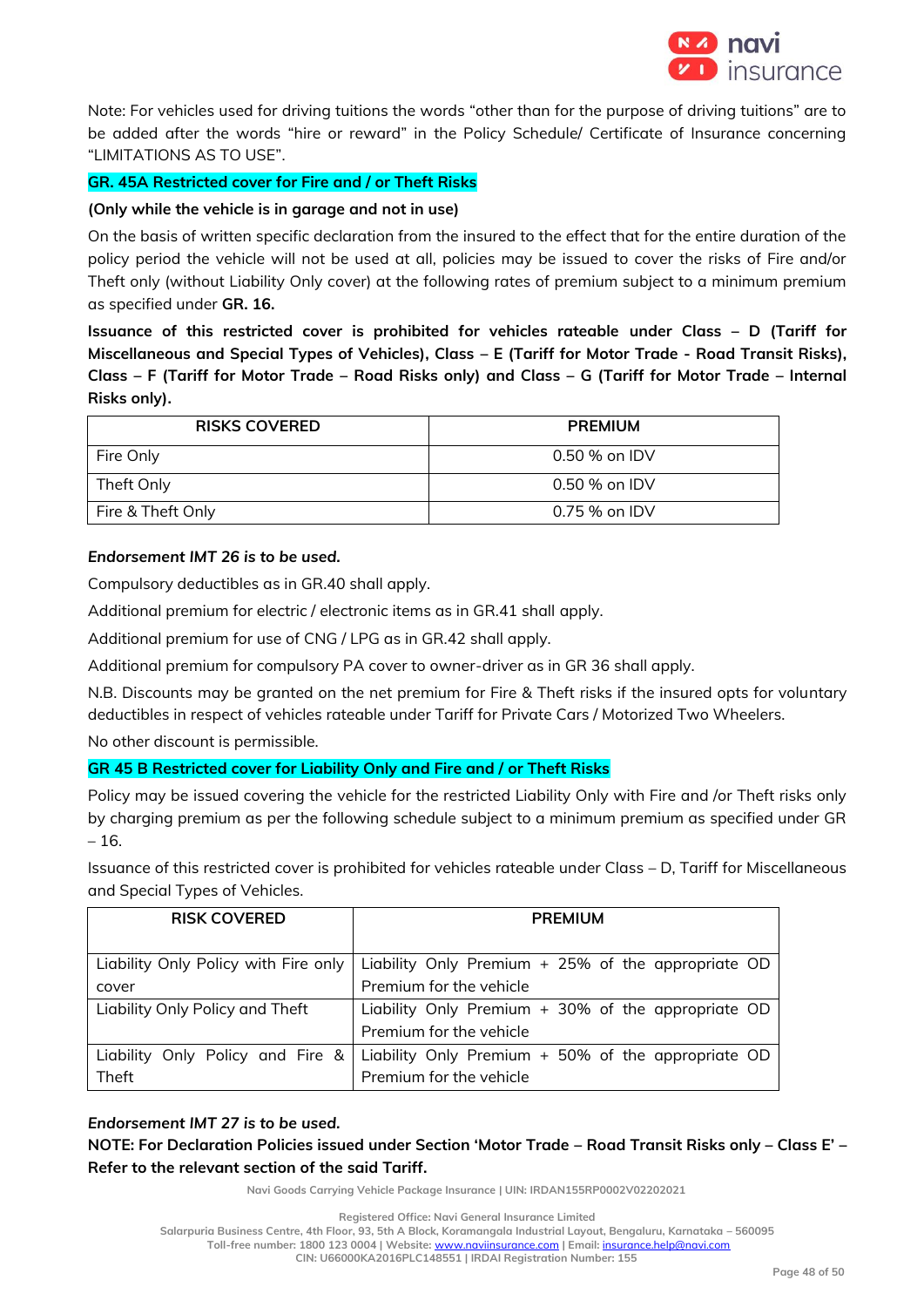

Note: For vehicles used for driving tuitions the words "other than for the purpose of driving tuitions" are to be added after the words "hire or reward" in the Policy Schedule/ Certificate of Insurance concerning "LIMITATIONS AS TO USE".

# **GR. 45A Restricted cover for Fire and / or Theft Risks**

# **(Only while the vehicle is in garage and not in use)**

On the basis of written specific declaration from the insured to the effect that for the entire duration of the policy period the vehicle will not be used at all, policies may be issued to cover the risks of Fire and/or Theft only (without Liability Only cover) at the following rates of premium subject to a minimum premium as specified under **GR. 16.**

**Issuance of this restricted cover is prohibited for vehicles rateable under Class – D (Tariff for Miscellaneous and Special Types of Vehicles), Class – E (Tariff for Motor Trade - Road Transit Risks), Class – F (Tariff for Motor Trade – Road Risks only) and Class – G (Tariff for Motor Trade – Internal Risks only).**

| <b>RISKS COVERED</b> | <b>PREMIUM</b>  |
|----------------------|-----------------|
| Fire Only            | $0.50$ % on IDV |
| Theft Only           | 0.50 % on IDV   |
| Fire & Theft Only    | 0.75 % on IDV   |

# *Endorsement IMT 26 is to be used.*

Compulsory deductibles as in GR.40 shall apply.

Additional premium for electric / electronic items as in GR.41 shall apply.

Additional premium for use of CNG / LPG as in GR.42 shall apply.

Additional premium for compulsory PA cover to owner-driver as in GR 36 shall apply.

N.B. Discounts may be granted on the net premium for Fire & Theft risks if the insured opts for voluntary deductibles in respect of vehicles rateable under Tariff for Private Cars / Motorized Two Wheelers.

No other discount is permissible.

# **GR 45 B Restricted cover for Liability Only and Fire and / or Theft Risks**

Policy may be issued covering the vehicle for the restricted Liability Only with Fire and /or Theft risks only by charging premium as per the following schedule subject to a minimum premium as specified under GR – 16.

Issuance of this restricted cover is prohibited for vehicles rateable under Class – D, Tariff for Miscellaneous and Special Types of Vehicles.

| <b>RISK COVERED</b>                  | <b>PREMIUM</b>                                       |  |  |
|--------------------------------------|------------------------------------------------------|--|--|
|                                      |                                                      |  |  |
| Liability Only Policy with Fire only | Liability Only Premium + 25% of the appropriate OD   |  |  |
| cover                                | Premium for the vehicle                              |  |  |
| Liability Only Policy and Theft      | Liability Only Premium + 30% of the appropriate OD   |  |  |
|                                      | Premium for the vehicle                              |  |  |
| Liability Only Policy and Fire &     | Liability Only Premium $+50\%$ of the appropriate OD |  |  |
| Theft                                | Premium for the vehicle                              |  |  |

# *Endorsement IMT 27 is to be used.*

**NOTE: For Declaration Policies issued under Section 'Motor Trade – Road Transit Risks only – Class E' – Refer to the relevant section of the said Tariff.** 

**Navi Goods Carrying Vehicle Package Insurance | UIN: IRDAN155RP0002V02202021**

**Registered Office: Navi General Insurance Limited**

**Salarpuria Business Centre, 4th Floor, 93, 5th A Block, Koramangala Industrial Layout, Bengaluru, Karnataka – 560095 Toll-free number: 1800 123 0004 | Website:** [www.naviinsurance.com](http://www.naviinsurance.com/) **| Email:** [insurance.help@navi.com](mailto:insurance.help@navi.com)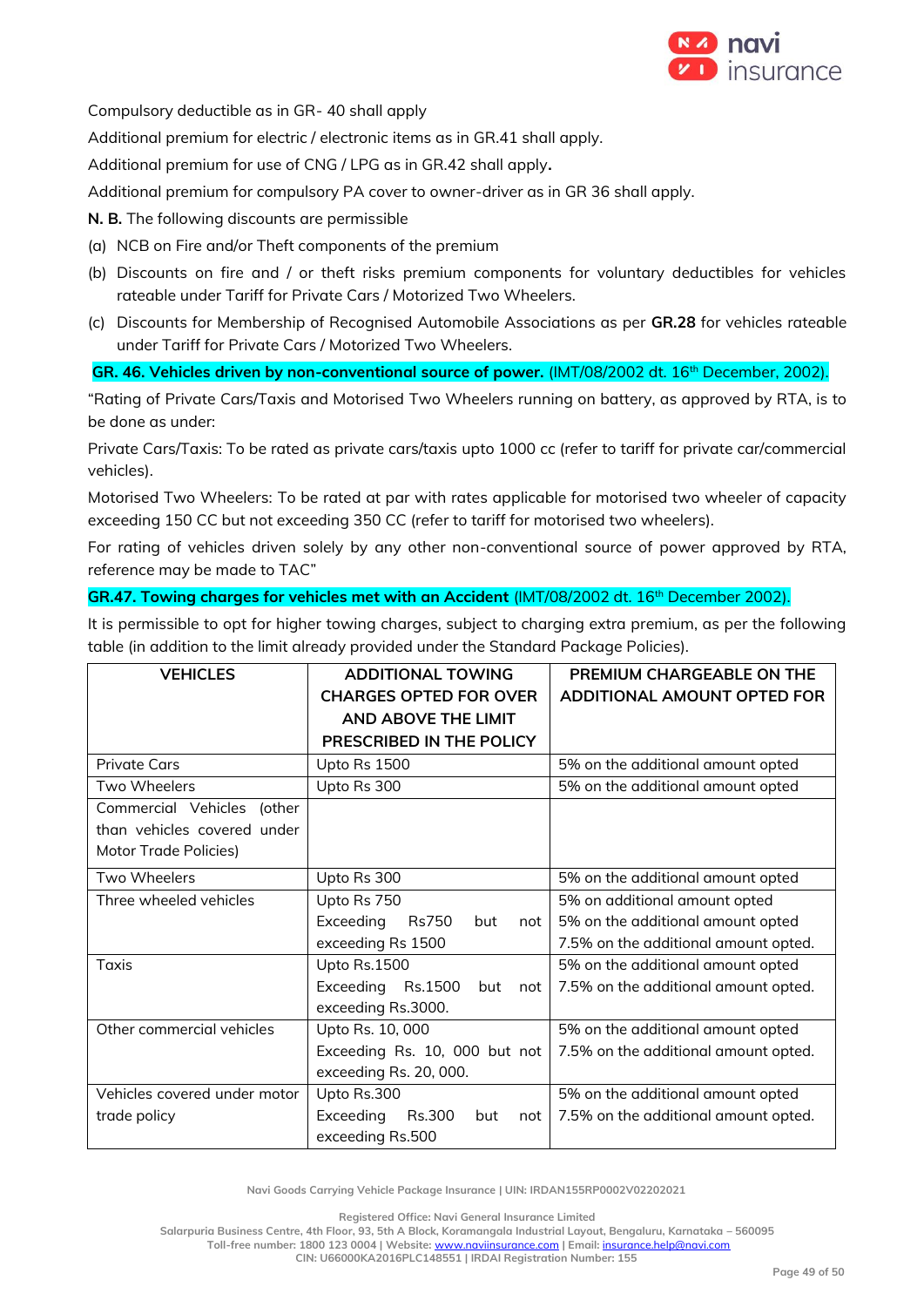

Compulsory deductible as in GR- 40 shall apply

Additional premium for electric / electronic items as in GR.41 shall apply.

Additional premium for use of CNG / LPG as in GR.42 shall apply**.**

Additional premium for compulsory PA cover to owner-driver as in GR 36 shall apply.

# **N. B.** The following discounts are permissible

- (a) NCB on Fire and/or Theft components of the premium
- (b) Discounts on fire and / or theft risks premium components for voluntary deductibles for vehicles rateable under Tariff for Private Cars / Motorized Two Wheelers.
- (c) Discounts for Membership of Recognised Automobile Associations as per **GR.28** for vehicles rateable under Tariff for Private Cars / Motorized Two Wheelers.

**GR. 46. Vehicles driven by non-conventional source of power.** (IMT/08/2002 dt. 16th December, 2002).

"Rating of Private Cars/Taxis and Motorised Two Wheelers running on battery, as approved by RTA, is to be done as under:

Private Cars/Taxis: To be rated as private cars/taxis upto 1000 cc (refer to tariff for private car/commercial vehicles).

Motorised Two Wheelers: To be rated at par with rates applicable for motorised two wheeler of capacity exceeding 150 CC but not exceeding 350 CC (refer to tariff for motorised two wheelers).

For rating of vehicles driven solely by any other non-conventional source of power approved by RTA, reference may be made to TAC"

# GR.47. Towing charges for vehicles met with an Accident (IMT/08/2002 dt. 16<sup>th</sup> December 2002).

It is permissible to opt for higher towing charges, subject to charging extra premium, as per the following table (in addition to the limit already provided under the Standard Package Policies).

| <b>VEHICLES</b>              | <b>ADDITIONAL TOWING</b>                | PREMIUM CHARGEABLE ON THE            |  |
|------------------------------|-----------------------------------------|--------------------------------------|--|
|                              | <b>CHARGES OPTED FOR OVER</b>           | ADDITIONAL AMOUNT OPTED FOR          |  |
|                              | AND ABOVE THE LIMIT                     |                                      |  |
|                              | PRESCRIBED IN THE POLICY                |                                      |  |
| <b>Private Cars</b>          | Upto Rs 1500                            | 5% on the additional amount opted    |  |
| Two Wheelers                 | Upto Rs 300                             | 5% on the additional amount opted    |  |
| Commercial Vehicles (other   |                                         |                                      |  |
| than vehicles covered under  |                                         |                                      |  |
| Motor Trade Policies)        |                                         |                                      |  |
| Two Wheelers                 | Upto Rs 300                             | 5% on the additional amount opted    |  |
| Three wheeled vehicles       | Upto Rs 750                             | 5% on additional amount opted        |  |
|                              | Exceeding<br><b>Rs750</b><br>but<br>not | 5% on the additional amount opted    |  |
|                              | exceeding Rs 1500                       | 7.5% on the additional amount opted. |  |
| <b>Taxis</b>                 | Upto Rs.1500                            | 5% on the additional amount opted    |  |
|                              | Exceeding<br>Rs.1500<br>but<br>not      | 7.5% on the additional amount opted. |  |
|                              | exceeding Rs.3000.                      |                                      |  |
| Other commercial vehicles    | Upto Rs. 10, 000                        | 5% on the additional amount opted    |  |
|                              | Exceeding Rs. 10, 000 but not           | 7.5% on the additional amount opted. |  |
|                              | exceeding Rs. 20, 000.                  |                                      |  |
| Vehicles covered under motor | Upto Rs.300                             | 5% on the additional amount opted    |  |
| trade policy                 | Exceeding<br>Rs.300<br>but<br>not       | 7.5% on the additional amount opted. |  |
|                              | exceeding Rs.500                        |                                      |  |

**Navi Goods Carrying Vehicle Package Insurance | UIN: IRDAN155RP0002V02202021**

**Registered Office: Navi General Insurance Limited**

**Salarpuria Business Centre, 4th Floor, 93, 5th A Block, Koramangala Industrial Layout, Bengaluru, Karnataka – 560095 Toll-free number: 1800 123 0004 | Website:** [www.naviinsurance.com](http://www.naviinsurance.com/) **| Email:** [insurance.help@navi.com](mailto:insurance.help@navi.com)